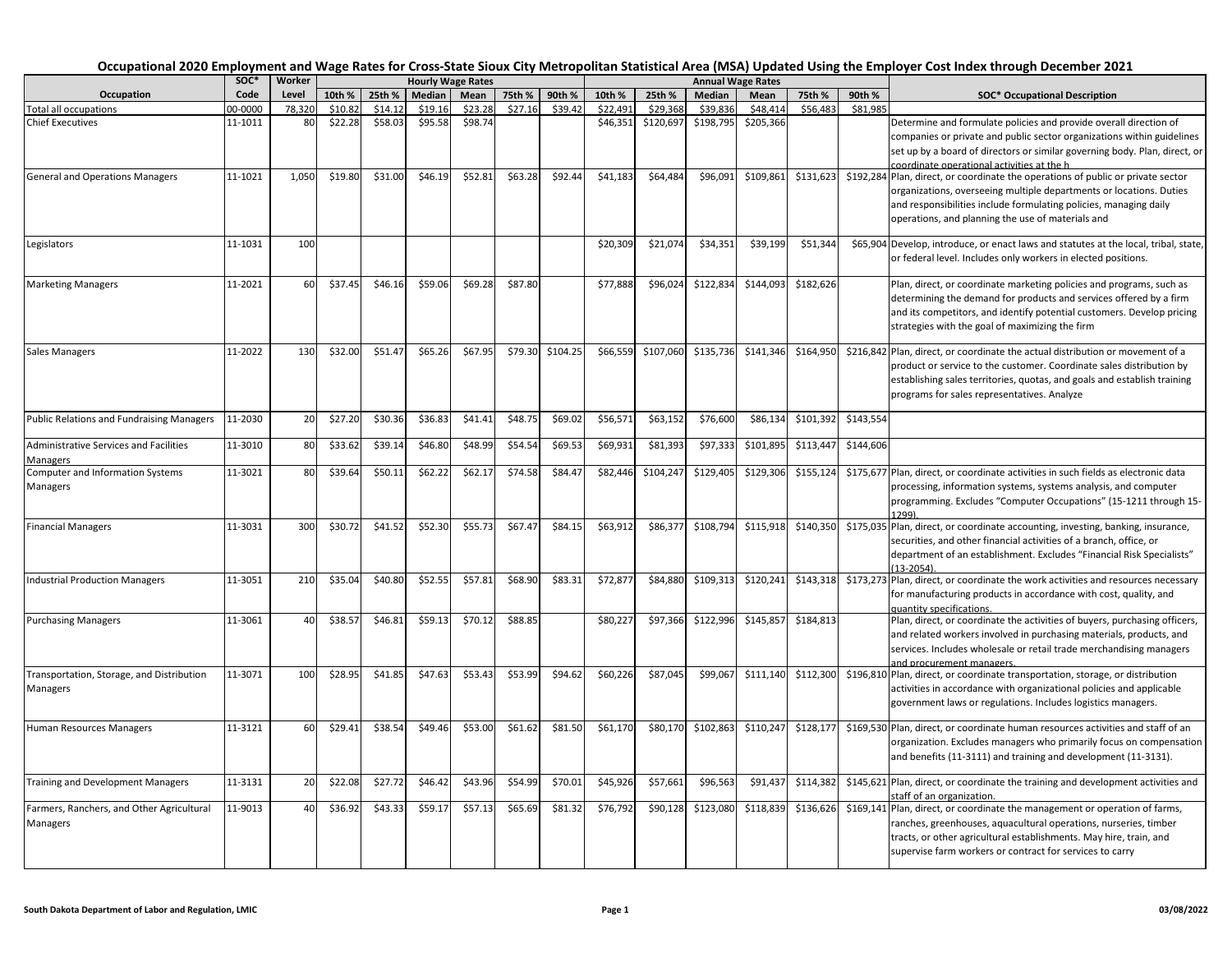|                                                           | soc*    | Worker |         |         | <b>Hourly Wage Rates</b> |         |         |          |          |           |           | <b>Annual Wage Rates</b> |           |           |                                                                                                                                                                                                                                                                                   |
|-----------------------------------------------------------|---------|--------|---------|---------|--------------------------|---------|---------|----------|----------|-----------|-----------|--------------------------|-----------|-----------|-----------------------------------------------------------------------------------------------------------------------------------------------------------------------------------------------------------------------------------------------------------------------------------|
| Occupation                                                | Code    | Level  | 10th %  | 25th %  | Median                   | Mean    | 75th %  | 90th %   | 10th %   | 25th %    | Median    | Mean                     | 75th %    | 90th %    | <b>SOC* Occupational Description</b>                                                                                                                                                                                                                                              |
| <b>Total all occupations</b>                              | 00-0000 | 78.320 | \$10.82 | \$14.12 | \$19.16                  | \$23.28 | \$27.16 | \$39.42  | \$22.49  | \$29.368  | \$39.836  | \$48.414                 | \$56,483  | \$81.985  |                                                                                                                                                                                                                                                                                   |
| <b>Chief Executives</b>                                   | 11-1011 | 80     | \$22.28 | \$58.03 | \$95.58                  | \$98.74 |         |          | \$46,351 | \$120,697 | \$198,795 | \$205,366                |           |           | Determine and formulate policies and provide overall direction of<br>companies or private and public sector organizations within guidelines<br>set up by a board of directors or similar governing body. Plan, direct, or<br>coordinate operational activities at the h           |
| <b>General and Operations Managers</b>                    | 11-1021 | 1,050  | \$19.80 | \$31.00 | \$46.19                  | \$52.81 | \$63.28 | \$92.44  | \$41,183 | \$64,484  | \$96,091  | \$109,861                | \$131,623 |           | \$192,284 Plan, direct, or coordinate the operations of public or private sector<br>organizations, overseeing multiple departments or locations. Duties<br>and responsibilities include formulating policies, managing daily<br>operations, and planning the use of materials and |
| Legislators                                               | 11-1031 | 100    |         |         |                          |         |         |          | \$20,309 | \$21,074  | \$34,351  | \$39,199                 | \$51,344  |           | \$65,904 Develop, introduce, or enact laws and statutes at the local, tribal, state,<br>or federal level. Includes only workers in elected positions.                                                                                                                             |
| <b>Marketing Managers</b>                                 | 11-2021 | 60     | \$37.45 | \$46.16 | \$59.06                  | \$69.28 | \$87.80 |          | \$77,888 | \$96,024  | \$122,834 | \$144,093                | \$182,626 |           | Plan, direct, or coordinate marketing policies and programs, such as<br>determining the demand for products and services offered by a firm<br>and its competitors, and identify potential customers. Develop pricing<br>strategies with the goal of maximizing the firm           |
| <b>Sales Managers</b>                                     | 11-2022 | 130    | \$32.00 | \$51.47 | \$65.26                  | \$67.95 | \$79.30 | \$104.25 | \$66,559 | \$107,060 | \$135,736 | \$141,346                | \$164,950 |           | \$216,842 Plan, direct, or coordinate the actual distribution or movement of a<br>product or service to the customer. Coordinate sales distribution by<br>establishing sales territories, quotas, and goals and establish training<br>programs for sales representatives. Analyze |
| <b>Public Relations and Fundraising Managers</b>          | 11-2030 | 20     | \$27.20 | \$30.36 | \$36.83                  | \$41.41 | \$48.75 | \$69.02  | \$56,571 | \$63,152  | \$76,600  | \$86,134                 | \$101,392 | \$143,554 |                                                                                                                                                                                                                                                                                   |
| <b>Administrative Services and Facilities</b><br>Managers | 11-3010 | 80     | \$33.62 | \$39.14 | \$46.80                  | \$48.99 | \$54.54 | \$69.53  | \$69,931 | \$81,393  | \$97,333  | \$101,895                | \$113,447 | \$144,606 |                                                                                                                                                                                                                                                                                   |
| <b>Computer and Information Systems</b><br>Managers       | 11-3021 | 80     | \$39.64 | \$50.11 | \$62.22                  | \$62.17 | \$74.58 | \$84.47  | \$82,446 | \$104,247 | \$129,405 | \$129,306                | \$155,124 |           | \$175,677 Plan, direct, or coordinate activities in such fields as electronic data<br>processing, information systems, systems analysis, and computer<br>programming. Excludes "Computer Occupations" (15-1211 through 15-<br>1299)                                               |
| <b>Financial Managers</b>                                 | 11-3031 | 300    | \$30.72 | \$41.52 | \$52.30                  | \$55.73 | \$67.47 | \$84.15  | \$63,912 | \$86,377  | \$108,794 | \$115,918                | \$140,350 |           | \$175,035 Plan, direct, or coordinate accounting, investing, banking, insurance,<br>securities, and other financial activities of a branch, office, or<br>department of an establishment. Excludes "Financial Risk Specialists"<br>$(13 - 2054)$                                  |
| <b>Industrial Production Managers</b>                     | 11-3051 | 210    | \$35.04 | \$40.80 | \$52.55                  | \$57.81 | \$68.90 | \$83.31  | \$72,877 | \$84,880  | \$109,313 | \$120,241                | \$143,318 |           | \$173,273 Plan, direct, or coordinate the work activities and resources necessary<br>for manufacturing products in accordance with cost, quality, and<br>quantity specifications.                                                                                                 |
| <b>Purchasing Managers</b>                                | 11-3061 | 40     | \$38.57 | \$46.81 | \$59.13                  | \$70.12 | \$88.85 |          | \$80,227 | \$97,366  | \$122,996 | \$145,857                | \$184,813 |           | Plan, direct, or coordinate the activities of buyers, purchasing officers,<br>and related workers involved in purchasing materials, products, and<br>services. Includes wholesale or retail trade merchandising managers<br>and procurement managers.                             |
| Transportation, Storage, and Distribution<br>Managers     | 11-3071 | 100    | \$28.95 | \$41.85 | \$47.63                  | \$53.43 | \$53.99 | \$94.62  | \$60,226 | \$87,045  | \$99,067  | \$111,140                | \$112,300 |           | \$196,810 Plan, direct, or coordinate transportation, storage, or distribution<br>activities in accordance with organizational policies and applicable<br>government laws or regulations. Includes logistics managers.                                                            |
| <b>Human Resources Managers</b>                           | 11-3121 | 60     | \$29.41 | \$38.54 | \$49.46                  | \$53.00 | \$61.62 | \$81.50  | \$61,170 | \$80,170  | \$102,863 | \$110,247                | \$128,177 |           | \$169,530 Plan, direct, or coordinate human resources activities and staff of an<br>organization. Excludes managers who primarily focus on compensation<br>and benefits (11-3111) and training and development (11-3131).                                                         |
| <b>Training and Development Managers</b>                  | 11-3131 | 20     | \$22.08 | \$27.72 | \$46.42                  | \$43.96 | \$54.99 | \$70.01  | \$45,926 | \$57,661  | \$96,563  | \$91,437                 | \$114,382 |           | \$145,621 Plan, direct, or coordinate the training and development activities and<br>staff of an organization.                                                                                                                                                                    |
| Farmers, Ranchers, and Other Agricultural<br>Managers     | 11-9013 | 40     | \$36.92 | \$43.33 | \$59.17                  | \$57.13 | \$65.69 | \$81.32  | \$76,792 | \$90,128  | \$123,080 | \$118,839                | \$136,626 |           | \$169,141 Plan, direct, or coordinate the management or operation of farms,<br>ranches, greenhouses, aquacultural operations, nurseries, timber<br>tracts, or other agricultural establishments. May hire, train, and<br>supervise farm workers or contract for services to carry |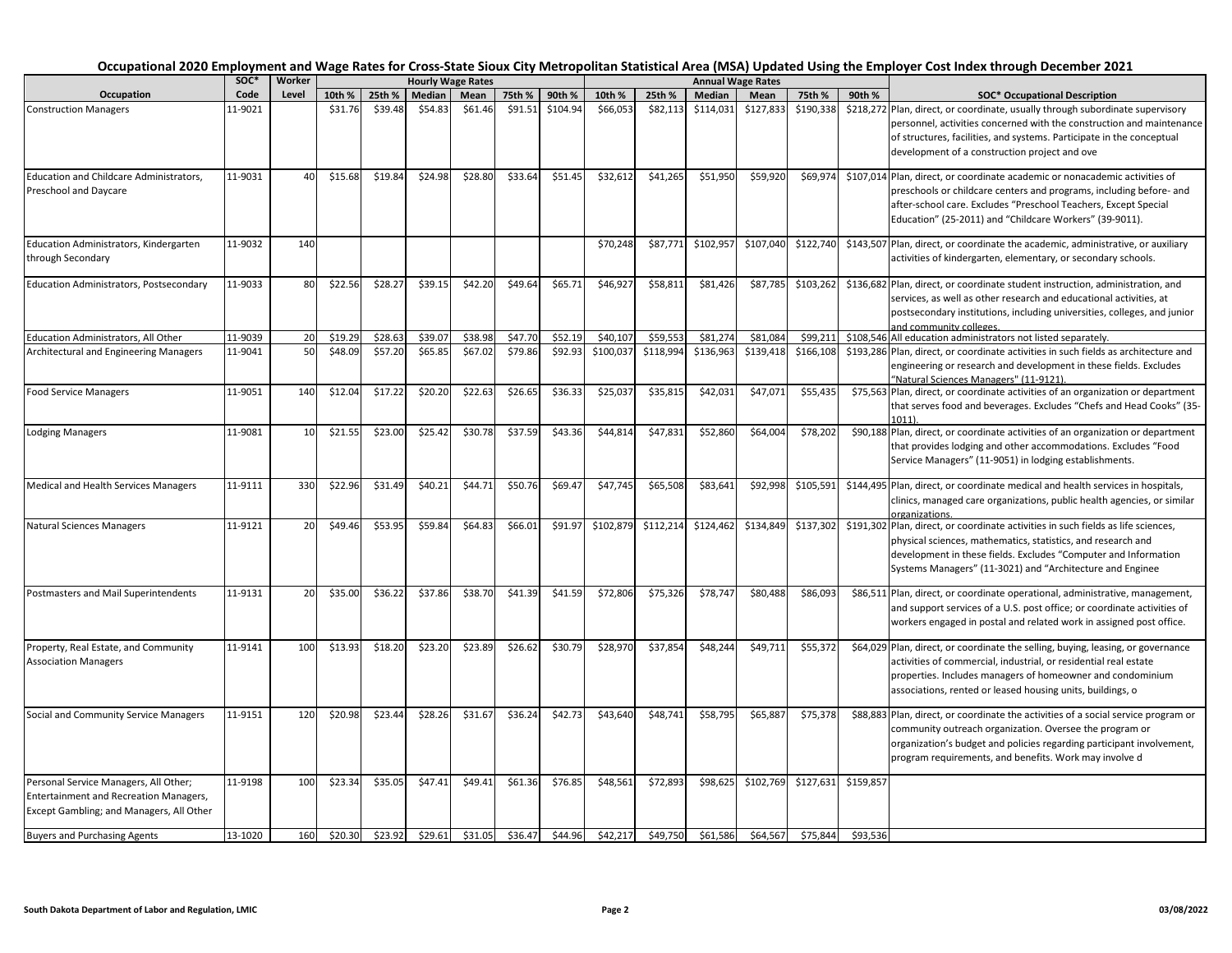|                                                                                                                                    | SOC*    | Worker |         |         |         | <b>Hourly Wage Rates</b> |         |          |           |           |               | <b>Annual Wage Rates</b>                                         |           |           |                                                                                                                                                                                                                                                                                   |
|------------------------------------------------------------------------------------------------------------------------------------|---------|--------|---------|---------|---------|--------------------------|---------|----------|-----------|-----------|---------------|------------------------------------------------------------------|-----------|-----------|-----------------------------------------------------------------------------------------------------------------------------------------------------------------------------------------------------------------------------------------------------------------------------------|
| Occupation                                                                                                                         | Code    | Level  | 10th %  | 25th %  | Median  | Mean                     | 75th %  | 90th %   | 10th %    | 25th %    | <b>Median</b> | 75th %<br>90th %<br>Mean<br><b>SOC* Occupational Description</b> |           |           |                                                                                                                                                                                                                                                                                   |
| <b>Construction Managers</b>                                                                                                       | 11-9021 |        | \$31.76 | \$39.48 | \$54.83 | \$61.46                  | \$91.51 | \$104.94 | \$66,053  | \$82,113  | \$114,031     | \$127,833                                                        | \$190,338 |           | \$218,272 Plan, direct, or coordinate, usually through subordinate supervisory<br>personnel, activities concerned with the construction and maintenance<br>of structures, facilities, and systems. Participate in the conceptual<br>development of a construction project and ove |
| Education and Childcare Administrators,<br>Preschool and Daycare                                                                   | 11-9031 | 40     | \$15.68 | \$19.84 | \$24.98 | \$28.80                  | \$33.64 | \$51.45  | \$32,612  | \$41,265  | \$51,950      | \$59,920                                                         | \$69,974  |           | \$107,014 Plan, direct, or coordinate academic or nonacademic activities of<br>preschools or childcare centers and programs, including before- and<br>after-school care. Excludes "Preschool Teachers, Except Special<br>Education" (25-2011) and "Childcare Workers" (39-9011).  |
| Education Administrators, Kindergarten<br>through Secondary                                                                        | 11-9032 | 140    |         |         |         |                          |         |          | \$70,248  | \$87,771  | \$102,957     | \$107,04                                                         | \$122,740 |           | \$143,507 Plan, direct, or coordinate the academic, administrative, or auxiliary<br>activities of kindergarten, elementary, or secondary schools.                                                                                                                                 |
| Education Administrators, Postsecondary                                                                                            | 11-9033 | 80     | \$22.56 | \$28.27 | \$39.15 | \$42.20                  | \$49.64 | \$65.71  | \$46,927  | \$58,811  | \$81,426      | \$87,785                                                         | \$103,262 |           | \$136,682 Plan, direct, or coordinate student instruction, administration, and<br>services, as well as other research and educational activities, at<br>postsecondary institutions, including universities, colleges, and junior<br>and community colleges.                       |
| Education Administrators, All Other                                                                                                | 11-9039 | 20     | \$19.29 | \$28.63 | \$39.07 | \$38.98                  | \$47.70 | \$52.19  | \$40,107  | \$59,553  | \$81,274      | \$81,08                                                          | \$99,211  |           | \$108,546 All education administrators not listed separately.                                                                                                                                                                                                                     |
| Architectural and Engineering Managers                                                                                             | 11-9041 | 50     | \$48.09 | \$57.20 | \$65.85 | \$67.02                  | \$79.86 | \$92.93  | \$100,037 | \$118,994 | \$136,963     | \$139,418                                                        | \$166,108 |           | \$193,286 Plan, direct, or coordinate activities in such fields as architecture and<br>engineering or research and development in these fields. Excludes<br>"Natural Sciences Managers" (11-9121).                                                                                |
| <b>Food Service Managers</b>                                                                                                       | 11-9051 | 140    | \$12.04 | \$17.22 | \$20.20 | \$22.63                  | \$26.65 | \$36.33  | \$25,037  | \$35,815  | \$42,03:      | \$47,07                                                          | \$55,435  |           | \$75,563 Plan, direct, or coordinate activities of an organization or department<br>that serves food and beverages. Excludes "Chefs and Head Cooks" (35-<br>1011)                                                                                                                 |
| <b>Lodging Managers</b>                                                                                                            | 11-9081 | 10     | \$21.55 | \$23.00 | \$25.42 | \$30.78                  | \$37.59 | \$43.36  | \$44,814  | \$47,831  | \$52,860      | \$64,00                                                          | \$78,202  |           | \$90,188 Plan, direct, or coordinate activities of an organization or department<br>that provides lodging and other accommodations. Excludes "Food<br>Service Managers" (11-9051) in lodging establishments.                                                                      |
| Medical and Health Services Managers                                                                                               | 11-9111 | 330    | \$22.96 | \$31.49 | \$40.21 | \$44.71                  | \$50.76 | \$69.47  | \$47,745  | \$65,508  | \$83,641      | \$92,998                                                         | \$105,591 |           | \$144,495 Plan, direct, or coordinate medical and health services in hospitals,<br>clinics, managed care organizations, public health agencies, or similar<br>organizations.                                                                                                      |
| <b>Natural Sciences Managers</b>                                                                                                   | 11-9121 | 20     | \$49.46 | \$53.95 | \$59.84 | \$64.83                  | \$66.01 | \$91.97  | \$102,879 | \$112,214 | \$124,462     | \$134,849                                                        | \$137,302 |           | \$191,302 Plan, direct, or coordinate activities in such fields as life sciences,<br>physical sciences, mathematics, statistics, and research and<br>development in these fields. Excludes "Computer and Information<br>Systems Managers" (11-3021) and "Architecture and Enginee |
| Postmasters and Mail Superintendents                                                                                               | 11-9131 | 20     | \$35.00 | \$36.22 | \$37.86 | \$38.70                  | \$41.39 | \$41.59  | \$72,806  | \$75,326  | \$78,747      | \$80,488                                                         | \$86,093  |           | \$86,511 Plan, direct, or coordinate operational, administrative, management,<br>and support services of a U.S. post office; or coordinate activities of<br>workers engaged in postal and related work in assigned post office.                                                   |
| Property, Real Estate, and Community<br><b>Association Managers</b>                                                                | 11-9141 | 100    | \$13.93 | \$18.20 | \$23.20 | \$23.89                  | \$26.62 | \$30.79  | \$28,970  | \$37,854  | \$48,244      | \$49,71                                                          | \$55,372  |           | \$64,029 Plan, direct, or coordinate the selling, buying, leasing, or governance<br>activities of commercial, industrial, or residential real estate<br>properties. Includes managers of homeowner and condominium<br>associations, rented or leased housing units, buildings, o  |
| Social and Community Service Managers                                                                                              | 11-9151 | 120    | \$20.98 | \$23.44 | \$28.26 | \$31.67                  | \$36.24 | \$42.73  | \$43,640  | \$48,741  | \$58,795      | \$65,88                                                          | \$75,378  |           | \$88,883 Plan, direct, or coordinate the activities of a social service program or<br>community outreach organization. Oversee the program or<br>organization's budget and policies regarding participant involvement,<br>program requirements, and benefits. Work may involve d  |
| Personal Service Managers, All Other;<br><b>Entertainment and Recreation Managers,</b><br>Except Gambling; and Managers, All Other | 11-9198 | 100    | \$23.34 | \$35.05 | \$47.41 | \$49.41                  | \$61.36 | \$76.85  | \$48,561  | \$72,893  | \$98,625      | \$102,769                                                        | \$127,631 | \$159,857 |                                                                                                                                                                                                                                                                                   |
| <b>Buyers and Purchasing Agents</b>                                                                                                | 13-1020 | 160    | \$20.30 | \$23.92 | \$29.61 | \$31.05                  | \$36.47 | \$44.96  | \$42.217  | \$49.750  | \$61.586      | \$64.567                                                         | \$75.844  | \$93.536  |                                                                                                                                                                                                                                                                                   |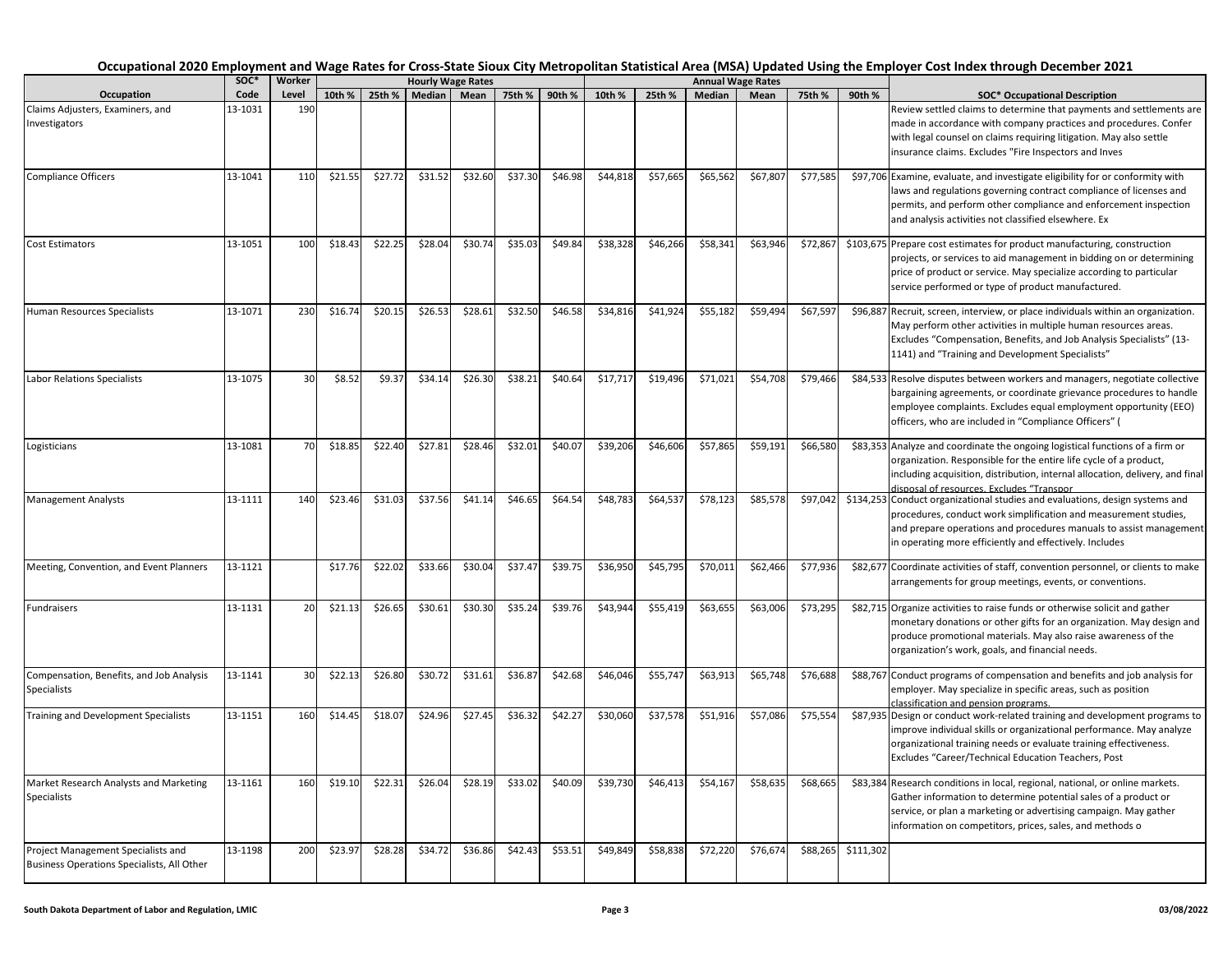|                                                                                  |              |                 |         |         |         |                                  |         |         |          |          |          |                                  |          |           | Occupational 2020 Employment and Wage Rates for Cross-State Sioux City Metropolitan Statistical Area (MSA) Updated Using the Employer Cost Index through December 2021                                                                                                            |
|----------------------------------------------------------------------------------|--------------|-----------------|---------|---------|---------|----------------------------------|---------|---------|----------|----------|----------|----------------------------------|----------|-----------|-----------------------------------------------------------------------------------------------------------------------------------------------------------------------------------------------------------------------------------------------------------------------------------|
| Occupation                                                                       | SOC*<br>Code | Worker<br>Level | 10th %  | 25th %  | Median  | <b>Hourly Wage Rates</b><br>Mean | 75th %  | 90th %  | 10th %   | 25th %   | Median   | <b>Annual Wage Rates</b><br>Mean | 75th %   | 90th %    | <b>SOC* Occupational Description</b>                                                                                                                                                                                                                                              |
| Claims Adjusters, Examiners, and<br>Investigators                                | 13-1031      | 190             |         |         |         |                                  |         |         |          |          |          |                                  |          |           | Review settled claims to determine that payments and settlements are<br>made in accordance with company practices and procedures. Confer<br>with legal counsel on claims requiring litigation. May also settle<br>insurance claims. Excludes "Fire Inspectors and Inves           |
| <b>Compliance Officers</b>                                                       | 13-1041      | 110             | \$21.55 | \$27.72 | \$31.52 | \$32.60                          | \$37.30 | \$46.98 | \$44,818 | \$57,665 | \$65,562 | \$67,807                         | \$77,585 |           | \$97,706 Examine, evaluate, and investigate eligibility for or conformity with<br>laws and regulations governing contract compliance of licenses and<br>permits, and perform other compliance and enforcement inspection<br>and analysis activities not classified elsewhere. Ex  |
| <b>Cost Estimators</b>                                                           | 13-1051      | 100             | \$18.43 | \$22.25 | \$28.04 | \$30.74                          | \$35.03 | \$49.84 | \$38,328 | \$46,266 | \$58,341 | \$63,946                         | \$72,867 |           | \$103,675 Prepare cost estimates for product manufacturing, construction<br>projects, or services to aid management in bidding on or determining<br>price of product or service. May specialize according to particular<br>service performed or type of product manufactured.     |
| Human Resources Specialists                                                      | 13-1071      | 230             | \$16.74 | \$20.15 | \$26.53 | \$28.61                          | \$32.50 | \$46.58 | \$34,816 | \$41,924 | \$55,182 | \$59,494                         | \$67,597 |           | \$96,887 Recruit, screen, interview, or place individuals within an organization.<br>May perform other activities in multiple human resources areas.<br>Excludes "Compensation, Benefits, and Job Analysis Specialists" (13-<br>1141) and "Training and Development Specialists"  |
| <b>Labor Relations Specialists</b>                                               | 13-1075      | 30              | \$8.52  | \$9.37  | \$34.14 | \$26.30                          | \$38.21 | \$40.64 | \$17,717 | \$19,496 | \$71,021 | \$54,708                         | \$79,466 |           | \$84,533 Resolve disputes between workers and managers, negotiate collective<br>bargaining agreements, or coordinate grievance procedures to handle<br>employee complaints. Excludes equal employment opportunity (EEO)<br>officers, who are included in "Compliance Officers" (  |
| Logisticians                                                                     | 13-1081      | 70              | \$18.85 | \$22.40 | \$27.81 | \$28.46                          | \$32.01 | \$40.07 | \$39,206 | \$46,606 | \$57,865 | \$59,191                         | \$66,580 |           | \$83,353 Analyze and coordinate the ongoing logistical functions of a firm or<br>organization. Responsible for the entire life cycle of a product,<br>including acquisition, distribution, internal allocation, delivery, and final<br>disposal of resources. Excludes "Transpor  |
| <b>Management Analysts</b>                                                       | 13-1111      | 140             | \$23.46 | \$31.03 | \$37.56 | \$41.14                          | \$46.65 | \$64.54 | \$48,783 | \$64,537 | \$78,123 | \$85,578                         | \$97,042 |           | \$134,253 Conduct organizational studies and evaluations, design systems and<br>procedures, conduct work simplification and measurement studies,<br>and prepare operations and procedures manuals to assist management<br>in operating more efficiently and effectively. Includes |
| Meeting, Convention, and Event Planners                                          | 13-1121      |                 | \$17.76 | \$22.02 | \$33.66 | \$30.04                          | \$37.47 | \$39.75 | \$36,950 | \$45,795 | \$70,011 | \$62,466                         | \$77,936 |           | \$82,677 Coordinate activities of staff, convention personnel, or clients to make<br>arrangements for group meetings, events, or conventions.                                                                                                                                     |
| Fundraisers                                                                      | 13-1131      | 20              | \$21.13 | \$26.65 | \$30.61 | \$30.30                          | \$35.24 | \$39.76 | \$43,944 | \$55,419 | \$63,655 | \$63,006                         | \$73,295 |           | \$82,715 Organize activities to raise funds or otherwise solicit and gather<br>monetary donations or other gifts for an organization. May design and<br>produce promotional materials. May also raise awareness of the<br>organization's work, goals, and financial needs.        |
| Compensation, Benefits, and Job Analysis<br><b>Specialists</b>                   | 13-1141      | 30              | \$22.13 | \$26.80 | \$30.72 | \$31.61                          | \$36.87 | \$42.68 | \$46,046 | \$55,747 | \$63,913 | \$65,748                         | \$76,688 |           | \$88,767 Conduct programs of compensation and benefits and job analysis for<br>employer. May specialize in specific areas, such as position<br>classification and pension programs.                                                                                               |
| Training and Development Specialists                                             | 13-1151      | 160             | \$14.45 | \$18.07 | \$24.96 | \$27.45                          | \$36.32 | \$42.27 | \$30,060 | \$37,578 | \$51,916 | \$57,086                         | \$75,554 |           | \$87,935 Design or conduct work-related training and development programs to<br>improve individual skills or organizational performance. May analyze<br>organizational training needs or evaluate training effectiveness.<br>Excludes "Career/Technical Education Teachers, Post  |
| Market Research Analysts and Marketing<br>Specialists                            | 13-1161      | 160             | \$19.10 | \$22.31 | \$26.04 | \$28.19                          | \$33.02 | \$40.09 | \$39,730 | \$46,413 | \$54,167 | \$58,635                         | \$68,665 |           | \$83,384 Research conditions in local, regional, national, or online markets.<br>Gather information to determine potential sales of a product or<br>service, or plan a marketing or advertising campaign. May gather<br>information on competitors, prices, sales, and methods o  |
| Project Management Specialists and<br>Business Operations Specialists, All Other | 13-1198      | 200             | \$23.97 | \$28.28 | \$34.72 | \$36.86                          | \$42.43 | \$53.51 | \$49,849 | \$58,838 | \$72,220 | \$76,674                         | \$88,265 | \$111,302 |                                                                                                                                                                                                                                                                                   |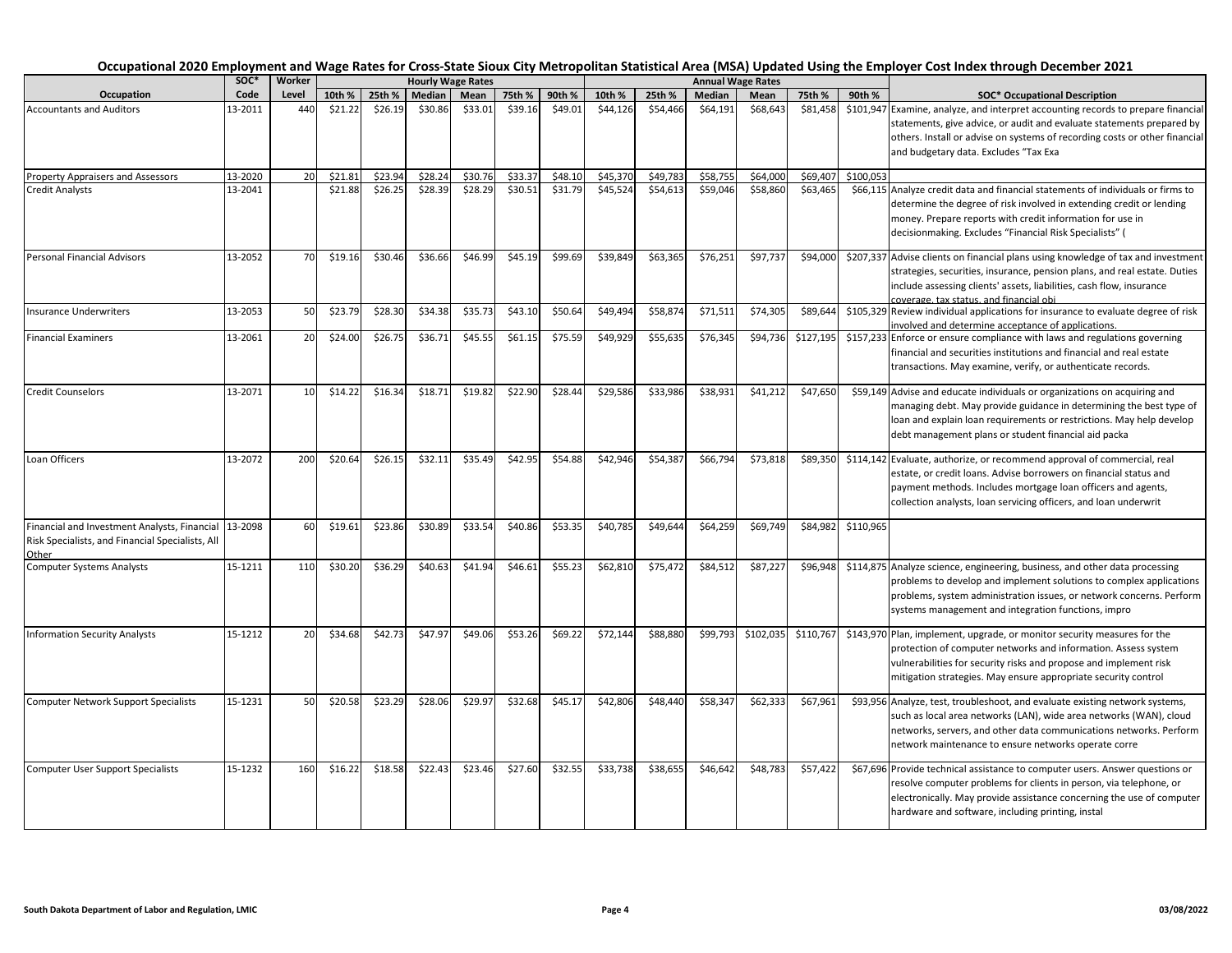|                                                                                                           |         |        |         |         |               |                          |         |         |          |          |          |                          |           |           | Occupational 2020 Employment and Wage Rates for Cross-State Sioux City Metropolitan Statistical Area (MSA) Updated Using the Employer Cost Index through December 2021                                                                                                            |
|-----------------------------------------------------------------------------------------------------------|---------|--------|---------|---------|---------------|--------------------------|---------|---------|----------|----------|----------|--------------------------|-----------|-----------|-----------------------------------------------------------------------------------------------------------------------------------------------------------------------------------------------------------------------------------------------------------------------------------|
|                                                                                                           | SOC*    | Worker |         |         |               | <b>Hourly Wage Rates</b> |         |         |          |          |          | <b>Annual Wage Rates</b> |           |           |                                                                                                                                                                                                                                                                                   |
| Occupation                                                                                                | Code    | Level  | 10th %  | 25th %  | <b>Median</b> | Mean                     | 75th %  | 90th %  | 10th %   | 25th %   | Median   | Mean                     | 75th %    | 90th %    | <b>SOC* Occupational Description</b>                                                                                                                                                                                                                                              |
| <b>Accountants and Auditors</b>                                                                           | 13-2011 | 440    | \$21.22 | \$26.19 | \$30.86       | \$33.01                  | \$39.16 | \$49.01 | \$44,126 | \$54,466 | \$64,191 | \$68,643                 | \$81,458  |           | \$101,947 Examine, analyze, and interpret accounting records to prepare financial<br>statements, give advice, or audit and evaluate statements prepared by<br>others. Install or advise on systems of recording costs or other financial<br>and budgetary data. Excludes "Tax Exa |
| Property Appraisers and Assessors                                                                         | 13-2020 | 20     | \$21.81 | \$23.94 | \$28.24       | \$30.76                  | \$33.37 | \$48.10 | \$45,370 | \$49,783 | \$58,755 | \$64,000                 | \$69,407  | \$100,053 |                                                                                                                                                                                                                                                                                   |
| <b>Credit Analysts</b>                                                                                    | 13-2041 |        | \$21.88 | \$26.25 | \$28.39       | \$28.29                  | \$30.51 | \$31.79 | \$45,524 | \$54,613 | \$59,046 | \$58,860                 | \$63,465  |           | \$66,115 Analyze credit data and financial statements of individuals or firms to<br>determine the degree of risk involved in extending credit or lending<br>money. Prepare reports with credit information for use in<br>decisionmaking. Excludes "Financial Risk Specialists" (  |
| <b>Personal Financial Advisors</b>                                                                        | 13-2052 | 70     | \$19.16 | \$30.46 | \$36.66       | \$46.99                  | \$45.19 | \$99.69 | \$39,849 | \$63,365 | \$76,251 | \$97,737                 | \$94,000  |           | \$207,337 Advise clients on financial plans using knowledge of tax and investment<br>strategies, securities, insurance, pension plans, and real estate. Duties<br>include assessing clients' assets, liabilities, cash flow, insurance<br>coverage, tax status, and financial obi |
| <b>Insurance Underwriters</b>                                                                             | 13-2053 | 50     | \$23.79 | \$28.30 | \$34.38       | \$35.73                  | \$43.10 | \$50.64 | \$49,494 | \$58,874 | \$71,511 | \$74,305                 | \$89,644  |           | \$105,329 Review individual applications for insurance to evaluate degree of risk<br>involved and determine acceptance of applications.                                                                                                                                           |
| <b>Financial Examiners</b>                                                                                | 13-2061 | 20     | \$24.00 | \$26.75 | \$36.71       | \$45.55                  | \$61.15 | \$75.59 | \$49,929 | \$55,635 | \$76,345 | \$94,736                 | \$127,195 |           | \$157,233 Enforce or ensure compliance with laws and regulations governing<br>financial and securities institutions and financial and real estate<br>transactions. May examine, verify, or authenticate records.                                                                  |
| <b>Credit Counselors</b>                                                                                  | 13-2071 | 10     | \$14.22 | \$16.34 | \$18.71       | \$19.82                  | \$22.90 | \$28.44 | \$29,586 | \$33,986 | \$38,931 | \$41,212                 | \$47,650  |           | \$59,149 Advise and educate individuals or organizations on acquiring and<br>managing debt. May provide guidance in determining the best type of<br>loan and explain loan requirements or restrictions. May help develop<br>debt management plans or student financial aid packa  |
| Loan Officers                                                                                             | 13-2072 | 200    | \$20.64 | \$26.15 | \$32.11       | \$35.49                  | \$42.95 | \$54.88 | \$42,946 | \$54,387 | \$66,794 | \$73,818                 | \$89,350  |           | \$114,142 Evaluate, authorize, or recommend approval of commercial, real<br>estate, or credit loans. Advise borrowers on financial status and<br>payment methods. Includes mortgage loan officers and agents,<br>collection analysts, loan servicing officers, and loan underwrit |
| Financial and Investment Analysts, Financial<br>Risk Specialists, and Financial Specialists, All<br>Other | 13-2098 | 60     | \$19.61 | \$23.86 | \$30.89       | \$33.54                  | \$40.86 | \$53.35 | \$40,785 | \$49,644 | \$64,259 | \$69,749                 | \$84,982  | \$110,965 |                                                                                                                                                                                                                                                                                   |
| <b>Computer Systems Analysts</b>                                                                          | 15-1211 | 110    | \$30.20 | \$36.29 | \$40.63       | \$41.94                  | \$46.61 | \$55.23 | \$62,810 | \$75,472 | \$84,512 | \$87,22                  | \$96,948  |           | \$114,875 Analyze science, engineering, business, and other data processing<br>problems to develop and implement solutions to complex applications<br>problems, system administration issues, or network concerns. Perform<br>systems management and integration functions, impro |
| <b>Information Security Analysts</b>                                                                      | 15-1212 | 20     | \$34.68 | \$42.73 | \$47.97       | \$49.06                  | \$53.26 | \$69.22 | \$72,144 | \$88,880 | \$99,793 | \$102,035                | \$110,767 |           | \$143,970 Plan, implement, upgrade, or monitor security measures for the<br>protection of computer networks and information. Assess system<br>vulnerabilities for security risks and propose and implement risk<br>mitigation strategies. May ensure appropriate security control |
| <b>Computer Network Support Specialists</b>                                                               | 15-1231 | 50     | \$20.58 | \$23.29 | \$28.06       | \$29.97                  | \$32.68 | \$45.17 | \$42,806 | \$48,440 | \$58,347 | \$62,333                 | \$67,961  |           | \$93,956 Analyze, test, troubleshoot, and evaluate existing network systems,<br>such as local area networks (LAN), wide area networks (WAN), cloud<br>networks, servers, and other data communications networks. Perform<br>network maintenance to ensure networks operate corre  |
| <b>Computer User Support Specialists</b>                                                                  | 15-1232 | 160    | \$16.22 | \$18.58 | \$22.43       | \$23.46                  | \$27.60 | \$32.55 | \$33,738 | \$38,655 | \$46,642 | \$48,783                 | \$57,422  |           | \$67,696 Provide technical assistance to computer users. Answer questions or<br>resolve computer problems for clients in person, via telephone, or<br>electronically. May provide assistance concerning the use of computer<br>hardware and software, including printing, instal  |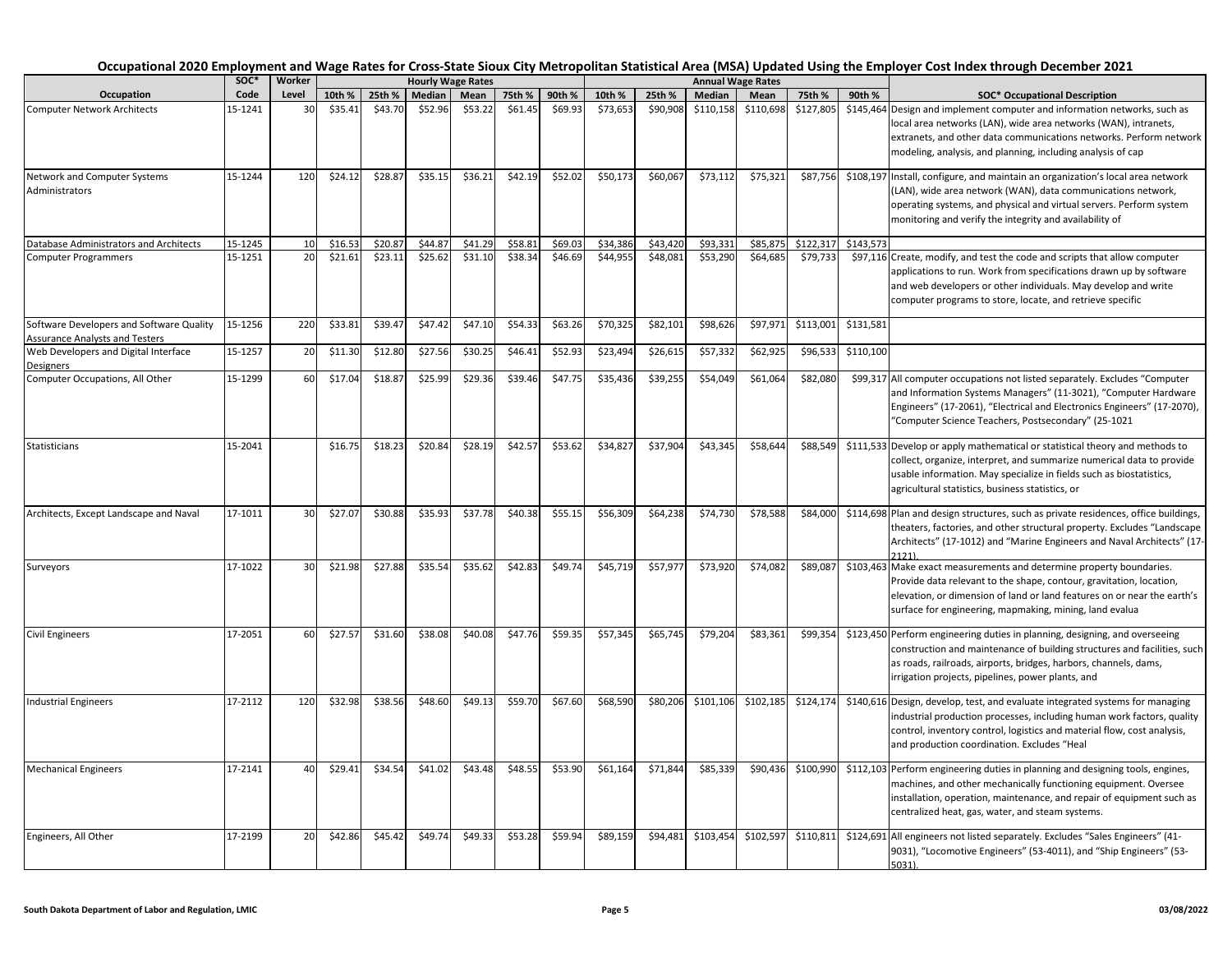|                                                                                   | SOC*    | Worker |         |         |         | <b>Hourly Wage Rates</b> |         |         |          |          |           | <b>Annual Wage Rates</b> |           |           |                                                                                                                                                                                                                                                                                   |
|-----------------------------------------------------------------------------------|---------|--------|---------|---------|---------|--------------------------|---------|---------|----------|----------|-----------|--------------------------|-----------|-----------|-----------------------------------------------------------------------------------------------------------------------------------------------------------------------------------------------------------------------------------------------------------------------------------|
| Occupation                                                                        | Code    | Level  | 10th %  | 25th %  | Median  | Mean                     | 75th %  | 90th %  | 10th %   | 25th %   | Median    | Mean                     | 75th %    | 90th %    | <b>SOC* Occupational Description</b>                                                                                                                                                                                                                                              |
| <b>Computer Network Architects</b>                                                | 15-1241 | 30     | \$35.41 | \$43.70 | \$52.96 | \$53.22                  | \$61.45 | \$69.93 | \$73,653 | \$90,908 | \$110,158 | \$110,698                | \$127,805 |           | \$145,464 Design and implement computer and information networks, such as<br>local area networks (LAN), wide area networks (WAN), intranets,<br>extranets, and other data communications networks. Perform network<br>modeling, analysis, and planning, including analysis of cap |
| Network and Computer Systems<br>Administrators                                    | 15-1244 | 120    | \$24.12 | \$28.87 | \$35.15 | \$36.21                  | \$42.19 | \$52.02 | \$50,173 | \$60,067 | \$73,112  | \$75,321                 | \$87,756  |           | \$108,197 Install, configure, and maintain an organization's local area network<br>(LAN), wide area network (WAN), data communications network,<br>operating systems, and physical and virtual servers. Perform system<br>monitoring and verify the integrity and availability of |
| Database Administrators and Architects                                            | 15-1245 | 10     | \$16.5  | \$20.87 | \$44.87 | \$41.29                  | \$58.81 | \$69.03 | \$34,386 | \$43,420 | \$93,331  | \$85,875                 | \$122,317 | \$143,573 |                                                                                                                                                                                                                                                                                   |
| <b>Computer Programmers</b>                                                       | 15-1251 | 20     | \$21.61 | \$23.11 | \$25.62 | \$31.10                  | \$38.34 | \$46.69 | \$44,955 | \$48,081 | \$53,290  | \$64,685                 | \$79,733  |           | \$97,116 Create, modify, and test the code and scripts that allow computer<br>applications to run. Work from specifications drawn up by software<br>and web developers or other individuals. May develop and write<br>computer programs to store, locate, and retrieve specific   |
| Software Developers and Software Quality<br><b>Assurance Analysts and Testers</b> | 15-1256 | 220    | \$33.81 | \$39.47 | \$47.42 | \$47.10                  | \$54.33 | \$63.26 | \$70,325 | \$82,101 | \$98,626  | \$97,971                 | \$113,001 | \$131,581 |                                                                                                                                                                                                                                                                                   |
| Web Developers and Digital Interface<br>Designers                                 | 15-1257 | 20     | \$11.30 | \$12.80 | \$27.56 | \$30.25                  | \$46.41 | \$52.93 | \$23,494 | \$26,615 | \$57,332  | \$62,925                 | \$96,533  | \$110,100 |                                                                                                                                                                                                                                                                                   |
| Computer Occupations, All Other                                                   | 15-1299 | 60     | \$17.04 | \$18.8  | \$25.99 | \$29.36                  | \$39.46 | \$47.75 | \$35,436 | \$39,255 | \$54,049  | \$61,064                 | \$82,080  |           | \$99,317 All computer occupations not listed separately. Excludes "Computer<br>and Information Systems Managers" (11-3021), "Computer Hardware<br>Engineers" (17-2061), "Electrical and Electronics Engineers" (17-2070),<br>"Computer Science Teachers, Postsecondary" (25-1021  |
| Statisticians                                                                     | 15-2041 |        | \$16.75 | \$18.23 | \$20.84 | \$28.19                  | \$42.57 | \$53.62 | \$34,827 | \$37,904 | \$43,345  | \$58,644                 | \$88,549  |           | \$111,533 Develop or apply mathematical or statistical theory and methods to<br>collect, organize, interpret, and summarize numerical data to provide<br>usable information. May specialize in fields such as biostatistics,<br>agricultural statistics, business statistics, or  |
| Architects, Except Landscape and Naval                                            | 17-1011 | 30     | \$27.07 | \$30.88 | \$35.93 | \$37.78                  | \$40.38 | \$55.15 | \$56,309 | \$64,238 | \$74,730  | \$78,588                 | \$84,000  |           | \$114,698 Plan and design structures, such as private residences, office buildings,<br>theaters, factories, and other structural property. Excludes "Landscape<br>Architects" (17-1012) and "Marine Engineers and Naval Architects" (17-<br>2121)                                 |
| Surveyors                                                                         | 17-1022 | 30     | \$21.98 | \$27.88 | \$35.54 | \$35.62                  | \$42.83 | \$49.74 | \$45,719 | \$57,977 | \$73,920  | \$74,082                 | \$89,087  |           | \$103,463 Make exact measurements and determine property boundaries.<br>Provide data relevant to the shape, contour, gravitation, location,<br>elevation, or dimension of land or land features on or near the earth's<br>surface for engineering, mapmaking, mining, land evalua |
| <b>Civil Engineers</b>                                                            | 17-2051 | 60     | \$27.57 | \$31.60 | \$38.08 | \$40.08                  | \$47.76 | \$59.35 | \$57,345 | \$65,745 | \$79,204  | \$83,361                 | \$99,354  |           | \$123,450 Perform engineering duties in planning, designing, and overseeing<br>construction and maintenance of building structures and facilities, such<br>as roads, railroads, airports, bridges, harbors, channels, dams,<br>irrigation projects, pipelines, power plants, and  |
| <b>Industrial Engineers</b>                                                       | 17-2112 | 120    | \$32.98 | \$38.56 | \$48.60 | \$49.13                  | \$59.70 | \$67.60 | \$68,590 | \$80,206 | \$101,106 | \$102,185                | \$124,174 |           | \$140,616 Design, develop, test, and evaluate integrated systems for managing<br>industrial production processes, including human work factors, quality<br>control, inventory control, logistics and material flow, cost analysis,<br>and production coordination. Excludes "Heal |
| <b>Mechanical Engineers</b>                                                       | 17-2141 | 40     | \$29.41 | \$34.54 | \$41.02 | \$43.48                  | \$48.55 | \$53.90 | \$61,164 | \$71,844 | \$85,339  | \$90,436                 | \$100,990 |           | \$112,103 Perform engineering duties in planning and designing tools, engines,<br>machines, and other mechanically functioning equipment. Oversee<br>installation, operation, maintenance, and repair of equipment such as<br>centralized heat, gas, water, and steam systems.    |
| Engineers, All Other                                                              | 17-2199 | 20     | \$42.86 | \$45.42 | \$49.74 | \$49.33                  | \$53.28 | \$59.94 | \$89,159 | \$94,481 | \$103,454 | \$102,597                | \$110,811 |           | \$124,691 All engineers not listed separately. Excludes "Sales Engineers" (41-<br>9031), "Locomotive Engineers" (53-4011), and "Ship Engineers" (53-<br>$5031$ ).                                                                                                                 |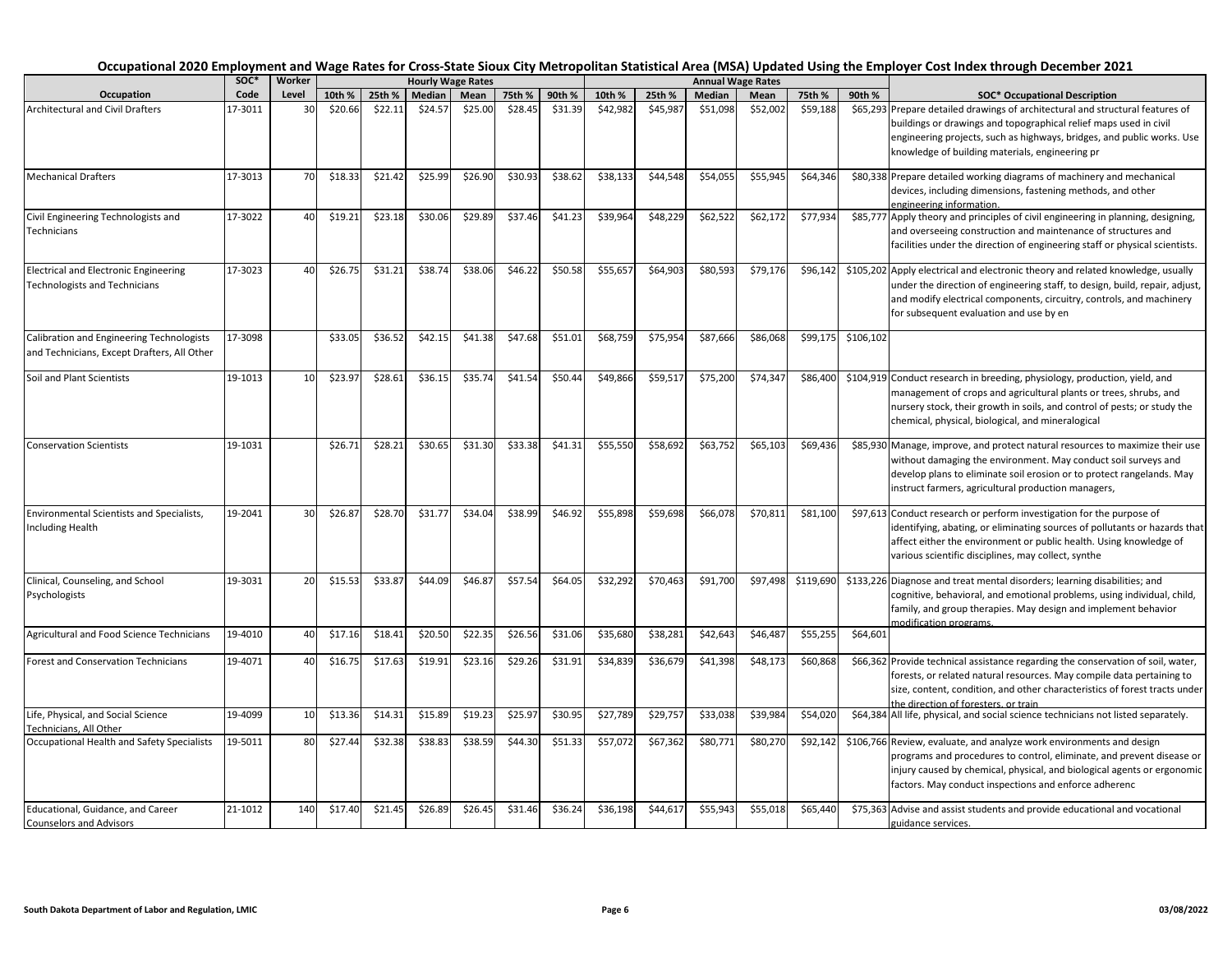|                                                                                          | soc*    | Worker |         |         |         | <b>Hourly Wage Rates</b> |         |         |          |          |          | <b>Annual Wage Rates</b> |           |           |                                                                                                                                                                                                                                                                                   |
|------------------------------------------------------------------------------------------|---------|--------|---------|---------|---------|--------------------------|---------|---------|----------|----------|----------|--------------------------|-----------|-----------|-----------------------------------------------------------------------------------------------------------------------------------------------------------------------------------------------------------------------------------------------------------------------------------|
| Occupation                                                                               | Code    | Level  | 10th %  | 25th %  | Median  | Mean                     | 75th %  | 90th %  | 10th %   | 25th %   | Median   | Mean                     | 75th %    | 90th %    | <b>SOC* Occupational Description</b>                                                                                                                                                                                                                                              |
| <b>Architectural and Civil Drafters</b>                                                  | 17-3011 | 30     | \$20.66 | \$22.11 | \$24.57 | \$25.00                  | \$28.45 | \$31.39 | \$42,982 | \$45,987 | \$51,098 | \$52,002                 | \$59,188  |           | \$65,293 Prepare detailed drawings of architectural and structural features of<br>buildings or drawings and topographical relief maps used in civil<br>engineering projects, such as highways, bridges, and public works. Use<br>knowledge of building materials, engineering pr  |
| <b>Mechanical Drafters</b>                                                               | 17-3013 | 70     | \$18.33 | \$21.42 | \$25.99 | \$26.90                  | \$30.93 | \$38.62 | \$38,133 | \$44,548 | \$54,055 | \$55,945                 | \$64,346  |           | \$80,338 Prepare detailed working diagrams of machinery and mechanical<br>devices, including dimensions, fastening methods, and other<br>engineering information.                                                                                                                 |
| Civil Engineering Technologists and<br>Technicians                                       | 17-3022 | 40     | \$19.21 | \$23.18 | \$30.06 | \$29.89                  | \$37.46 | \$41.23 | \$39,964 | \$48,229 | \$62,522 | \$62,172                 | \$77,934  |           | \$85,777 Apply theory and principles of civil engineering in planning, designing,<br>and overseeing construction and maintenance of structures and<br>facilities under the direction of engineering staff or physical scientists.                                                 |
| <b>Electrical and Electronic Engineering</b><br><b>Technologists and Technicians</b>     | 17-3023 | 40     | \$26.75 | \$31.21 | \$38.74 | \$38.06                  | \$46.22 | \$50.58 | \$55,657 | \$64,903 | \$80,593 | \$79,176                 | \$96,142  |           | \$105,202 Apply electrical and electronic theory and related knowledge, usually<br>under the direction of engineering staff, to design, build, repair, adjust,<br>and modify electrical components, circuitry, controls, and machinery<br>for subsequent evaluation and use by en |
| Calibration and Engineering Technologists<br>and Technicians, Except Drafters, All Other | 17-3098 |        | \$33.05 | \$36.52 | \$42.15 | \$41.38                  | \$47.68 | \$51.01 | \$68,759 | \$75,954 | \$87,666 | \$86,068                 | \$99,175  | \$106,102 |                                                                                                                                                                                                                                                                                   |
| Soil and Plant Scientists                                                                | 19-1013 | 10     | \$23.97 | \$28.61 | \$36.15 | \$35.74                  | \$41.54 | \$50.44 | \$49,866 | \$59,517 | \$75,200 | \$74,347                 | \$86,400  |           | \$104,919 Conduct research in breeding, physiology, production, yield, and<br>management of crops and agricultural plants or trees, shrubs, and<br>nursery stock, their growth in soils, and control of pests; or study the<br>chemical, physical, biological, and mineralogical  |
| <b>Conservation Scientists</b>                                                           | 19-1031 |        | \$26.71 | \$28.21 | \$30.65 | \$31.30                  | \$33.38 | \$41.31 | \$55,550 | \$58,692 | \$63,752 | \$65,103                 | \$69,436  |           | \$85,930 Manage, improve, and protect natural resources to maximize their use<br>without damaging the environment. May conduct soil surveys and<br>develop plans to eliminate soil erosion or to protect rangelands. May<br>instruct farmers, agricultural production managers,   |
| <b>Environmental Scientists and Specialists,</b><br>Including Health                     | 19-2041 | 30     | \$26.87 | \$28.70 | \$31.77 | \$34.04                  | \$38.99 | \$46.92 | \$55,898 | \$59,698 | \$66,078 | \$70,811                 | \$81,100  |           | \$97,613 Conduct research or perform investigation for the purpose of<br>identifying, abating, or eliminating sources of pollutants or hazards that<br>affect either the environment or public health. Using knowledge of<br>various scientific disciplines, may collect, synthe  |
| Clinical, Counseling, and School<br>Psychologists                                        | 19-3031 | 20     | \$15.53 | \$33.87 | \$44.09 | \$46.87                  | \$57.54 | \$64.05 | \$32,292 | \$70,463 | \$91,700 | \$97,498                 | \$119,690 |           | \$133,226 Diagnose and treat mental disorders; learning disabilities; and<br>cognitive, behavioral, and emotional problems, using individual, child,<br>family, and group therapies. May design and implement behavior<br>modification programs.                                  |
| Agricultural and Food Science Technicians                                                | 19-4010 | 40     | \$17.16 | \$18.41 | \$20.50 | \$22.35                  | \$26.56 | \$31.06 | \$35,680 | \$38,281 | \$42,643 | \$46,487                 | \$55,255  | \$64,601  |                                                                                                                                                                                                                                                                                   |
| <b>Forest and Conservation Technicians</b>                                               | 19-4071 | 40     | \$16.75 | \$17.63 | \$19.91 | \$23.16                  | \$29.26 | \$31.91 | \$34,839 | \$36,679 | \$41,398 | \$48,173                 | \$60,868  |           | \$66,362 Provide technical assistance regarding the conservation of soil, water,<br>forests, or related natural resources. May compile data pertaining to<br>size, content, condition, and other characteristics of forest tracts under<br>the direction of foresters, or train   |
| Life, Physical, and Social Science<br>Technicians, All Other                             | 19-4099 | 10     | \$13.36 | \$14.31 | \$15.89 | \$19.23                  | \$25.97 | \$30.95 | \$27,789 | \$29,757 | \$33,038 | \$39,984                 | \$54,020  |           | \$64,384 All life, physical, and social science technicians not listed separately.                                                                                                                                                                                                |
| Occupational Health and Safety Specialists                                               | 19-5011 | 80     | \$27.44 | \$32.38 | \$38.83 | \$38.59                  | \$44.30 | \$51.33 | \$57,072 | \$67,362 | \$80,771 | \$80,270                 | \$92,142  |           | \$106,766 Review, evaluate, and analyze work environments and design<br>programs and procedures to control, eliminate, and prevent disease or<br>injury caused by chemical, physical, and biological agents or ergonomic<br>factors. May conduct inspections and enforce adherenc |
| Educational, Guidance, and Career<br><b>Counselors and Advisors</b>                      | 21-1012 | 140    | \$17.40 | \$21.45 | \$26.89 | \$26.45                  | \$31.46 | \$36.24 | \$36,198 | \$44,617 | \$55,943 | \$55,018                 | \$65,440  |           | \$75,363 Advise and assist students and provide educational and vocational<br>guidance services.                                                                                                                                                                                  |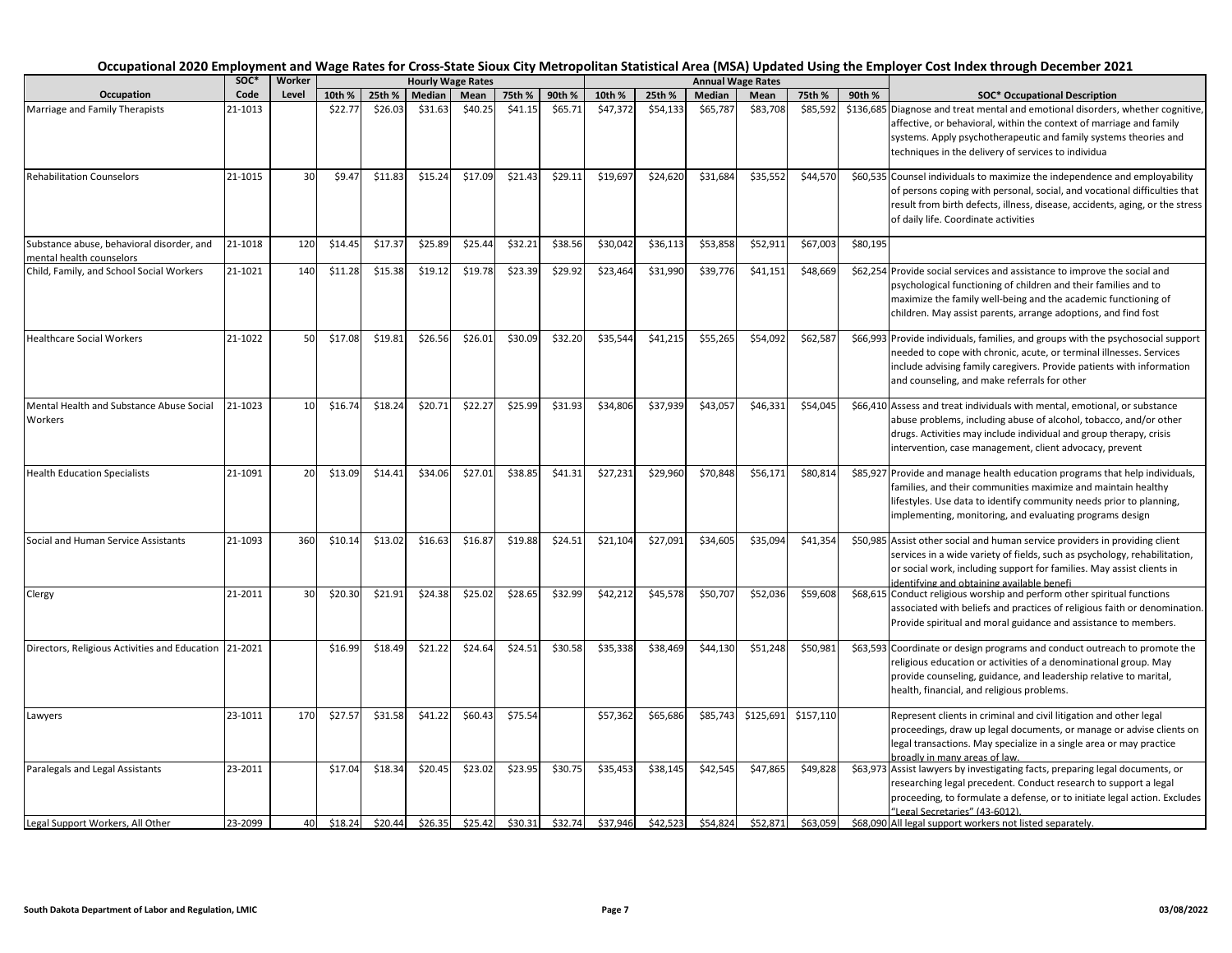|                                                                       | soc*    | Worker |         |         |         | <b>Hourly Wage Rates</b> |         |         |          |          |          | <b>Annual Wage Rates</b> |           |          |                                                                                                                                                                                                                                                                                   |
|-----------------------------------------------------------------------|---------|--------|---------|---------|---------|--------------------------|---------|---------|----------|----------|----------|--------------------------|-----------|----------|-----------------------------------------------------------------------------------------------------------------------------------------------------------------------------------------------------------------------------------------------------------------------------------|
| Occupation                                                            | Code    | Level  | 10th %  | 25th %  | Median  | Mean                     | 75th %  | 90th %  | 10th %   | 25th %   | Median   | Mean                     | 75th %    | 90th %   | <b>SOC* Occupational Description</b>                                                                                                                                                                                                                                              |
| Marriage and Family Therapists                                        | 21-1013 |        | \$22.77 | \$26.03 | \$31.63 | \$40.25                  | \$41.15 | \$65.71 | \$47,372 | \$54,133 | \$65,787 | \$83,708                 | \$85,592  |          | \$136,685 Diagnose and treat mental and emotional disorders, whether cognitive,<br>affective, or behavioral, within the context of marriage and family<br>systems. Apply psychotherapeutic and family systems theories and<br>techniques in the delivery of services to individua |
| <b>Rehabilitation Counselors</b>                                      | 21-1015 | 30     | \$9.47  | \$11.83 | \$15.24 | \$17.09                  | \$21.43 | \$29.11 | \$19,697 | \$24,620 | \$31,684 | \$35,552                 | \$44,570  |          | \$60,535 Counsel individuals to maximize the independence and employability<br>of persons coping with personal, social, and vocational difficulties that<br>result from birth defects, illness, disease, accidents, aging, or the stress<br>of daily life. Coordinate activities  |
| Substance abuse, behavioral disorder, and<br>mental health counselors | 21-1018 | 120    | \$14.45 | \$17.37 | \$25.89 | \$25.44                  | \$32.21 | \$38.56 | \$30,042 | \$36,113 | \$53,858 | \$52,911                 | \$67,003  | \$80,195 |                                                                                                                                                                                                                                                                                   |
| Child, Family, and School Social Workers                              | 21-1021 | 140    | \$11.28 | \$15.38 | \$19.12 | \$19.78                  | \$23.39 | \$29.92 | \$23,464 | \$31,990 | \$39,776 | \$41,151                 | \$48,669  |          | \$62,254 Provide social services and assistance to improve the social and<br>psychological functioning of children and their families and to<br>maximize the family well-being and the academic functioning of<br>children. May assist parents, arrange adoptions, and find fost  |
| <b>Healthcare Social Workers</b>                                      | 21-1022 | 50     | \$17.08 | \$19.81 | \$26.56 | \$26.01                  | \$30.09 | \$32.20 | \$35,544 | \$41,215 | \$55,265 | \$54,092                 | \$62,587  |          | \$66,993 Provide individuals, families, and groups with the psychosocial support<br>needed to cope with chronic, acute, or terminal illnesses. Services<br>include advising family caregivers. Provide patients with information<br>and counseling, and make referrals for other  |
| Mental Health and Substance Abuse Social<br>Workers                   | 21-1023 | 10     | \$16.74 | \$18.24 | \$20.71 | \$22.27                  | \$25.99 | \$31.93 | \$34,806 | \$37,939 | \$43,057 | \$46,331                 | \$54,045  |          | \$66,410 Assess and treat individuals with mental, emotional, or substance<br>abuse problems, including abuse of alcohol, tobacco, and/or other<br>drugs. Activities may include individual and group therapy, crisis<br>intervention, case management, client advocacy, prevent  |
| <b>Health Education Specialists</b>                                   | 21-1091 | 20     | \$13.09 | \$14.41 | \$34.06 | \$27.01                  | \$38.85 | \$41.31 | \$27,231 | \$29,960 | \$70,848 | \$56,171                 | \$80,814  |          | \$85,927 Provide and manage health education programs that help individuals,<br>families, and their communities maximize and maintain healthy<br>lifestyles. Use data to identify community needs prior to planning,<br>implementing, monitoring, and evaluating programs design  |
| Social and Human Service Assistants                                   | 21-1093 | 360    | \$10.14 | \$13.02 | \$16.63 | \$16.87                  | \$19.88 | \$24.51 | \$21,104 | \$27,091 | \$34,605 | \$35,094                 | \$41,354  |          | \$50,985 Assist other social and human service providers in providing client<br>services in a wide variety of fields, such as psychology, rehabilitation,<br>or social work, including support for families. May assist clients in<br>dentifying and obtaining available benefi   |
| Clergy                                                                | 21-2011 | 30     | \$20.30 | \$21.91 | \$24.38 | \$25.02                  | \$28.65 | \$32.99 | \$42,212 | \$45,578 | \$50,707 | \$52,036                 | \$59,608  |          | \$68,615 Conduct religious worship and perform other spiritual functions<br>associated with beliefs and practices of religious faith or denomination.<br>Provide spiritual and moral guidance and assistance to members.                                                          |
| Directors, Religious Activities and Education 21-2021                 |         |        | \$16.99 | \$18.49 | \$21.22 | \$24.64                  | \$24.51 | \$30.58 | \$35,338 | \$38,469 | \$44,130 | \$51,248                 | \$50,981  |          | \$63,593 Coordinate or design programs and conduct outreach to promote the<br>religious education or activities of a denominational group. May<br>provide counseling, guidance, and leadership relative to marital,<br>health, financial, and religious problems.                 |
| Lawyers                                                               | 23-1011 | 170    | \$27.57 | \$31.58 | \$41.22 | \$60.43                  | \$75.54 |         | \$57,362 | \$65,686 | \$85,743 | \$125,691                | \$157,110 |          | Represent clients in criminal and civil litigation and other legal<br>proceedings, draw up legal documents, or manage or advise clients on<br>legal transactions. May specialize in a single area or may practice<br>broadly in many areas of law.                                |
| Paralegals and Legal Assistants                                       | 23-2011 |        | \$17.04 | \$18.34 | \$20.45 | \$23.02                  | \$23.95 | \$30.75 | \$35,453 | \$38,145 | \$42,545 | \$47,865                 | \$49,828  |          | \$63,973 Assist lawyers by investigating facts, preparing legal documents, or<br>researching legal precedent. Conduct research to support a legal<br>proceeding, to formulate a defense, or to initiate legal action. Excludes<br>"Legal Secretaries" (43-6012).                  |
| Legal Support Workers, All Other                                      | 23-2099 | 40     | \$18.24 | \$20.44 | \$26.35 | \$25.42                  | \$30.31 | \$32.74 | \$37.946 | \$42,523 | \$54,824 | \$52.871                 | \$63,059  |          | \$68,090 All legal support workers not listed separately.                                                                                                                                                                                                                         |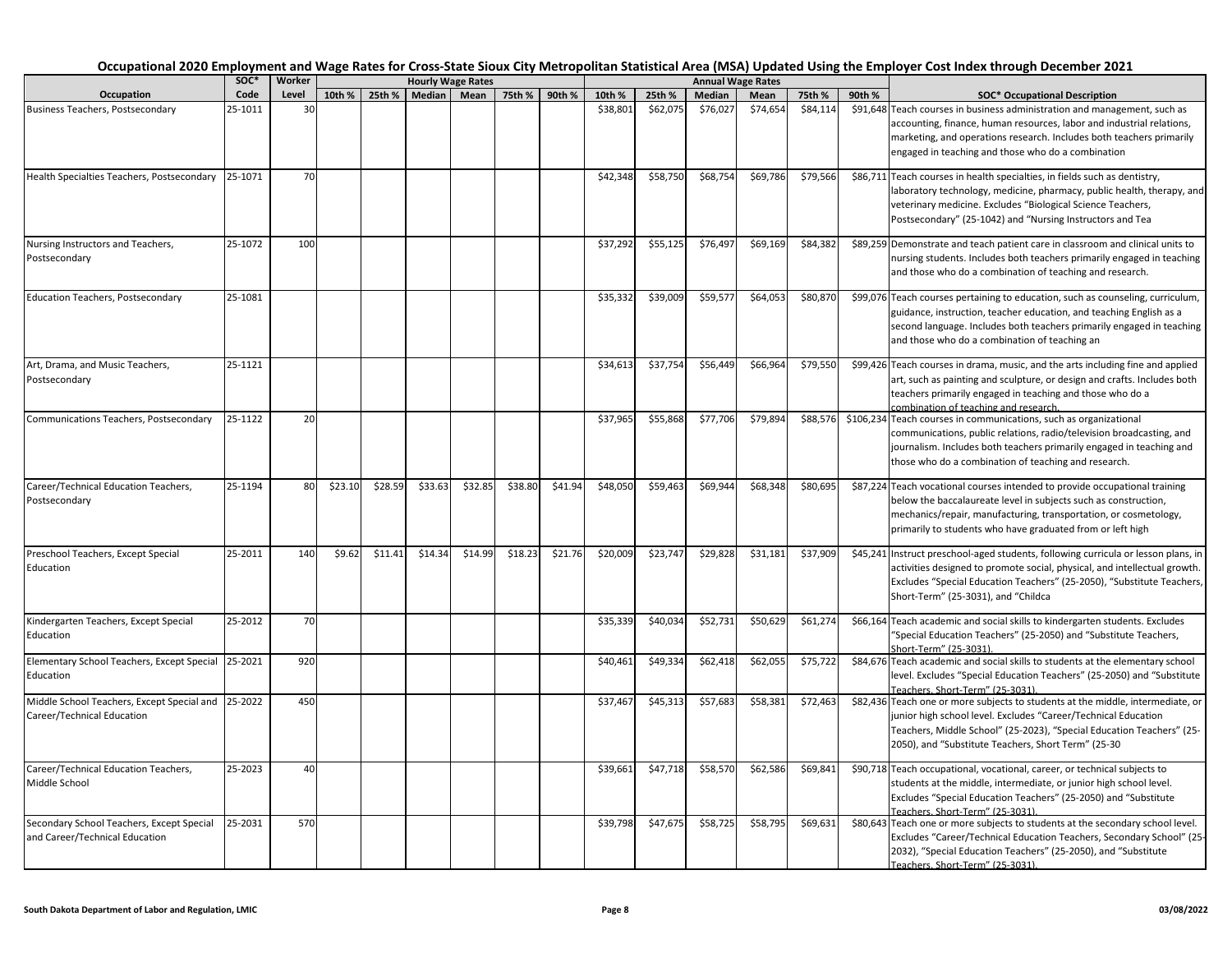|                                                                             | SOC*    | Worker |         |                      | <b>Hourly Wage Rates</b> |             |         |               |          |          | <b>Annual Wage Rates</b> |          |          |        | Occupational 2020 Employment and Wage Rates for Cross-State Sioux City Metropolitan Statistical Area (MSA) Updated Using the Employer Cost Index through December 2021                                                                                                            |
|-----------------------------------------------------------------------------|---------|--------|---------|----------------------|--------------------------|-------------|---------|---------------|----------|----------|--------------------------|----------|----------|--------|-----------------------------------------------------------------------------------------------------------------------------------------------------------------------------------------------------------------------------------------------------------------------------------|
| Occupation                                                                  | Code    | Level  |         | 10th % 25th % Median |                          | <b>Mean</b> |         | 75th % 90th % | 10th %   | 25th %   | Median                   | Mean     | 75th %   | 90th % | <b>SOC* Occupational Description</b>                                                                                                                                                                                                                                              |
| <b>Business Teachers, Postsecondary</b>                                     | 25-1011 | 30     |         |                      |                          |             |         |               | \$38,801 | \$62,075 | \$76,027                 | \$74,654 | \$84,114 |        | \$91,648 Teach courses in business administration and management, such as<br>accounting, finance, human resources, labor and industrial relations,<br>marketing, and operations research. Includes both teachers primarily<br>engaged in teaching and those who do a combination  |
| Health Specialties Teachers, Postsecondary                                  | 25-1071 | 70     |         |                      |                          |             |         |               | \$42,348 | \$58,750 | \$68,754                 | \$69,786 | \$79,566 |        | \$86,711 Teach courses in health specialties, in fields such as dentistry,<br>laboratory technology, medicine, pharmacy, public health, therapy, and<br>veterinary medicine. Excludes "Biological Science Teachers,<br>Postsecondary" (25-1042) and "Nursing Instructors and Tea  |
| Nursing Instructors and Teachers,<br>Postsecondary                          | 25-1072 | 100    |         |                      |                          |             |         |               | \$37,292 | \$55,125 | \$76,497                 | \$69,169 | \$84,382 |        | \$89,259 Demonstrate and teach patient care in classroom and clinical units to<br>nursing students. Includes both teachers primarily engaged in teaching<br>and those who do a combination of teaching and research.                                                              |
| <b>Education Teachers, Postsecondary</b>                                    | 25-1081 |        |         |                      |                          |             |         |               | \$35,332 | \$39,009 | \$59,577                 | \$64,053 | \$80,870 |        | \$99,076 Teach courses pertaining to education, such as counseling, curriculum,<br>guidance, instruction, teacher education, and teaching English as a<br>second language. Includes both teachers primarily engaged in teaching<br>and those who do a combination of teaching an  |
| Art, Drama, and Music Teachers,<br>Postsecondary                            | 25-1121 |        |         |                      |                          |             |         |               | \$34,613 | \$37,754 | \$56,449                 | \$66,964 | \$79,550 |        | \$99,426 Teach courses in drama, music, and the arts including fine and applied<br>art, such as painting and sculpture, or design and crafts. Includes both<br>teachers primarily engaged in teaching and those who do a<br>combination of teaching and research.                 |
| Communications Teachers, Postsecondary                                      | 25-1122 | 20     |         |                      |                          |             |         |               | \$37,965 | \$55,868 | \$77,706                 | \$79,894 | \$88,576 |        | \$106,234 Teach courses in communications, such as organizational<br>communications, public relations, radio/television broadcasting, and<br>journalism. Includes both teachers primarily engaged in teaching and<br>those who do a combination of teaching and research.         |
| Career/Technical Education Teachers,<br>Postsecondary                       | 25-1194 | 80     | \$23.10 | \$28.59              | \$33.63                  | \$32.85     | \$38.80 | \$41.94       | \$48,050 | \$59,463 | \$69,944                 | \$68,348 | \$80,695 |        | \$87,224 Teach vocational courses intended to provide occupational training<br>below the baccalaureate level in subjects such as construction,<br>mechanics/repair, manufacturing, transportation, or cosmetology,<br>primarily to students who have graduated from or left high  |
| Preschool Teachers, Except Special<br>Education                             | 25-2011 | 140    | \$9.62  | \$11.41              | \$14.34                  | \$14.99     | \$18.23 | \$21.76       | \$20,009 | \$23,747 | \$29,828                 | \$31,181 | \$37,909 |        | \$45,241 Instruct preschool-aged students, following curricula or lesson plans, in<br>activities designed to promote social, physical, and intellectual growth.<br>Excludes "Special Education Teachers" (25-2050), "Substitute Teachers,<br>Short-Term" (25-3031), and "Childca  |
| Kindergarten Teachers, Except Special<br>Education                          | 25-2012 | 70     |         |                      |                          |             |         |               | \$35,339 | \$40,034 | \$52,731                 | \$50,629 | \$61,274 |        | \$66,164 Teach academic and social skills to kindergarten students. Excludes<br>"Special Education Teachers" (25-2050) and "Substitute Teachers,<br>Short-Term" (25-3031)                                                                                                         |
| Elementary School Teachers, Except Special<br>Education                     | 25-2021 | 920    |         |                      |                          |             |         |               | \$40,461 | \$49,334 | \$62,418                 | \$62,055 | \$75,722 |        | \$84,676 Teach academic and social skills to students at the elementary school<br>level. Excludes "Special Education Teachers" (25-2050) and "Substitute<br>Teachers, Short-Term" (25-3031).                                                                                      |
| Middle School Teachers, Except Special and<br>Career/Technical Education    | 25-2022 | 450    |         |                      |                          |             |         |               | \$37,467 | \$45,313 | \$57,683                 | \$58,381 | \$72,463 |        | \$82,436 Teach one or more subjects to students at the middle, intermediate, or<br>junior high school level. Excludes "Career/Technical Education<br>Teachers, Middle School" (25-2023), "Special Education Teachers" (25-<br>2050), and "Substitute Teachers, Short Term" (25-30 |
| Career/Technical Education Teachers,<br>Middle School                       | 25-2023 | 40     |         |                      |                          |             |         |               | \$39,661 | \$47,718 | \$58,570                 | \$62,586 | \$69,841 |        | \$90,718 Teach occupational, vocational, career, or technical subjects to<br>students at the middle, intermediate, or junior high school level.<br>Excludes "Special Education Teachers" (25-2050) and "Substitute<br>Teachers. Short-Term" (25-3031)                             |
| Secondary School Teachers, Except Special<br>and Career/Technical Education | 25-2031 | 570    |         |                      |                          |             |         |               | \$39,798 | \$47,675 | \$58,725                 | \$58,795 | \$69,631 |        | \$80,643 Teach one or more subjects to students at the secondary school level.<br>Excludes "Career/Technical Education Teachers, Secondary School" (25-<br>2032), "Special Education Teachers" (25-2050), and "Substitute<br>Teachers. Short-Term" (25-3031).                     |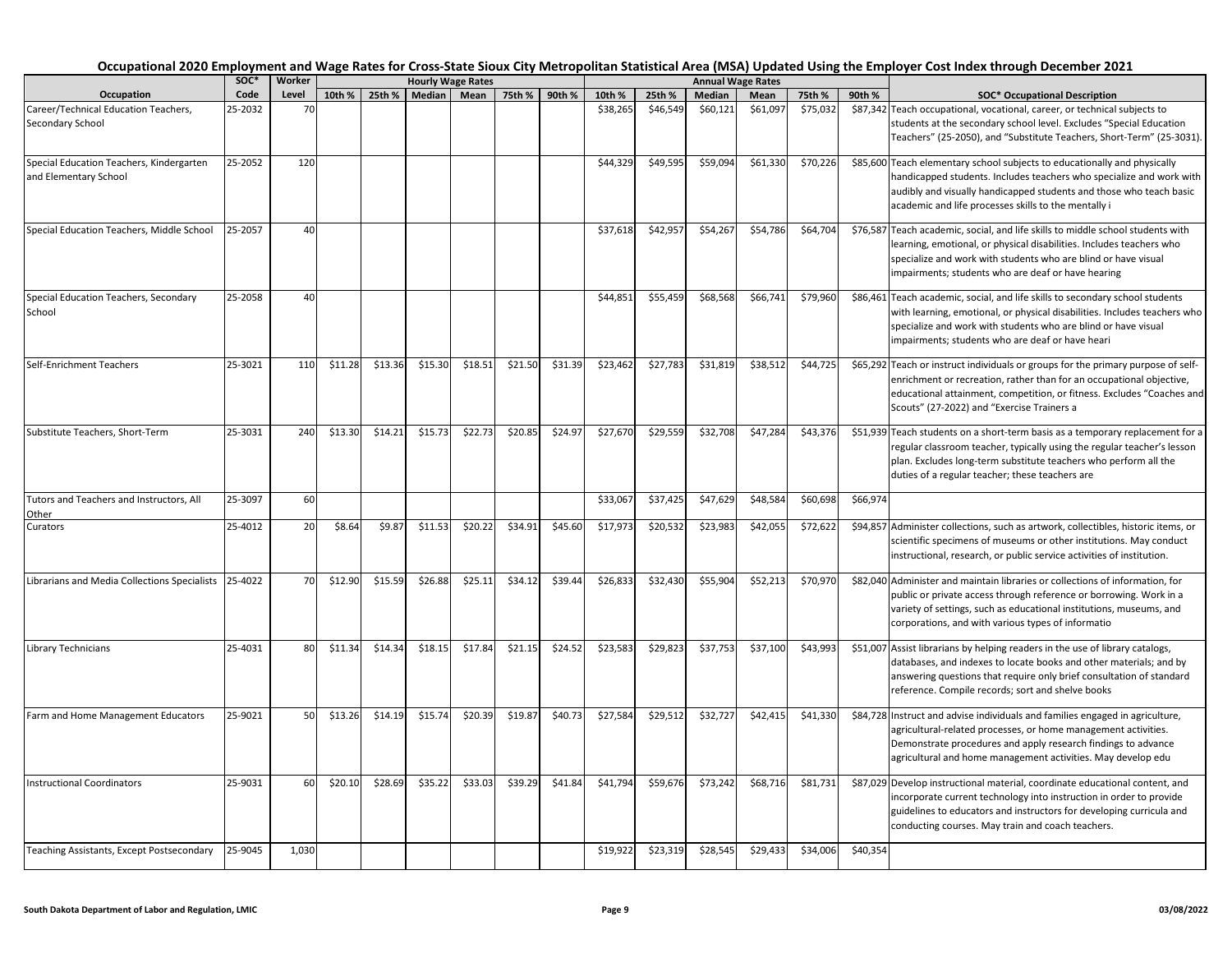|                                                                   | SOC*    | Worker |         |         |         | <b>Hourly Wage Rates</b> |         |               |          |          |          | <b>Annual Wage Rates</b> |          |          | Occupational 2020 Employment and Wage Rates for Cross-State Sioux City Metropolitan Statistical Area (MSA) Updated Using the Employer Cost Index through December 2021                                                                                                            |
|-------------------------------------------------------------------|---------|--------|---------|---------|---------|--------------------------|---------|---------------|----------|----------|----------|--------------------------|----------|----------|-----------------------------------------------------------------------------------------------------------------------------------------------------------------------------------------------------------------------------------------------------------------------------------|
| Occupation                                                        | Code    | Level  | 10th %  | 25th %  |         | Median Mean              |         | 75th % 90th % | 10th %   | 25th %   | Median   | Mean                     | 75th %   | 90th %   | <b>SOC* Occupational Description</b>                                                                                                                                                                                                                                              |
| Career/Technical Education Teachers,<br>Secondary School          | 25-2032 | 70     |         |         |         |                          |         |               | \$38,265 | \$46,549 | \$60,121 | \$61,097                 | \$75,032 |          | \$87,342 Teach occupational, vocational, career, or technical subjects to<br>students at the secondary school level. Excludes "Special Education<br>Teachers" (25-2050), and "Substitute Teachers, Short-Term" (25-3031).                                                         |
| Special Education Teachers, Kindergarten<br>and Elementary School | 25-2052 | 120    |         |         |         |                          |         |               | \$44,329 | \$49,595 | \$59,094 | \$61,330                 | \$70,226 |          | \$85,600 Teach elementary school subjects to educationally and physically<br>handicapped students. Includes teachers who specialize and work with<br>audibly and visually handicapped students and those who teach basic<br>academic and life processes skills to the mentally i  |
| Special Education Teachers, Middle School                         | 25-2057 | 40     |         |         |         |                          |         |               | \$37,618 | \$42,957 | \$54,267 | \$54,786                 | \$64,704 |          | \$76,587 Teach academic, social, and life skills to middle school students with<br>learning, emotional, or physical disabilities. Includes teachers who<br>specialize and work with students who are blind or have visual<br>impairments; students who are deaf or have hearing   |
| Special Education Teachers, Secondary<br>School                   | 25-2058 | 40     |         |         |         |                          |         |               | \$44,851 | \$55,459 | \$68,568 | \$66,741                 | \$79,960 |          | \$86,461 Teach academic, social, and life skills to secondary school students<br>with learning, emotional, or physical disabilities. Includes teachers who<br>specialize and work with students who are blind or have visual<br>impairments; students who are deaf or have heari  |
| Self-Enrichment Teachers                                          | 25-3021 | 110    | \$11.28 | \$13.36 | \$15.30 | \$18.51                  | \$21.50 | \$31.39       | \$23,462 | \$27,783 | \$31,819 | \$38,512                 | \$44,725 |          | \$65,292 Teach or instruct individuals or groups for the primary purpose of self-<br>enrichment or recreation, rather than for an occupational objective,<br>educational attainment, competition, or fitness. Excludes "Coaches and<br>Scouts" (27-2022) and "Exercise Trainers a |
| Substitute Teachers, Short-Term                                   | 25-3031 | 240    | \$13.30 | \$14.21 | \$15.73 | \$22.73                  | \$20.85 | \$24.97       | \$27,670 | \$29,559 | \$32,708 | \$47,284                 | \$43,376 |          | \$51,939 Teach students on a short-term basis as a temporary replacement for a<br>regular classroom teacher, typically using the regular teacher's lesson<br>plan. Excludes long-term substitute teachers who perform all the<br>duties of a regular teacher; these teachers are  |
| Tutors and Teachers and Instructors, All<br>Other                 | 25-3097 | 60     |         |         |         |                          |         |               | \$33,067 | \$37,425 | \$47,629 | \$48,584                 | \$60,698 | \$66,974 |                                                                                                                                                                                                                                                                                   |
| Curators                                                          | 25-4012 | 20     | \$8.64  | \$9.87  | \$11.53 | \$20.22                  | \$34.91 | \$45.60       | \$17,973 | \$20,532 | \$23,983 | \$42,055                 | \$72,622 |          | \$94,857 Administer collections, such as artwork, collectibles, historic items, or<br>scientific specimens of museums or other institutions. May conduct<br>instructional, research, or public service activities of institution.                                                 |
| Librarians and Media Collections Specialists                      | 25-4022 | 70     | \$12.90 | \$15.59 | \$26.88 | \$25.11                  | \$34.12 | \$39.44       | \$26,833 | \$32,430 | \$55,904 | \$52,213                 | \$70,970 |          | \$82,040 Administer and maintain libraries or collections of information, for<br>public or private access through reference or borrowing. Work in a<br>variety of settings, such as educational institutions, museums, and<br>corporations, and with various types of informatio  |
| Library Technicians                                               | 25-4031 | 80     | \$11.34 | \$14.34 | \$18.15 | \$17.84                  | \$21.15 | \$24.52       | \$23,583 | \$29,823 | \$37,753 | \$37,100                 | \$43,993 |          | \$51,007 Assist librarians by helping readers in the use of library catalogs,<br>databases, and indexes to locate books and other materials; and by<br>answering questions that require only brief consultation of standard<br>reference. Compile records; sort and shelve books  |
| Farm and Home Management Educators                                | 25-9021 | 50     | \$13.26 | \$14.19 | \$15.74 | \$20.39                  | \$19.87 | \$40.73       | \$27,584 | \$29,512 | \$32,727 | \$42,415                 | \$41,330 |          | \$84,728 Instruct and advise individuals and families engaged in agriculture,<br>agricultural-related processes, or home management activities.<br>Demonstrate procedures and apply research findings to advance<br>agricultural and home management activities. May develop edu  |
| <b>Instructional Coordinators</b>                                 | 25-9031 | 60     | \$20.10 | \$28.69 | \$35.22 | \$33.03                  | \$39.29 | \$41.84       | \$41,794 | \$59,676 | \$73,242 | \$68,716                 | \$81,731 |          | \$87,029 Develop instructional material, coordinate educational content, and<br>incorporate current technology into instruction in order to provide<br>guidelines to educators and instructors for developing curricula and<br>conducting courses. May train and coach teachers.  |
| Teaching Assistants, Except Postsecondary                         | 25-9045 | 1,030  |         |         |         |                          |         |               | \$19,922 | \$23,319 | \$28,545 | \$29,433                 | \$34,006 | \$40,354 |                                                                                                                                                                                                                                                                                   |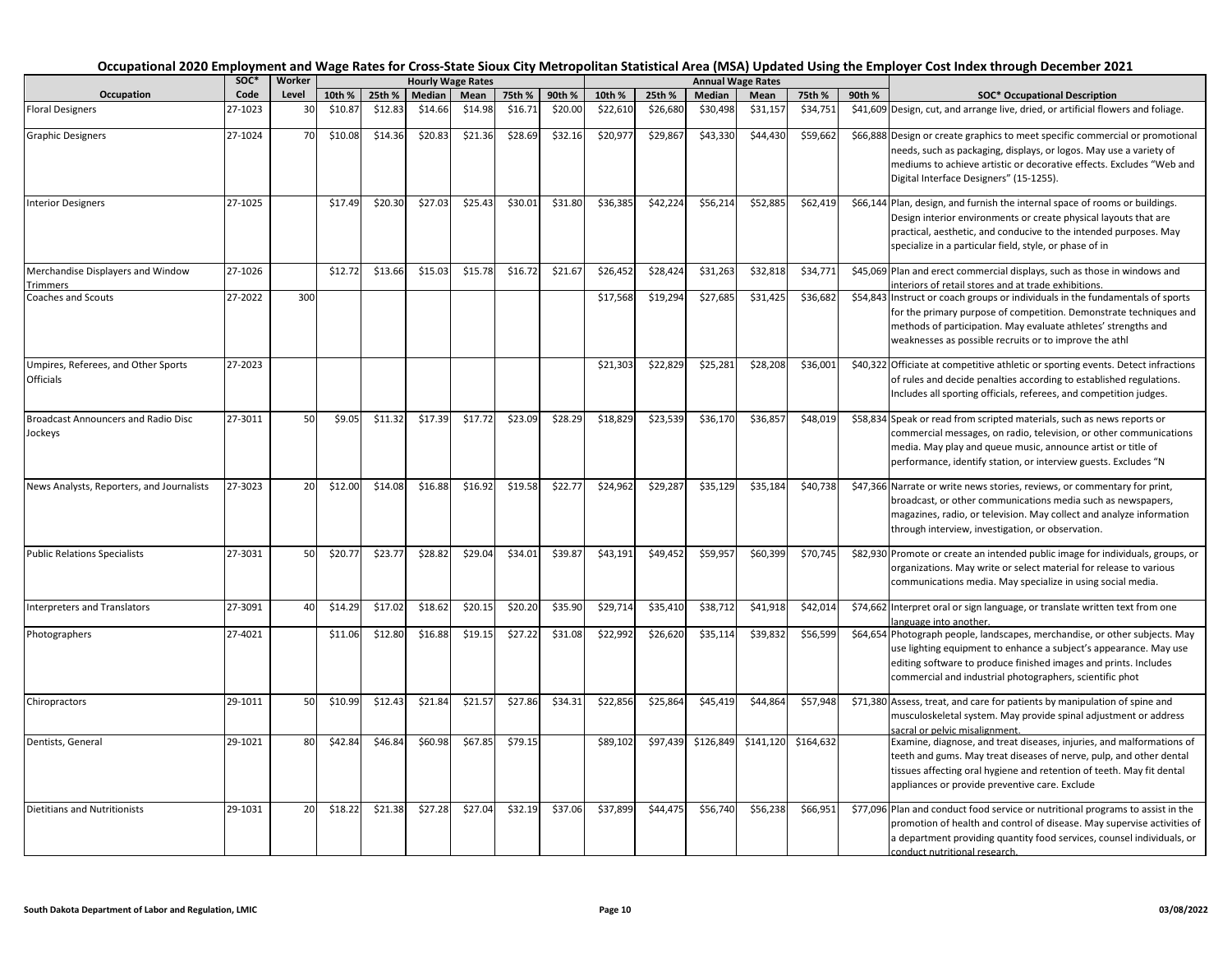|                                                       | SOC*    | Worker         |         |         |         | <b>Hourly Wage Rates</b> |         |         |          |          |           | <b>Annual Wage Rates</b> |           |        |                                                                                                                                                                                                                                                                                  |
|-------------------------------------------------------|---------|----------------|---------|---------|---------|--------------------------|---------|---------|----------|----------|-----------|--------------------------|-----------|--------|----------------------------------------------------------------------------------------------------------------------------------------------------------------------------------------------------------------------------------------------------------------------------------|
| Occupation                                            | Code    | Level          | 10th %  | 25th %  | Median  | Mean                     | 75th %  | 90th %  | 10th %   | 25th %   | Median    | Mean                     | 75th %    | 90th % | <b>SOC* Occupational Description</b>                                                                                                                                                                                                                                             |
| <b>Floral Designers</b>                               | 27-1023 | 3 <sub>C</sub> | \$10.87 | \$12.83 | \$14.66 | \$14.98                  | \$16.71 | \$20.00 | \$22,610 | \$26,680 | \$30,498  | \$31,157                 | \$34,751  |        | \$41,609 Design, cut, and arrange live, dried, or artificial flowers and foliage.                                                                                                                                                                                                |
| <b>Graphic Designers</b>                              | 27-1024 | 70             | \$10.08 | \$14.36 | \$20.83 | \$21.36                  | \$28.69 | \$32.16 | \$20,977 | \$29,867 | \$43,330  | \$44,430                 | \$59,662  |        | \$66,888 Design or create graphics to meet specific commercial or promotional<br>needs, such as packaging, displays, or logos. May use a variety of<br>mediums to achieve artistic or decorative effects. Excludes "Web and<br>Digital Interface Designers" (15-1255).           |
| <b>Interior Designers</b>                             | 27-1025 |                | \$17.49 | \$20.30 | \$27.03 | \$25.43                  | \$30.01 | \$31.80 | \$36,385 | \$42,224 | \$56,214  | \$52,885                 | \$62,419  |        | \$66,144 Plan, design, and furnish the internal space of rooms or buildings.<br>Design interior environments or create physical layouts that are<br>practical, aesthetic, and conducive to the intended purposes. May<br>specialize in a particular field, style, or phase of in |
| Merchandise Displayers and Window<br>Trimmers         | 27-1026 |                | \$12.72 | \$13.66 | \$15.03 | \$15.78                  | \$16.72 | \$21.67 | \$26,452 | \$28,424 | \$31,263  | \$32,818                 | \$34,771  |        | \$45,069 Plan and erect commercial displays, such as those in windows and<br>interiors of retail stores and at trade exhibitions.                                                                                                                                                |
| <b>Coaches and Scouts</b>                             | 27-2022 | 300            |         |         |         |                          |         |         | \$17,568 | \$19,294 | \$27,685  | \$31,425                 | \$36,682  |        | \$54,843 Instruct or coach groups or individuals in the fundamentals of sports<br>for the primary purpose of competition. Demonstrate techniques and<br>methods of participation. May evaluate athletes' strengths and<br>weaknesses as possible recruits or to improve the athl |
| Umpires, Referees, and Other Sports<br>Officials      | 27-2023 |                |         |         |         |                          |         |         | \$21,303 | \$22,829 | \$25,281  | \$28,208                 | \$36,001  |        | \$40,322 Officiate at competitive athletic or sporting events. Detect infractions<br>of rules and decide penalties according to established regulations.<br>Includes all sporting officials, referees, and competition judges.                                                   |
| <b>Broadcast Announcers and Radio Disc</b><br>Jockeys | 27-3011 | 50             | \$9.05  | \$11.32 | \$17.39 | \$17.72                  | \$23.09 | \$28.29 | \$18,829 | \$23,539 | \$36,170  | \$36,857                 | \$48,019  |        | \$58,834 Speak or read from scripted materials, such as news reports or<br>commercial messages, on radio, television, or other communications<br>media. May play and queue music, announce artist or title of<br>performance, identify station, or interview guests. Excludes "N |
| News Analysts, Reporters, and Journalists             | 27-3023 | 20             | \$12.00 | \$14.08 | \$16.88 | \$16.92                  | \$19.58 | \$22.77 | \$24,962 | \$29,287 | \$35,129  | \$35,184                 | \$40,738  |        | \$47,366 Narrate or write news stories, reviews, or commentary for print,<br>broadcast, or other communications media such as newspapers,<br>magazines, radio, or television. May collect and analyze information<br>through interview, investigation, or observation.           |
| <b>Public Relations Specialists</b>                   | 27-3031 | 50             | \$20.77 | \$23.77 | \$28.82 | \$29.04                  | \$34.01 | \$39.87 | \$43,191 | \$49,452 | \$59,957  | \$60,399                 | \$70,745  |        | \$82,930 Promote or create an intended public image for individuals, groups, or<br>organizations. May write or select material for release to various<br>communications media. May specialize in using social media.                                                             |
| Interpreters and Translators                          | 27-3091 | 40             | \$14.29 | \$17.02 | \$18.62 | \$20.15                  | \$20.20 | \$35.90 | \$29,714 | \$35,410 | \$38,712  | \$41,918                 | \$42,014  |        | \$74,662 Interpret oral or sign language, or translate written text from one<br>language into another.                                                                                                                                                                           |
| Photographers                                         | 27-4021 |                | \$11.06 | \$12.80 | \$16.88 | \$19.15                  | \$27.22 | \$31.08 | \$22,992 | \$26,620 | \$35,114  | \$39,832                 | \$56,599  |        | \$64,654 Photograph people, landscapes, merchandise, or other subjects. May<br>use lighting equipment to enhance a subject's appearance. May use<br>editing software to produce finished images and prints. Includes<br>commercial and industrial photographers, scientific phot |
| Chiropractors                                         | 29-1011 | 50             | \$10.99 | \$12.43 | \$21.84 | \$21.57                  | \$27.86 | \$34.31 | \$22,856 | \$25,864 | \$45,419  | \$44,864                 | \$57,948  |        | \$71,380 Assess, treat, and care for patients by manipulation of spine and<br>musculoskeletal system. May provide spinal adjustment or address<br>sacral or pelvic misalignment.                                                                                                 |
| Dentists, General                                     | 29-1021 | 80             | \$42.84 | \$46.84 | \$60.98 | \$67.85                  | \$79.15 |         | \$89,102 | \$97,439 | \$126,849 | \$141,120                | \$164,632 |        | Examine, diagnose, and treat diseases, injuries, and malformations of<br>teeth and gums. May treat diseases of nerve, pulp, and other dental<br>tissues affecting oral hygiene and retention of teeth. May fit dental<br>appliances or provide preventive care. Exclude          |
| <b>Dietitians and Nutritionists</b>                   | 29-1031 | 20             | \$18.22 | \$21.38 | \$27.28 | \$27.04                  | \$32.19 | \$37.06 | \$37,899 | \$44,475 | \$56,740  | \$56,238                 | \$66,951  |        | \$77,096 Plan and conduct food service or nutritional programs to assist in the<br>promotion of health and control of disease. May supervise activities of<br>a department providing quantity food services, counsel individuals, or<br>conduct nutritional research.            |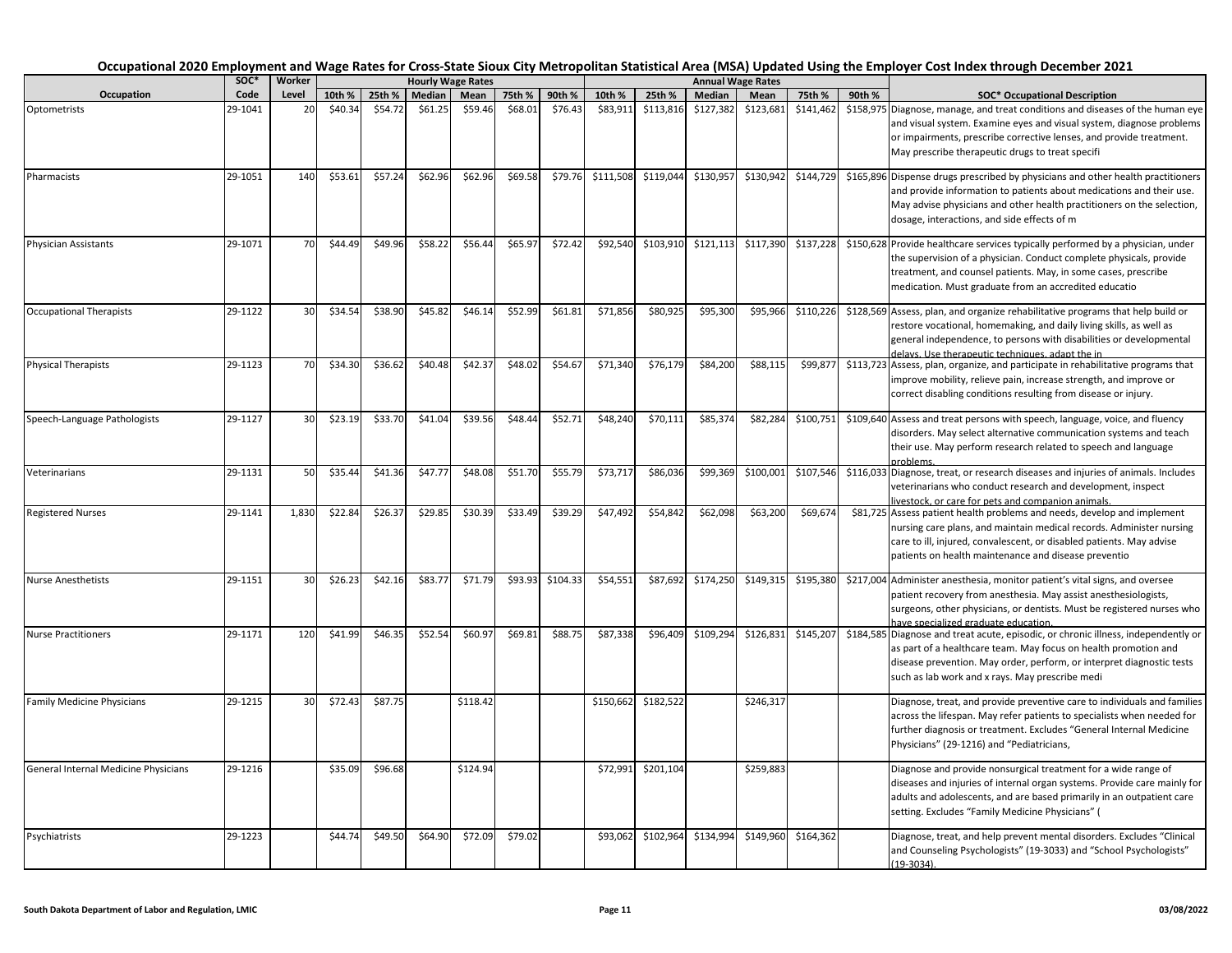|                                      | SOC*    | Worker          |         |         |         | <b>Hourly Wage Rates</b> |         |          |           |                    |           | <b>Annual Wage Rates</b> |           |                                                |                                                                                                                                                                                                                                                                                   |
|--------------------------------------|---------|-----------------|---------|---------|---------|--------------------------|---------|----------|-----------|--------------------|-----------|--------------------------|-----------|------------------------------------------------|-----------------------------------------------------------------------------------------------------------------------------------------------------------------------------------------------------------------------------------------------------------------------------------|
| Occupation                           | Code    | Level           | 10th %  | 25th %  | Median  | Mean                     | 75th %  | 90th %   | 10th %    | 25th %             | Median    | Mean                     | 75th %    | 90th %<br><b>SOC* Occupational Description</b> |                                                                                                                                                                                                                                                                                   |
| Optometrists                         | 29-1041 | 20              | \$40.34 | \$54.72 | \$61.25 | \$59.46                  | \$68.01 | \$76.43  | \$83,911  | \$113,816          | \$127,382 | \$123,681                | \$141,462 |                                                | \$158,975 Diagnose, manage, and treat conditions and diseases of the human eye<br>and visual system. Examine eyes and visual system, diagnose problems<br>or impairments, prescribe corrective lenses, and provide treatment.<br>May prescribe therapeutic drugs to treat specifi |
| Pharmacists                          | 29-1051 | 140             | \$53.61 | \$57.24 | \$62.96 | \$62.96                  | \$69.58 | \$79.76  | \$111,508 | \$119,044          | \$130,957 | \$130,942                | \$144,729 |                                                | \$165,896 Dispense drugs prescribed by physicians and other health practitioners<br>and provide information to patients about medications and their use.<br>May advise physicians and other health practitioners on the selection,<br>dosage, interactions, and side effects of m |
| <b>Physician Assistants</b>          | 29-1071 | 70              | \$44.49 | \$49.96 | \$58.22 | \$56.44                  | \$65.97 | \$72.42  | \$92,540  | \$103,910          | \$121,113 | \$117,390                | \$137,228 |                                                | \$150,628 Provide healthcare services typically performed by a physician, under<br>the supervision of a physician. Conduct complete physicals, provide<br>treatment, and counsel patients. May, in some cases, prescribe<br>medication. Must graduate from an accredited educatio |
| <b>Occupational Therapists</b>       | 29-1122 | 30              | \$34.54 | \$38.90 | \$45.82 | \$46.14                  | \$52.99 | \$61.81  | \$71,856  | \$80,925           | \$95,300  | \$95,966                 | \$110,226 |                                                | \$128,569 Assess, plan, and organize rehabilitative programs that help build or<br>restore vocational, homemaking, and daily living skills, as well as<br>general independence, to persons with disabilities or developmental<br>delays. Use therapeutic techniques, adapt the in |
| <b>Physical Therapists</b>           | 29-1123 | 70              | \$34.30 | \$36.62 | \$40.48 | \$42.37                  | \$48.02 | \$54.67  | \$71,340  | \$76,179           | \$84,200  | \$88,115                 | \$99,877  |                                                | \$113,723 Assess, plan, organize, and participate in rehabilitative programs that<br>improve mobility, relieve pain, increase strength, and improve or<br>correct disabling conditions resulting from disease or injury.                                                          |
| Speech-Language Pathologists         | 29-1127 | 30              | \$23.19 | \$33.70 | \$41.04 | \$39.56                  | \$48.44 | \$52.71  | \$48,240  | \$70,111           | \$85,374  | \$82,284                 | \$100,751 |                                                | \$109,640 Assess and treat persons with speech, language, voice, and fluency<br>disorders. May select alternative communication systems and teach<br>their use. May perform research related to speech and language<br>oroblems                                                   |
| Veterinarians                        | 29-1131 | 50              | \$35.44 | \$41.36 | \$47.77 | \$48.08                  | \$51.70 | \$55.79  | \$73,717  | \$86,036           | \$99,369  | \$100,001                | \$107,546 |                                                | \$116,033 Diagnose, treat, or research diseases and injuries of animals. Includes<br>veterinarians who conduct research and development, inspect<br>ivestock, or care for pets and companion animals.                                                                             |
| <b>Registered Nurses</b>             | 29-1141 | 1,830           | \$22.84 | \$26.37 | \$29.85 | \$30.39                  | \$33.49 | \$39.29  | \$47,492  | \$54,842           | \$62,098  | \$63,200                 | \$69,674  |                                                | \$81,725 Assess patient health problems and needs, develop and implement<br>nursing care plans, and maintain medical records. Administer nursing<br>care to ill, injured, convalescent, or disabled patients. May advise<br>patients on health maintenance and disease preventio  |
| <b>Nurse Anesthetists</b>            | 29-1151 | 30 <sup>1</sup> | \$26.23 | \$42.16 | \$83.77 | \$71.79                  | \$93.93 | \$104.33 | \$54,551  | \$87,692           | \$174,250 | \$149,315                | \$195,380 |                                                | \$217,004 Administer anesthesia, monitor patient's vital signs, and oversee<br>patient recovery from anesthesia. May assist anesthesiologists,<br>surgeons, other physicians, or dentists. Must be registered nurses who<br>have specialized graduate education.                  |
| <b>Nurse Practitioners</b>           | 29-1171 | 120             | \$41.99 | \$46.35 | \$52.54 | \$60.97                  | \$69.81 | \$88.75  | \$87,338  | \$96,409           | \$109,294 | \$126,831                | \$145,207 |                                                | \$184,585 Diagnose and treat acute, episodic, or chronic illness, independently or<br>as part of a healthcare team. May focus on health promotion and<br>disease prevention. May order, perform, or interpret diagnostic tests<br>such as lab work and x rays. May prescribe medi |
| Family Medicine Physicians           | 29-1215 | 30              | \$72.43 | \$87.75 |         | \$118.42                 |         |          | \$150,662 | \$182,522          |           | \$246,317                |           |                                                | Diagnose, treat, and provide preventive care to individuals and families<br>across the lifespan. May refer patients to specialists when needed for<br>further diagnosis or treatment. Excludes "General Internal Medicine<br>Physicians" (29-1216) and "Pediatricians,            |
| General Internal Medicine Physicians | 29-1216 |                 | \$35.09 | \$96.68 |         | \$124.94                 |         |          |           | \$72,991 \$201,104 |           | \$259,883                |           |                                                | Diagnose and provide nonsurgical treatment for a wide range of<br>diseases and injuries of internal organ systems. Provide care mainly for<br>adults and adolescents, and are based primarily in an outpatient care<br>setting. Excludes "Family Medicine Physicians" (           |
| Psychiatrists                        | 29-1223 |                 | \$44.74 | \$49.50 | \$64.90 | \$72.09                  | \$79.02 |          | \$93,062  | \$102,964          | \$134,994 | \$149,960                | \$164,362 |                                                | Diagnose, treat, and help prevent mental disorders. Excludes "Clinical<br>and Counseling Psychologists" (19-3033) and "School Psychologists"<br>$(19-3034).$                                                                                                                      |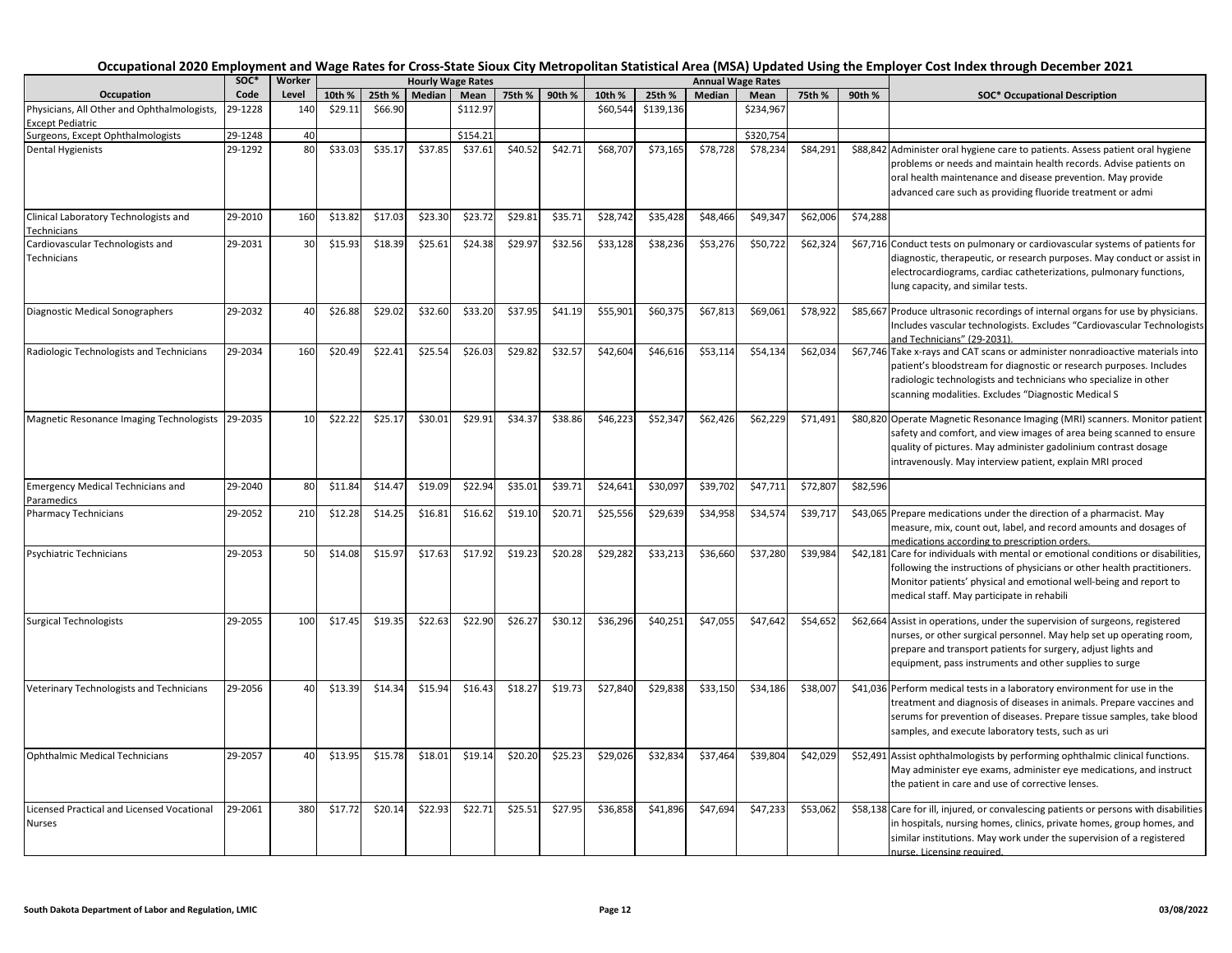|                                                             | soc*    | Worker |         |         |         | <b>Hourly Wage Rates</b> |         |         |          |           |          | <b>Annual Wage Rates</b> |          |          |                                                                                                                                                                                                                                                                                  |
|-------------------------------------------------------------|---------|--------|---------|---------|---------|--------------------------|---------|---------|----------|-----------|----------|--------------------------|----------|----------|----------------------------------------------------------------------------------------------------------------------------------------------------------------------------------------------------------------------------------------------------------------------------------|
| Occupation                                                  | Code    | Level  | 10th %  | 25th %  | Median  | Mean                     | 75th %  | 90th %  | 10th %   | 25th %    | Median   | Mean                     | 75th %   | 90th %   | <b>SOC* Occupational Description</b>                                                                                                                                                                                                                                             |
| Physicians, All Other and Ophthalmologists,                 | 29-1228 | 140    | \$29.11 | \$66.90 |         | \$112.97                 |         |         | \$60,544 | \$139,136 |          | \$234,967                |          |          |                                                                                                                                                                                                                                                                                  |
| <b>Except Pediatric</b>                                     |         |        |         |         |         |                          |         |         |          |           |          |                          |          |          |                                                                                                                                                                                                                                                                                  |
| Surgeons, Except Ophthalmologists                           | 29-1248 | 40     |         |         |         | \$154.21                 |         |         |          |           |          | \$320,754                |          |          |                                                                                                                                                                                                                                                                                  |
| Dental Hygienists                                           | 29-1292 | 80     | \$33.03 | \$35.17 | \$37.85 | \$37.61                  | \$40.52 | \$42.71 | \$68,707 | \$73,165  | \$78,728 | \$78,234                 | \$84,291 |          | \$88,842 Administer oral hygiene care to patients. Assess patient oral hygiene<br>problems or needs and maintain health records. Advise patients on<br>oral health maintenance and disease prevention. May provide<br>advanced care such as providing fluoride treatment or admi |
| Clinical Laboratory Technologists and<br>Technicians        | 29-2010 | 160    | \$13.82 | \$17.03 | \$23.30 | \$23.72                  | \$29.81 | \$35.71 | \$28,742 | \$35,428  | \$48,466 | \$49,34                  | \$62,006 | \$74,288 |                                                                                                                                                                                                                                                                                  |
| Cardiovascular Technologists and<br>Technicians             | 29-2031 | 30     | \$15.93 | \$18.39 | \$25.61 | \$24.38                  | \$29.97 | \$32.56 | \$33,128 | \$38,236  | \$53,276 | \$50,722                 | \$62,324 |          | \$67,716 Conduct tests on pulmonary or cardiovascular systems of patients for<br>diagnostic, therapeutic, or research purposes. May conduct or assist in<br>electrocardiograms, cardiac catheterizations, pulmonary functions,<br>lung capacity, and similar tests.              |
| Diagnostic Medical Sonographers                             | 29-2032 | 40     | \$26.88 | \$29.02 | \$32.60 | \$33.20                  | \$37.95 | \$41.19 | \$55,901 | \$60,375  | \$67,813 | \$69,061                 | \$78,922 |          | \$85,667 Produce ultrasonic recordings of internal organs for use by physicians.<br>Includes vascular technologists. Excludes "Cardiovascular Technologists<br>and Technicians" (29-2031)                                                                                        |
| Radiologic Technologists and Technicians                    | 29-2034 | 160    | \$20.49 | \$22.4  | \$25.54 | \$26.03                  | \$29.82 | \$32.57 | \$42,604 | \$46,616  | \$53,114 | \$54,134                 | \$62,034 |          | \$67,746 Take x-rays and CAT scans or administer nonradioactive materials into<br>patient's bloodstream for diagnostic or research purposes. Includes<br>radiologic technologists and technicians who specialize in other<br>scanning modalities. Excludes "Diagnostic Medical S |
| Magnetic Resonance Imaging Technologists 29-2035            |         | 10     | \$22.22 | \$25.17 | \$30.01 | \$29.91                  | \$34.37 | \$38.86 | \$46,223 | \$52,347  | \$62,426 | \$62,229                 | \$71,491 |          | \$80,820 Operate Magnetic Resonance Imaging (MRI) scanners. Monitor patient<br>safety and comfort, and view images of area being scanned to ensure<br>quality of pictures. May administer gadolinium contrast dosage<br>intravenously. May interview patient, explain MRI proced |
| <b>Emergency Medical Technicians and</b><br>Paramedics      | 29-2040 | 80     | \$11.84 | \$14.47 | \$19.09 | \$22.94                  | \$35.01 | \$39.71 | \$24,641 | \$30,097  | \$39,702 | \$47,711                 | \$72,807 | \$82,596 |                                                                                                                                                                                                                                                                                  |
| <b>Pharmacy Technicians</b>                                 | 29-2052 | 210    | \$12.28 | \$14.25 | \$16.81 | \$16.62                  | \$19.10 | \$20.71 | \$25,556 | \$29,639  | \$34,958 | \$34,574                 | \$39,717 |          | \$43,065 Prepare medications under the direction of a pharmacist. May<br>measure, mix, count out, label, and record amounts and dosages of<br>medications according to prescription orders.                                                                                      |
| Psychiatric Technicians                                     | 29-2053 | 50     | \$14.08 | \$15.97 | \$17.63 | \$17.92                  | \$19.23 | \$20.28 | \$29,282 | \$33,213  | \$36,660 | \$37,280                 | \$39,984 |          | \$42,181 Care for individuals with mental or emotional conditions or disabilities,<br>following the instructions of physicians or other health practitioners.<br>Monitor patients' physical and emotional well-being and report to<br>medical staff. May participate in rehabili |
| Surgical Technologists                                      | 29-2055 | 100    | \$17.45 | \$19.35 | \$22.63 | \$22.90                  | \$26.27 | \$30.12 | \$36,296 | \$40,251  | \$47,055 | \$47,642                 | \$54,652 |          | \$62,664 Assist in operations, under the supervision of surgeons, registered<br>nurses, or other surgical personnel. May help set up operating room,<br>prepare and transport patients for surgery, adjust lights and<br>equipment, pass instruments and other supplies to surge |
| Veterinary Technologists and Technicians                    | 29-2056 | 40     | \$13.39 | \$14.34 | \$15.94 | \$16.43                  | \$18.27 | \$19.73 | \$27,840 | \$29,838  | \$33,150 | \$34,186                 | \$38,007 |          | \$41,036 Perform medical tests in a laboratory environment for use in the<br>treatment and diagnosis of diseases in animals. Prepare vaccines and<br>serums for prevention of diseases. Prepare tissue samples, take blood<br>samples, and execute laboratory tests, such as uri |
| <b>Ophthalmic Medical Technicians</b>                       | 29-2057 | 40     | \$13.95 | \$15.78 | \$18.01 | \$19.14                  | \$20.20 | \$25.23 | \$29,026 | \$32,834  | \$37,464 | \$39,804                 | \$42,029 |          | \$52,491 Assist ophthalmologists by performing ophthalmic clinical functions.<br>May administer eye exams, administer eye medications, and instruct<br>the patient in care and use of corrective lenses.                                                                         |
| Licensed Practical and Licensed Vocational<br><b>Nurses</b> | 29-2061 | 380    | \$17.72 | \$20.14 | \$22.93 | \$22.71                  | \$25.51 | \$27.95 | \$36,858 | \$41,896  | \$47,694 | \$47,233                 | \$53,062 |          | \$58,138 Care for ill, injured, or convalescing patients or persons with disabilities<br>in hospitals, nursing homes, clinics, private homes, group homes, and<br>similar institutions. May work under the supervision of a registered<br>nurse. Licensing required.             |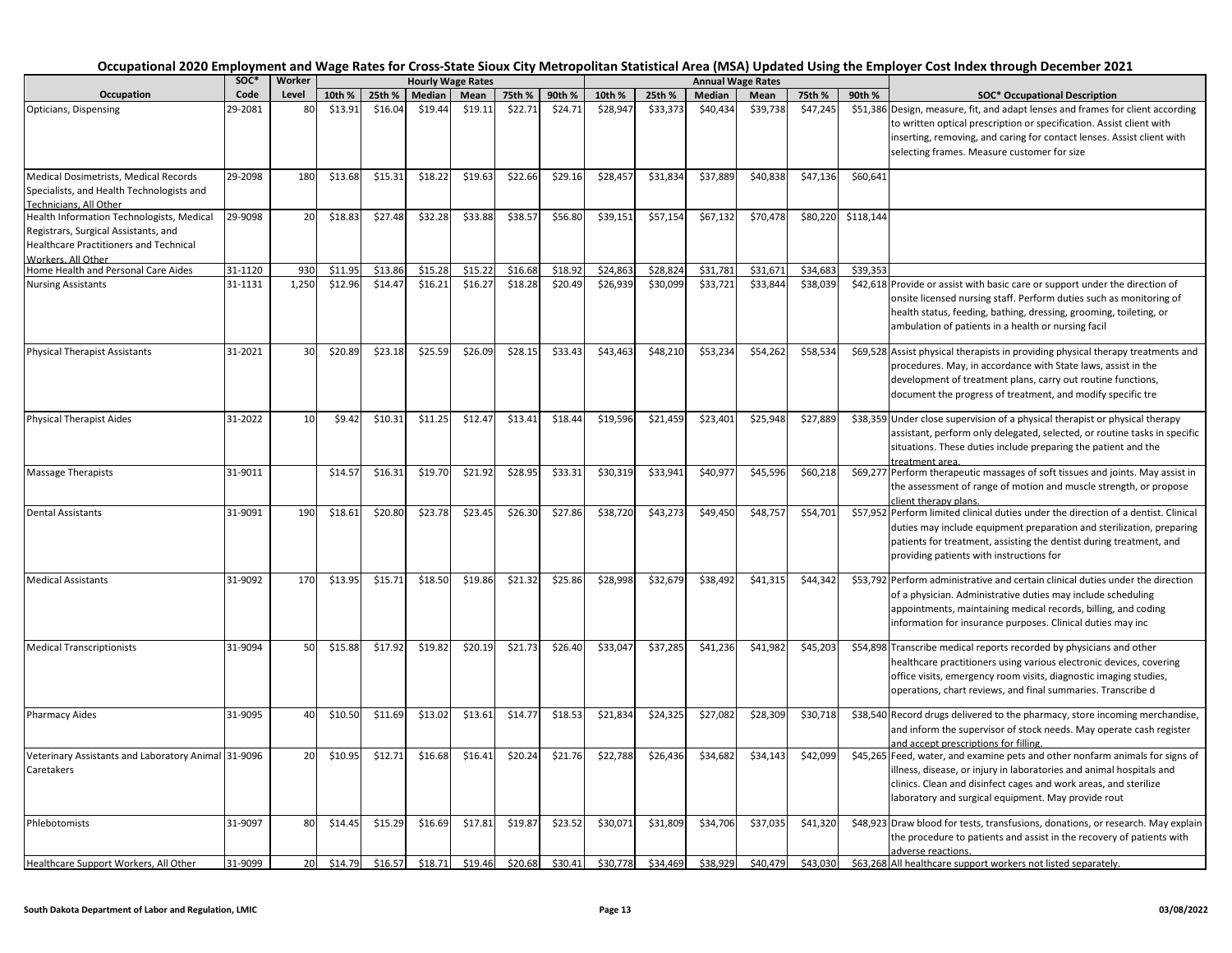|                                                                                                                                                                             | SOC*    | Worker    |         |         |         | <b>Hourly Wage Rates</b> |         |         |          |          |          | <b>Annual Wage Rates</b> |          |           |                                                                                                                                                                                                                                                                                  |
|-----------------------------------------------------------------------------------------------------------------------------------------------------------------------------|---------|-----------|---------|---------|---------|--------------------------|---------|---------|----------|----------|----------|--------------------------|----------|-----------|----------------------------------------------------------------------------------------------------------------------------------------------------------------------------------------------------------------------------------------------------------------------------------|
| Occupation                                                                                                                                                                  | Code    | Level     | 10th %  | 25th %  | Median  | Mean                     | 75th %  | 90th %  | 10th %   | 25th %   | Median   | Mean                     | 75th %   | 90th %    | <b>SOC* Occupational Description</b>                                                                                                                                                                                                                                             |
| Opticians, Dispensing                                                                                                                                                       | 29-2081 | 80        | \$13.91 | \$16.04 | \$19.44 | \$19.11                  | \$22.71 | \$24.71 | \$28,947 | \$33,373 | \$40,434 | \$39,738                 | \$47,245 |           | \$51,386 Design, measure, fit, and adapt lenses and frames for client according<br>to written optical prescription or specification. Assist client with<br>inserting, removing, and caring for contact lenses. Assist client with<br>selecting frames. Measure customer for size |
| Medical Dosimetrists, Medical Records<br>Specialists, and Health Technologists and                                                                                          | 29-2098 | 180       | \$13.68 | \$15.31 | \$18.22 | \$19.63                  | \$22.66 | \$29.16 | \$28,457 | \$31,834 | \$37,889 | \$40,838                 | \$47,136 | \$60,641  |                                                                                                                                                                                                                                                                                  |
| Technicians. All Other<br>Health Information Technologists, Medical<br>Registrars, Surgical Assistants, and<br>Healthcare Practitioners and Technical<br>Workers, All Other | 29-9098 | 20        | \$18.83 | \$27.48 | \$32.28 | \$33.88                  | \$38.57 | \$56.80 | \$39,151 | \$57,154 | \$67,132 | \$70,478                 | \$80,220 | \$118,144 |                                                                                                                                                                                                                                                                                  |
| Home Health and Personal Care Aides                                                                                                                                         | 31-1120 | 930       | \$11.95 | \$13.86 | \$15.28 | \$15.22                  | \$16.68 | \$18.92 | \$24,863 | \$28,824 | \$31,781 | \$31,671                 | \$34,683 | \$39,353  |                                                                                                                                                                                                                                                                                  |
| <b>Nursing Assistants</b>                                                                                                                                                   | 31-1131 | 1,250     | \$12.96 | \$14.47 | \$16.21 | \$16.27                  | \$18.28 | \$20.49 | \$26,939 | \$30,099 | \$33,721 | \$33,844                 | \$38,039 |           | \$42,618 Provide or assist with basic care or support under the direction of<br>onsite licensed nursing staff. Perform duties such as monitoring of<br>health status, feeding, bathing, dressing, grooming, toileting, or<br>ambulation of patients in a health or nursing facil |
| <b>Physical Therapist Assistants</b>                                                                                                                                        | 31-2021 | 30        | \$20.89 | \$23.18 | \$25.59 | \$26.09                  | \$28.15 | \$33.43 | \$43,463 | \$48,210 | \$53,234 | \$54,262                 | \$58,534 |           | \$69,528 Assist physical therapists in providing physical therapy treatments and<br>procedures. May, in accordance with State laws, assist in the<br>development of treatment plans, carry out routine functions,<br>document the progress of treatment, and modify specific tre |
| <b>Physical Therapist Aides</b>                                                                                                                                             | 31-2022 | 10        | \$9.42  | \$10.31 | \$11.25 | \$12.47                  | \$13.41 | \$18.44 | \$19,596 | \$21,459 | \$23,401 | \$25,948                 | \$27,889 |           | \$38,359 Under close supervision of a physical therapist or physical therapy<br>assistant, perform only delegated, selected, or routine tasks in specific<br>situations. These duties include preparing the patient and the<br>treatment area                                    |
| <b>Massage Therapists</b>                                                                                                                                                   | 31-9011 |           | \$14.57 | \$16.31 | \$19.70 | \$21.92                  | \$28.95 | \$33.31 | \$30,319 | \$33,941 | \$40,977 | \$45,596                 | \$60,218 |           | \$69,277 Perform therapeutic massages of soft tissues and joints. May assist in<br>the assessment of range of motion and muscle strength, or propose<br>client therapy plans.                                                                                                    |
| <b>Dental Assistants</b>                                                                                                                                                    | 31-9091 | 190       | \$18.61 | \$20.80 | \$23.78 | \$23.45                  | \$26.30 | \$27.86 | \$38,720 | \$43,273 | \$49,450 | \$48,757                 | \$54,701 |           | \$57,952 Perform limited clinical duties under the direction of a dentist. Clinical<br>duties may include equipment preparation and sterilization, preparing<br>patients for treatment, assisting the dentist during treatment, and<br>providing patients with instructions for  |
| <b>Medical Assistants</b>                                                                                                                                                   | 31-9092 | 170       | \$13.95 | \$15.71 | \$18.50 | \$19.86                  | \$21.32 | \$25.86 | \$28,998 | \$32,679 | \$38,492 | \$41,315                 | \$44,342 |           | \$53,792 Perform administrative and certain clinical duties under the direction<br>of a physician. Administrative duties may include scheduling<br>appointments, maintaining medical records, billing, and coding<br>information for insurance purposes. Clinical duties may inc |
| <b>Medical Transcriptionists</b>                                                                                                                                            | 31-9094 | 50        | \$15.88 | \$17.92 | \$19.82 | \$20.19                  | \$21.73 | \$26.40 | \$33,047 | \$37,285 | \$41,236 | \$41,982                 | \$45,203 |           | \$54,898 Transcribe medical reports recorded by physicians and other<br>healthcare practitioners using various electronic devices, covering<br>office visits, emergency room visits, diagnostic imaging studies,<br>operations, chart reviews, and final summaries. Transcribe d |
| <b>Pharmacy Aides</b>                                                                                                                                                       | 31-9095 | 40        | \$10.50 | \$11.69 | \$13.02 | \$13.61                  | \$14.77 | \$18.53 | \$21,834 | \$24,325 | \$27,082 | \$28,309                 | \$30,718 |           | \$38,540 Record drugs delivered to the pharmacy, store incoming merchandise,<br>and inform the supervisor of stock needs. May operate cash register<br>and accept prescriptions for filling.                                                                                     |
| Veterinary Assistants and Laboratory Animal 31-9096<br>Caretakers                                                                                                           |         | 20        | \$10.95 | \$12.71 | \$16.68 | \$16.41                  | \$20.24 | \$21.76 | \$22,788 | \$26,436 | \$34,682 | \$34,143                 | \$42,099 |           | \$45,265 Feed, water, and examine pets and other nonfarm animals for signs of<br>illness, disease, or injury in laboratories and animal hospitals and<br>clinics. Clean and disinfect cages and work areas, and sterilize<br>laboratory and surgical equipment. May provide rout |
| Phlebotomists                                                                                                                                                               | 31-9097 | 80        | \$14.45 | \$15.29 | \$16.69 | \$17.81                  | \$19.87 | \$23.52 | \$30,071 | \$31,809 | \$34,706 | \$37,035                 | \$41,320 |           | \$48,923 Draw blood for tests, transfusions, donations, or research. May explain<br>the procedure to patients and assist in the recovery of patients with<br>adverse reactions.                                                                                                  |
| Healthcare Support Workers, All Other                                                                                                                                       | 31-9099 | <b>20</b> | \$14.79 | \$16.57 | \$18.71 | \$19.46                  | \$20.68 | \$30.41 | \$30.778 | \$34,469 | \$38,929 | \$40,479                 | \$43,030 |           | \$63,268 All healthcare support workers not listed separately.                                                                                                                                                                                                                   |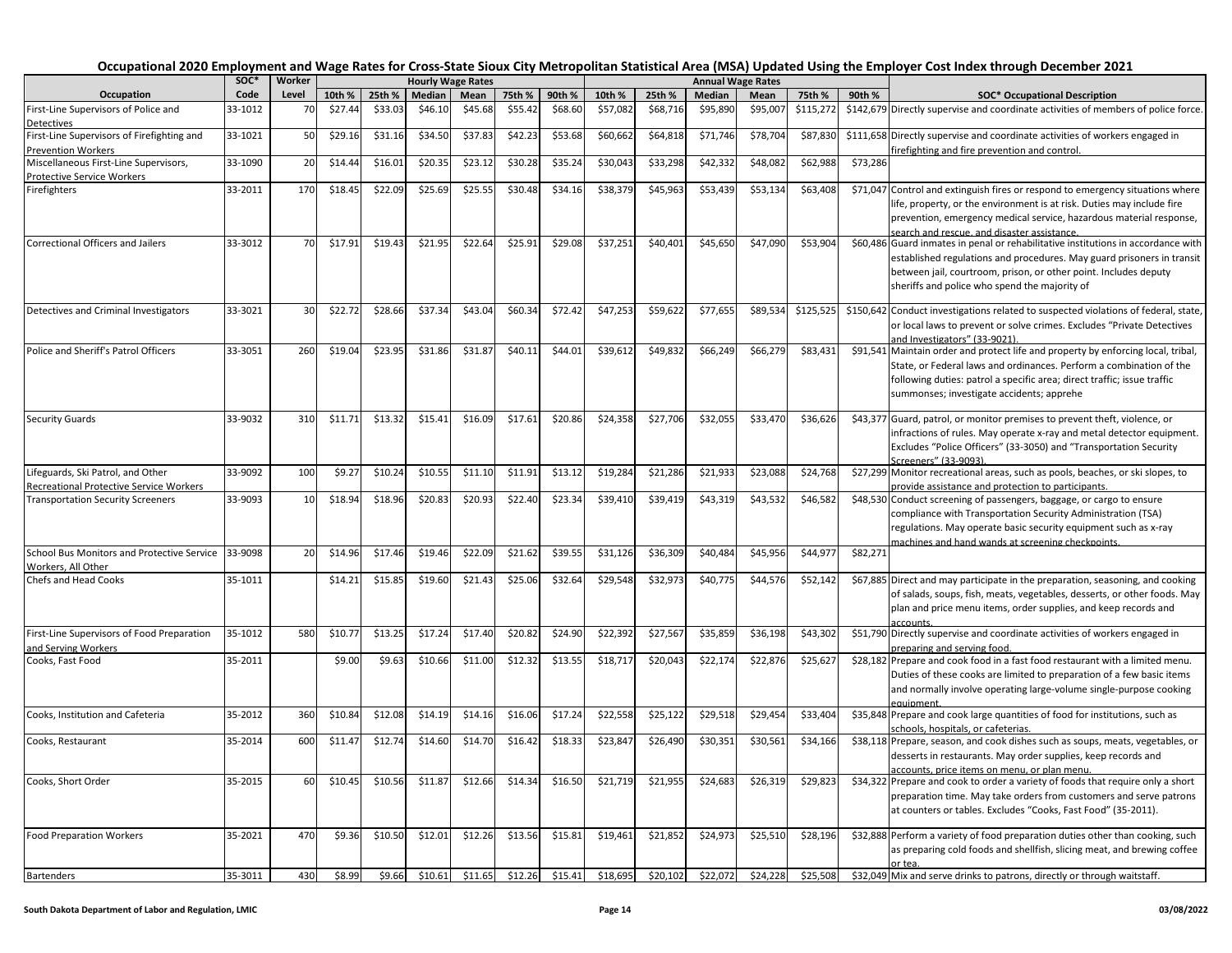|                                                                     | SOC*    | Worker |         |         |         | <b>Hourly Wage Rates</b> |         |         |          |          |          | <b>Annual Wage Rates</b> |           |          |                                                                                                                                                                                                                                                                                  |
|---------------------------------------------------------------------|---------|--------|---------|---------|---------|--------------------------|---------|---------|----------|----------|----------|--------------------------|-----------|----------|----------------------------------------------------------------------------------------------------------------------------------------------------------------------------------------------------------------------------------------------------------------------------------|
| Occupation                                                          | Code    | Level  | 10th %  | 25th %  | Median  | Mean                     | 75th %  | 90th %  | 10th %   | 25th %   | Median   | Mean                     | 75th %    | 90th %   | <b>SOC* Occupational Description</b>                                                                                                                                                                                                                                             |
| First-Line Supervisors of Police and<br>Detectives                  | 33-1012 | 70     | \$27.44 | \$33.03 | \$46.10 | \$45.68                  | \$55.42 | \$68.60 | \$57,082 | \$68,716 | \$95,890 | \$95,007                 | \$115,272 |          | \$142,679 Directly supervise and coordinate activities of members of police force.                                                                                                                                                                                               |
| First-Line Supervisors of Firefighting and                          | 33-1021 | 50     | \$29.16 | \$31.16 | \$34.50 | \$37.83                  | \$42.23 | \$53.68 | \$60,662 | \$64,818 | \$71,746 | \$78,704                 | \$87,830  |          | \$111,658 Directly supervise and coordinate activities of workers engaged in                                                                                                                                                                                                     |
| <b>Prevention Workers</b>                                           |         |        |         |         |         |                          |         |         |          |          |          |                          |           |          | irefighting and fire prevention and control.                                                                                                                                                                                                                                     |
| Miscellaneous First-Line Supervisors,<br>Protective Service Workers | 33-1090 | 20     | \$14.44 | \$16.01 | \$20.35 | \$23.12                  | \$30.28 | \$35.24 | \$30,043 | \$33,298 | \$42,332 | \$48,082                 | \$62,988  | \$73,286 |                                                                                                                                                                                                                                                                                  |
| Firefighters                                                        | 33-2011 | 170    | \$18.45 | \$22.09 | \$25.69 | \$25.55                  | \$30.48 | \$34.16 | \$38,379 | \$45,963 | \$53,439 | \$53,134                 | \$63,408  |          | \$71,047 Control and extinguish fires or respond to emergency situations where<br>life, property, or the environment is at risk. Duties may include fire<br>prevention, emergency medical service, hazardous material response,<br>search and rescue, and disaster assistance.   |
| Correctional Officers and Jailers                                   | 33-3012 | 70     | \$17.91 | \$19.43 | \$21.95 | \$22.64                  | \$25.91 | \$29.08 | \$37,251 | \$40,401 | \$45,650 | \$47,090                 | \$53,904  |          | \$60,486 Guard inmates in penal or rehabilitative institutions in accordance with<br>established regulations and procedures. May guard prisoners in transit<br>between jail, courtroom, prison, or other point. Includes deputy<br>sheriffs and police who spend the majority of |
| Detectives and Criminal Investigators                               | 33-3021 | 30     | \$22.72 | \$28.66 | \$37.34 | \$43.04                  | \$60.34 | \$72.42 | \$47,253 | \$59,622 | \$77,655 | \$89,534                 | \$125,525 |          | \$150,642 Conduct investigations related to suspected violations of federal, state,<br>or local laws to prevent or solve crimes. Excludes "Private Detectives<br>and Investigators" (33-9021)                                                                                    |
| Police and Sheriff's Patrol Officers                                | 33-3051 | 260    | \$19.04 | \$23.95 | \$31.86 | \$31.87                  | \$40.11 | \$44.01 | \$39,612 | \$49,832 | \$66,249 | \$66,279                 | \$83,431  |          | \$91,541 Maintain order and protect life and property by enforcing local, tribal,<br>State, or Federal laws and ordinances. Perform a combination of the<br>following duties: patrol a specific area; direct traffic; issue traffic<br>summonses; investigate accidents; apprehe |
| <b>Security Guards</b>                                              | 33-9032 | 310    | \$11.71 | \$13.32 | \$15.41 | \$16.09                  | \$17.61 | \$20.86 | \$24,358 | \$27,706 | \$32,055 | \$33,470                 | \$36,626  |          | \$43,377 Guard, patrol, or monitor premises to prevent theft, violence, or<br>infractions of rules. May operate x-ray and metal detector equipment.<br>Excludes "Police Officers" (33-3050) and "Transportation Security<br>Screeners" (33-9093).                                |
| Lifeguards, Ski Patrol, and Other                                   | 33-9092 | 100    | \$9.27  | \$10.24 | \$10.55 | \$11.10                  | \$11.91 | \$13.12 | \$19,284 | \$21,286 | \$21,933 | \$23,088                 | \$24,768  |          | \$27,299 Monitor recreational areas, such as pools, beaches, or ski slopes, to                                                                                                                                                                                                   |
| <b>Recreational Protective Service Workers</b>                      |         |        |         |         |         |                          |         |         |          |          |          |                          |           |          | provide assistance and protection to participants.                                                                                                                                                                                                                               |
| <b>Transportation Security Screeners</b>                            | 33-9093 | 10     | \$18.94 | \$18.96 | \$20.83 | \$20.93                  | \$22.40 | \$23.34 | \$39,410 | \$39,419 | \$43,319 | \$43,532                 | \$46,582  |          | \$48,530 Conduct screening of passengers, baggage, or cargo to ensure<br>compliance with Transportation Security Administration (TSA)<br>regulations. May operate basic security equipment such as x-ray<br>machines and hand wands at screening checkpoints.                    |
| School Bus Monitors and Protective Service<br>Workers, All Other    | 33-9098 | 20     | \$14.96 | \$17.46 | \$19.46 | \$22.09                  | \$21.62 | \$39.5  | \$31,126 | \$36,309 | \$40,484 | \$45,956                 | \$44,977  | \$82,271 |                                                                                                                                                                                                                                                                                  |
| <b>Chefs and Head Cooks</b>                                         | 35-1011 |        | \$14.21 | \$15.85 | \$19.60 | \$21.43                  | \$25.06 | \$32.64 | \$29,548 | \$32,973 | \$40,775 | \$44,576                 | \$52,142  |          | \$67,885 Direct and may participate in the preparation, seasoning, and cooking<br>of salads, soups, fish, meats, vegetables, desserts, or other foods. May<br>plan and price menu items, order supplies, and keep records and<br>accounts.                                       |
| First-Line Supervisors of Food Preparation<br>and Serving Workers   | 35-1012 | 580    | \$10.7  | \$13.25 | \$17.24 | \$17.40                  | \$20.82 | \$24.90 | \$22,392 | \$27,567 | \$35,859 | \$36,198                 | \$43,302  |          | \$51,790 Directly supervise and coordinate activities of workers engaged in<br>preparing and serving food.                                                                                                                                                                       |
| Cooks, Fast Food                                                    | 35-2011 |        | \$9.00  | \$9.63  | \$10.66 | \$11.00                  | \$12.32 | \$13.55 | \$18,717 | \$20,043 | \$22,174 | \$22,876                 | \$25,627  |          | \$28,182 Prepare and cook food in a fast food restaurant with a limited menu.<br>Duties of these cooks are limited to preparation of a few basic items<br>and normally involve operating large-volume single-purpose cooking<br>eauinment                                        |
| Cooks, Institution and Cafeteria                                    | 35-2012 | 360    | \$10.84 | \$12.08 | \$14.19 | \$14.16                  | \$16.06 | \$17.24 | \$22,558 | \$25,122 | \$29,518 | \$29,454                 | \$33,404  |          | \$35,848 Prepare and cook large quantities of food for institutions, such as<br>schools. hospitals. or cafeterias.                                                                                                                                                               |
| Cooks, Restaurant                                                   | 35-2014 | 60C    | \$11.4  | \$12.74 | \$14.60 | \$14.70                  | \$16.42 | \$18.33 | \$23,847 | \$26,490 | \$30,35  | \$30,561                 | \$34,166  |          | \$38,118 Prepare, season, and cook dishes such as soups, meats, vegetables, or<br>desserts in restaurants. May order supplies, keep records and<br>accounts, price items on menu, or plan menu.                                                                                  |
| Cooks, Short Order                                                  | 35-2015 | 60     | \$10.45 | \$10.56 | \$11.87 | \$12.66                  | \$14.34 | \$16.50 | \$21,719 | \$21,955 | \$24,683 | \$26,319                 | \$29,823  |          | \$34,322 Prepare and cook to order a variety of foods that require only a short<br>preparation time. May take orders from customers and serve patrons<br>at counters or tables. Excludes "Cooks, Fast Food" (35-2011).                                                           |
| <b>Food Preparation Workers</b>                                     | 35-2021 | 470    | \$9.36  | \$10.50 | \$12.01 | \$12.26                  | \$13.56 | \$15.81 | \$19,461 | \$21,852 | \$24,973 | \$25,510                 | \$28,196  |          | \$32,888 Perform a variety of food preparation duties other than cooking, such<br>as preparing cold foods and shellfish, slicing meat, and brewing coffee<br>or tea                                                                                                              |
| <b>Bartenders</b>                                                   | 35-3011 | 430    | \$8.99  | \$9.66  | \$10.61 | \$11.65                  | \$12.26 | \$15.41 | \$18,695 | \$20,102 | \$22,072 | \$24,228                 | \$25,508  |          | \$32,049 Mix and serve drinks to patrons, directly or through waitstaff.                                                                                                                                                                                                         |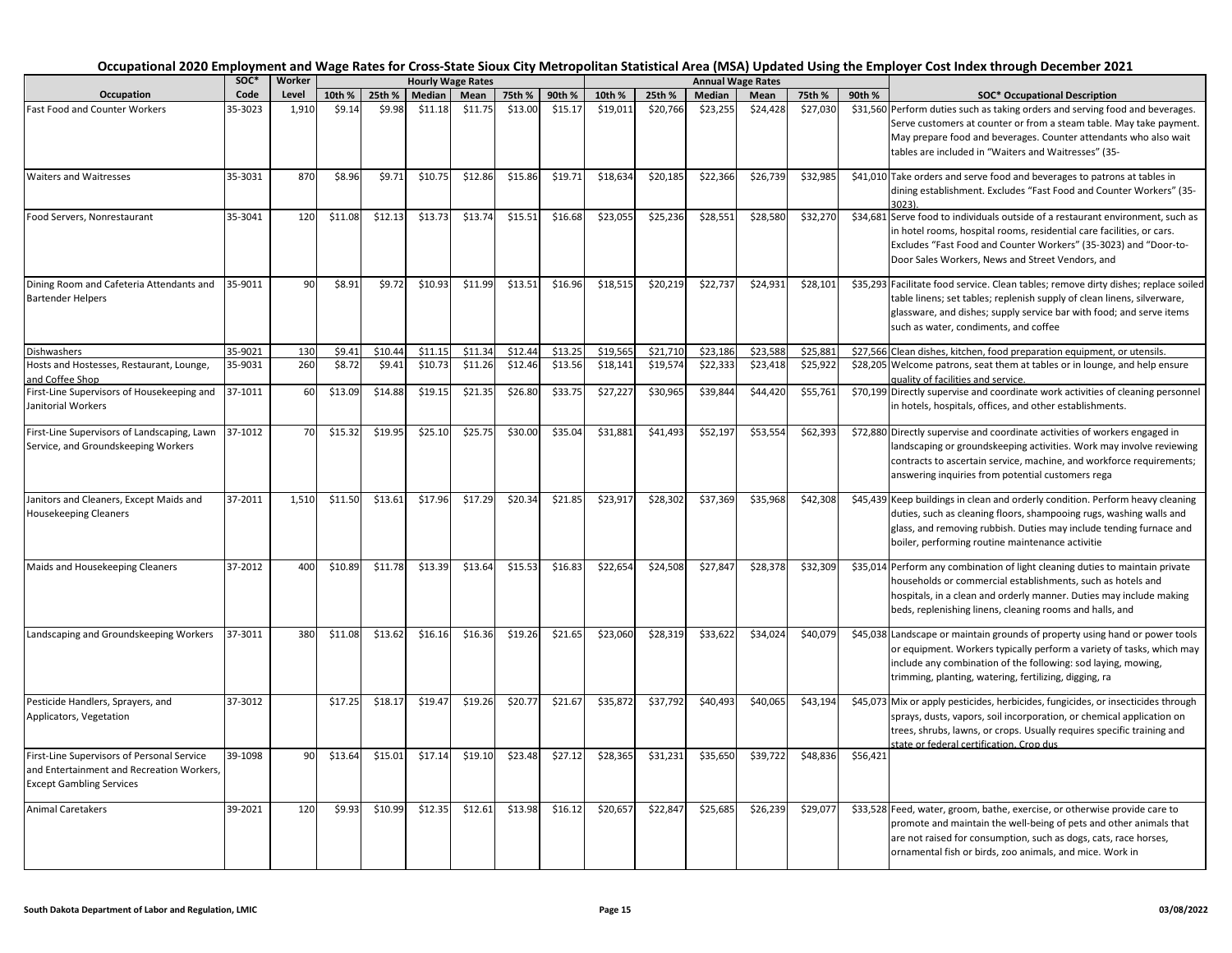|                                                                                                                            | soc*    | Worker |         |         |               | <b>Hourly Wage Rates</b> |         |         |          |          |          | <b>Annual Wage Rates</b> |          |                                                |                                                                                                                                                                                                                                                                                  |
|----------------------------------------------------------------------------------------------------------------------------|---------|--------|---------|---------|---------------|--------------------------|---------|---------|----------|----------|----------|--------------------------|----------|------------------------------------------------|----------------------------------------------------------------------------------------------------------------------------------------------------------------------------------------------------------------------------------------------------------------------------------|
| Occupation                                                                                                                 | Code    | Level  | 10th %  | 25th %  | <b>Median</b> | Mean                     | 75th %  | 90th %  | 10th %   | 25th %   | Median   | Mean                     | 75th %   | 90th %<br><b>SOC* Occupational Description</b> |                                                                                                                                                                                                                                                                                  |
| Fast Food and Counter Workers                                                                                              | 35-3023 | 1,910  | \$9.14  | \$9.98  | \$11.18       | \$11.75                  | \$13.00 | \$15.17 | \$19,011 | \$20,766 | \$23,255 | \$24,428                 | \$27,030 |                                                | \$31,560 Perform duties such as taking orders and serving food and beverages.<br>Serve customers at counter or from a steam table. May take payment.<br>May prepare food and beverages. Counter attendants who also wait<br>tables are included in "Waiters and Waitresses" (35- |
| <b>Waiters and Waitresses</b>                                                                                              | 35-3031 | 870    | \$8.96  | \$9.71  | \$10.75       | \$12.86                  | \$15.86 | \$19.71 | \$18,634 | \$20,185 | \$22,366 | \$26,739                 | \$32,985 |                                                | \$41,010 Take orders and serve food and beverages to patrons at tables in<br>dining establishment. Excludes "Fast Food and Counter Workers" (35-<br>3023).                                                                                                                       |
| Food Servers, Nonrestaurant                                                                                                | 35-3041 | 120    | \$11.08 | \$12.13 | \$13.73       | \$13.74                  | \$15.51 | \$16.68 | \$23,055 | \$25,236 | \$28,551 | \$28,580                 | \$32,270 |                                                | \$34,681 Serve food to individuals outside of a restaurant environment, such as<br>in hotel rooms, hospital rooms, residential care facilities, or cars.<br>Excludes "Fast Food and Counter Workers" (35-3023) and "Door-to-<br>Door Sales Workers, News and Street Vendors, and |
| Dining Room and Cafeteria Attendants and<br><b>Bartender Helpers</b>                                                       | 35-9011 | 90     | \$8.91  | \$9.72  | \$10.93       | \$11.99                  | \$13.51 | \$16.96 | \$18,515 | \$20,219 | \$22,737 | \$24,931                 | \$28,101 |                                                | \$35,293 Facilitate food service. Clean tables; remove dirty dishes; replace soiled<br>table linens; set tables; replenish supply of clean linens, silverware,<br>glassware, and dishes; supply service bar with food; and serve items<br>such as water, condiments, and coffee  |
| Dishwashers                                                                                                                | 35-9021 | 130    | \$9.41  | \$10.44 | \$11.15       | \$11.34                  | \$12.44 | \$13.25 | \$19,565 | \$21,710 | \$23,186 | \$23,58                  | \$25,881 |                                                | \$27,566 Clean dishes, kitchen, food preparation equipment, or utensils.                                                                                                                                                                                                         |
| Hosts and Hostesses, Restaurant, Lounge,<br>and Coffee Shop                                                                | 35-9031 | 260    | \$8.72  | \$9.41  | \$10.73       | \$11.26                  | \$12.46 | \$13.56 | \$18,141 | \$19,574 | \$22,333 | \$23,418                 | \$25,922 |                                                | \$28,205 Welcome patrons, seat them at tables or in lounge, and help ensure<br>quality of facilities and service.                                                                                                                                                                |
| First-Line Supervisors of Housekeeping and<br>Janitorial Workers                                                           | 37-1011 | 60     | \$13.09 | \$14.88 | \$19.15       | \$21.35                  | \$26.80 | \$33.75 | \$27,227 | \$30,965 | \$39,844 | \$44,420                 | \$55,761 |                                                | \$70,199 Directly supervise and coordinate work activities of cleaning personnel<br>in hotels, hospitals, offices, and other establishments.                                                                                                                                     |
| First-Line Supervisors of Landscaping, Lawn<br>Service, and Groundskeeping Workers                                         | 37-1012 | 70     | \$15.32 | \$19.95 | \$25.10       | \$25.75                  | \$30.00 | \$35.04 | \$31,881 | \$41,493 | \$52,197 | \$53,554                 | \$62,393 |                                                | \$72,880 Directly supervise and coordinate activities of workers engaged in<br>landscaping or groundskeeping activities. Work may involve reviewing<br>contracts to ascertain service, machine, and workforce requirements;<br>answering inquiries from potential customers rega |
| Janitors and Cleaners, Except Maids and<br><b>Housekeeping Cleaners</b>                                                    | 37-2011 | 1,510  | \$11.50 | \$13.61 | \$17.96       | \$17.29                  | \$20.34 | \$21.85 | \$23,917 | \$28,302 | \$37,369 | \$35,968                 | \$42,308 |                                                | \$45,439 Keep buildings in clean and orderly condition. Perform heavy cleaning<br>duties, such as cleaning floors, shampooing rugs, washing walls and<br>glass, and removing rubbish. Duties may include tending furnace and<br>boiler, performing routine maintenance activitie |
| Maids and Housekeeping Cleaners                                                                                            | 37-2012 | 400    | \$10.89 | \$11.78 | \$13.39       | \$13.64                  | \$15.53 | \$16.83 | \$22,654 | \$24,508 | \$27,847 | \$28,37                  | \$32,309 |                                                | \$35,014 Perform any combination of light cleaning duties to maintain private<br>households or commercial establishments, such as hotels and<br>hospitals, in a clean and orderly manner. Duties may include making<br>beds, replenishing linens, cleaning rooms and halls, and  |
| Landscaping and Groundskeeping Workers                                                                                     | 37-3011 | 380    | \$11.08 | \$13.62 | \$16.16       | \$16.36                  | \$19.26 | \$21.65 | \$23,060 | \$28,319 | \$33,622 | \$34,024                 | \$40,079 |                                                | \$45,038 Landscape or maintain grounds of property using hand or power tools<br>or equipment. Workers typically perform a variety of tasks, which may<br>include any combination of the following: sod laying, mowing,<br>trimming, planting, watering, fertilizing, digging, ra |
| Pesticide Handlers, Sprayers, and<br>Applicators, Vegetation                                                               | 37-3012 |        | \$17.25 | \$18.17 | \$19.47       | \$19.26                  | \$20.77 | \$21.67 | \$35,872 | \$37,792 | \$40,493 | \$40,065                 | \$43,194 |                                                | \$45,073 Mix or apply pesticides, herbicides, fungicides, or insecticides through<br>sprays, dusts, vapors, soil incorporation, or chemical application on<br>trees, shrubs, lawns, or crops. Usually requires specific training and<br>state or federal certification. Crop dus |
| First-Line Supervisors of Personal Service<br>and Entertainment and Recreation Workers,<br><b>Except Gambling Services</b> | 39-1098 | 90     | \$13.64 | \$15.01 | \$17.14       | \$19.10                  | \$23.48 | \$27.12 | \$28,365 | \$31,231 | \$35,650 | \$39,722                 | \$48,836 | \$56,421                                       |                                                                                                                                                                                                                                                                                  |
| <b>Animal Caretakers</b>                                                                                                   | 39-2021 | 120    | \$9.93  | \$10.99 | \$12.35       | \$12.61                  | \$13.98 | \$16.12 | \$20,657 | \$22,847 | \$25,685 | \$26,239                 | \$29,077 |                                                | \$33,528 Feed, water, groom, bathe, exercise, or otherwise provide care to<br>promote and maintain the well-being of pets and other animals that<br>are not raised for consumption, such as dogs, cats, race horses,<br>ornamental fish or birds, zoo animals, and mice. Work in |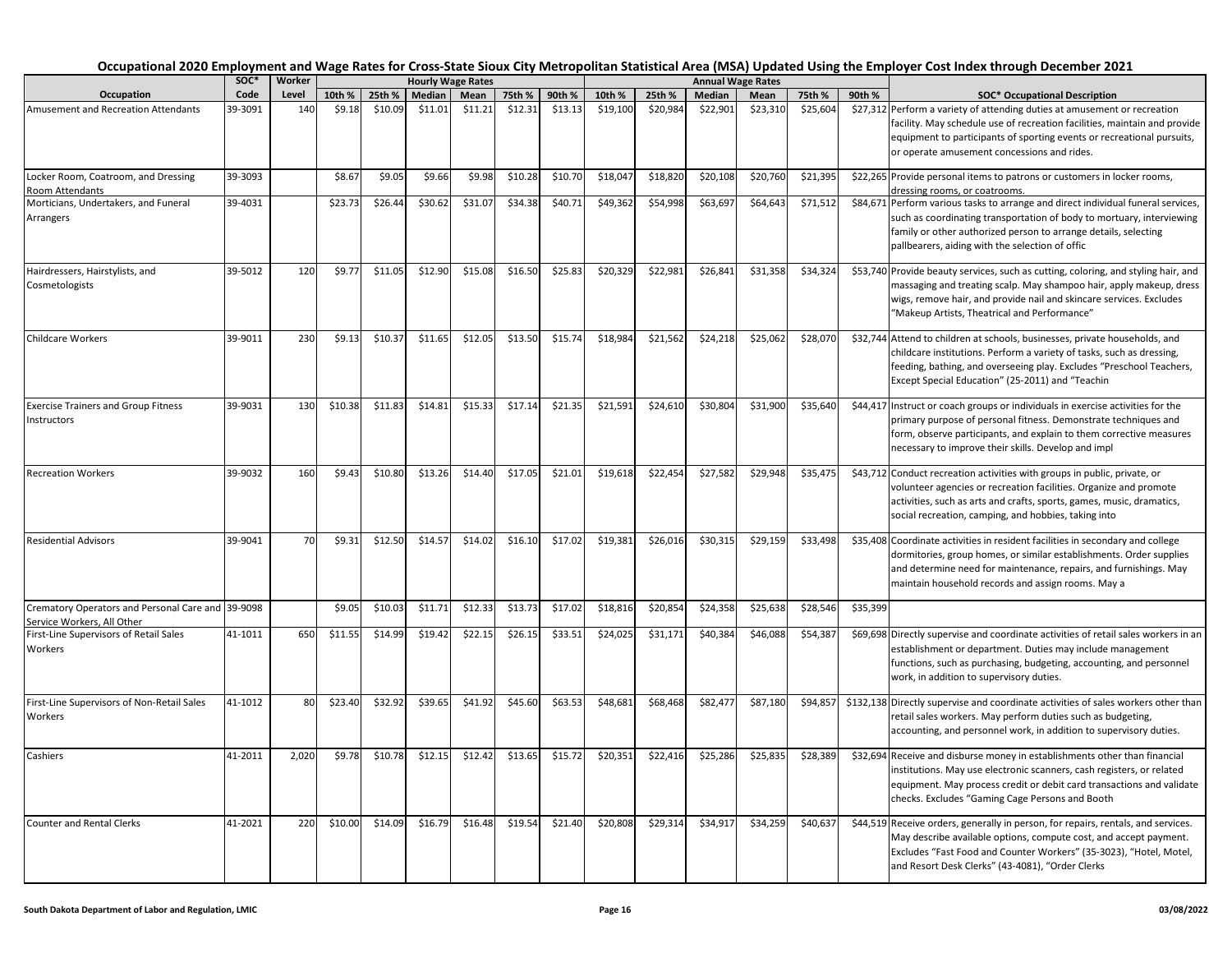#### **10th % 25th % Median Mean 75th % 90th % 10th % 25th % Median Mean 75th % 90th % SOC\* Occupational Description Occupational 2020 Employment and Wage Rates for Cross-State Sioux City Metropolitan Statistical Area (MSA) Updated Using the Employer Cost Index through December 2021<br>| SOC\* | Worker | Hourly Wage Rates | Hourly Wage Rate Occupation**<br>Amusement and Recreation Attendants **SOC\***  Code<br>39-3091 **Worker Level Hourly Wage Rates Annual Wage Rates** \$27,312 Perform a variety of attending duties at amusement or recreation facility. May schedule use of recreation facilities, maintain and provide equipment to participants of sporting events or recreational pursuits, or operate amusement concessions and rides. Locker Room, Coatroom, and Dressing Room Attendants  $\frac{1}{39-3093}$   $\frac{1}{58.67}$  \$9.05 \$9.66 \$9.98 \$10.28 \$10.70 \$18,047 \$18,820 \$20,108 \$20,760 \$21,395 \$22,265 Provide personal items to patrons or customers in locker rooms, dressing rooms, or coatrooms. Morticians, Undertakers, and Funeral Arrangers 39-4031 | \$23.73 \$26.44 \$30.62 \$31.07 \$34.38 \$40.71 \$49,362 \$54,998 \$63,697 \$64,643 \$71,512 \$84,671 Perform various tasks to arrange and direct individual funeral services, such as coordinating transportation of body to mortuary, interviewing family or other authorized person to arrange details, selecting pallbearers, aiding with the selection of offic Hairdressers, Hairstylists, and Cosmetologists  $39-5012$   $120$   $59.77$   $511.05$   $512.90$   $515.08$   $515.81$   $526.83$   $520.329$   $522.981$   $526.841$   $531.358$   $534.324$   $553.740$  Provide beauty services, such as cutting, coloring, and styling hair, and massaging and treating scalp. May shampoo hair, apply makeup, dress wigs, remove hair, and provide nail and skincare services. Excludes "Makeup Artists, Theatrical and Performance" Childcare Workers 39-9011 230 \$9.13 \$10.37 \$11.65 \$12.05 \$13.50 \$13.50 \$15.74 \$18,984 \$21,562 \$24,218 \$25,062 \$28,070 \$32,744 Attend to children at schools, businesses, private households, and childcare institutions. Perform a variety of tasks, such as dressing, feeding, bathing, and overseeing play. Excludes "Preschool Teachers, Except Special Education" (25-2011) and "Teachin Exercise Trainers and Group Fitness Instructors  $\frac{39-9031}{130}$  \$10.38 \$11.83 \$14.81 \$15.33 \$17.14 \$21.35 \$21.591 \$24,610 \$30.804 \$31.900 \$35.640 \$44.417 Instruct or coach groups or individuals in exercise activities for the primary purpose of personal fitness. Demonstrate techniques and form, observe participants, and explain to them corrective measures necessary to improve their skills. Develop and impl Recreation Workers 39-9032 160 \$9.43 \$10.80 \$13.26 \$14.40 \$17.05 \$21.01 \$19,618 \$22,454 \$27,582 \$29,948 \$35,475 \$43,712 Conduct recreation activities with groups in public, private, or volunteer agencies or recreation facilities. Organize and promote activities, such as arts and crafts, sports, games, music, dramatics, social recreation, camping, and hobbies, taking into Residential Advisors 39-9041 70 \$9.31 \$12.50 \$14.57 \$14.02 \$16.10 \$17.02 \$19,381 \$26,016 \$30,315 \$29,159 \$33,498 \$35,408 Coordinate activities in resident facilities in secondary and college dormitories, group homes, or similar establishments. Order supplies and determine need for maintenance, repairs, and furnishings. May maintain household records and assign rooms. May a Crematory Operators and Personal Care and Service Workers, All Other 39-9098 | | \$9.05| \$10.03| \$11.71| \$12.33| \$13.73| \$17.02| \$18,816| \$20,854| \$24,358| \$25,638| \$28,546| \$35,399 First-Line Supervisors of Retail Sales Workers  $\begin{bmatrix} 41-1011 & 650 \\ 511.55 & 514.99 \\ 519.42 & 522.15 \\ \end{bmatrix}$   $\begin{bmatrix} 522.15 & 526.15 \\ 526.15 & 53.51 \\ 526.15 & 52.51 \\ \end{bmatrix}$   $\begin{bmatrix} 524.025 & 524.025 \\ 524.025 & 52.171 \\ 524.025 & 52.171 \\ \end{bmatrix}$   $\begin{bmatrix} 54.368 & 554.387 \\ 54.387 &$ establishment or department. Duties may include management functions, such as purchasing, budgeting, accounting, and personnel work, in addition to supervisory duties. First-Line Supervisors of Non-Retail Sales Workers  $\frac{41-1012}{80}$   $\frac{1}{523.40}$   $\frac{532.92}{332.55}$   $\frac{548.52}{541.92}$   $\frac{545.60}{362.53}$   $\frac{548.681}{368.681}$   $\frac{568.4681}{362.477}$   $\frac{587.180}{394.857}$   $\frac{594.857}{3132.138}$  Directly supervise and coordinate activ retail sales workers. May perform duties such as budgeting, accounting, and personnel work, in addition to supervisory duties.  $\begin{vmatrix} 41-2011 & 2.020 & 59.78 & 510.78 & 512.42 & 512.42 & 513.65 & 515.72 & 520.351 & 522.416 & 525.286 & 525.835 & 528.389 & 532.694 \end{vmatrix}$  S20,404 Receive and disburse money in establishments other than financial institutions. May use electronic scanners, cash registers, or related equipment. May process credit or debit card transactions and validate checks. Excludes "Gaming Cage Persons and Booth Counter and Rental Clerks 41-2021 220 \$10.00 \$14.09 \$16.79 \$16.48 \$19.54 \$21.40 \$20,808 \$29,314 \$34,917 \$34,259 \$40,637 \$44,519 Receive orders, generally in person, for repairs, rentals, and services. May describe available options, compute cost, and accept payment. Excludes "Fast Food and Counter Workers" (35-3023), "Hotel, Motel, and Resort Desk Clerks" (43-4081), "Order Clerks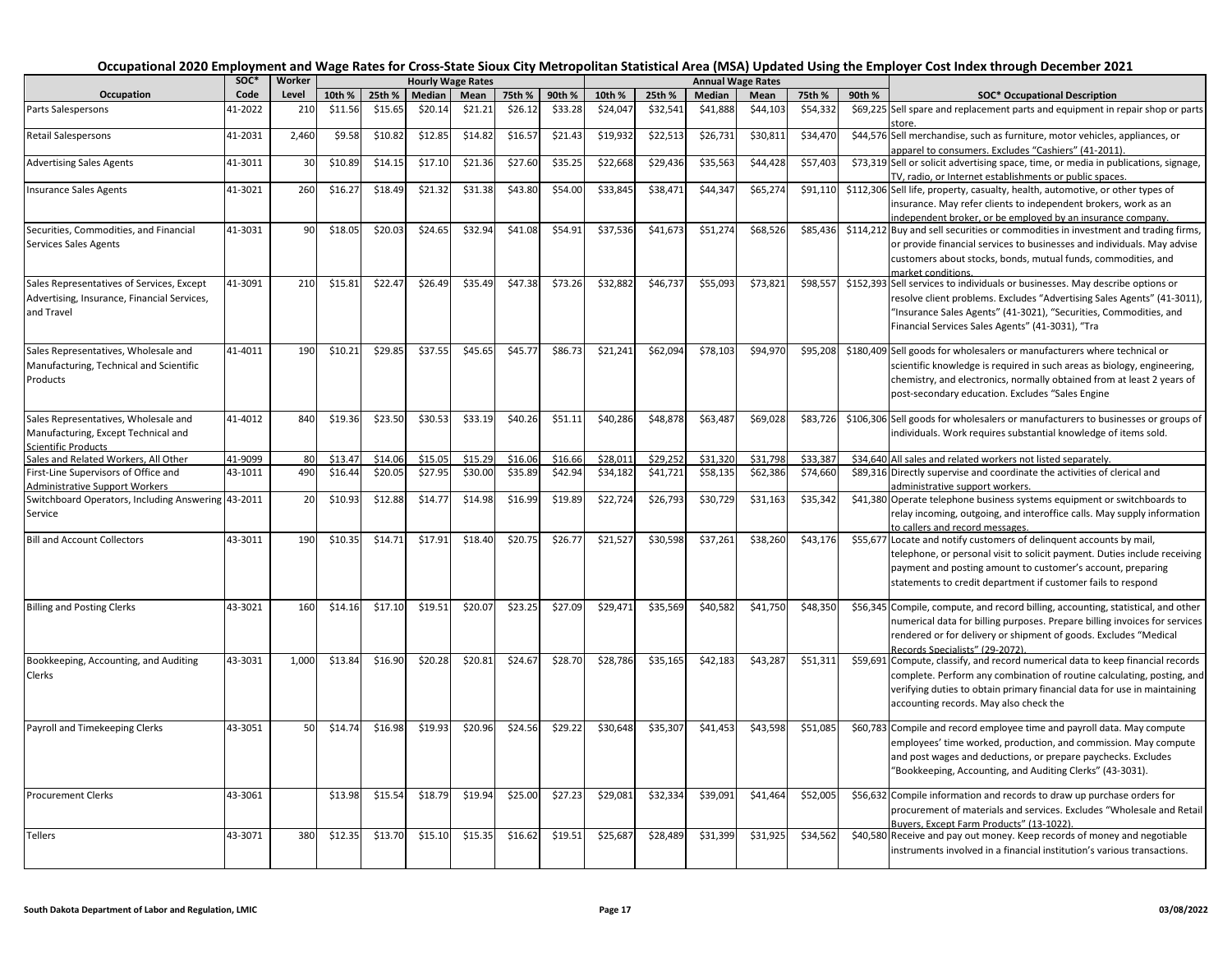|                                                                                                           | SOC*    | Worker |         |         | <b>Hourly Wage Rates</b> |         |         |         |          |          |          | <b>Annual Wage Rates</b> |          |        |                                                                                                                                                                                                                                                                                   |
|-----------------------------------------------------------------------------------------------------------|---------|--------|---------|---------|--------------------------|---------|---------|---------|----------|----------|----------|--------------------------|----------|--------|-----------------------------------------------------------------------------------------------------------------------------------------------------------------------------------------------------------------------------------------------------------------------------------|
| Occupation                                                                                                | Code    | Level  | 10th %  | 25th %  | Median                   | Mean    | 75th %  | 90th %  | 10th %   | 25th %   | Median   | Mean                     | 75th %   | 90th % | <b>SOC* Occupational Description</b>                                                                                                                                                                                                                                              |
| Parts Salespersons                                                                                        | 41-2022 | 210    | \$11.56 | \$15.65 | \$20.14                  | \$21.21 | \$26.12 | \$33.28 | \$24,047 | \$32,541 | \$41,888 | \$44,103                 | \$54,332 |        | \$69,225 Sell spare and replacement parts and equipment in repair shop or parts<br>tore                                                                                                                                                                                           |
| <b>Retail Salespersons</b>                                                                                | 41-2031 | 2,460  | \$9.58  | \$10.82 | \$12.85                  | \$14.82 | \$16.57 | \$21.43 | \$19,932 | \$22,513 | \$26,731 | \$30,81                  | \$34,470 |        | \$44,576 Sell merchandise, such as furniture, motor vehicles, appliances, or<br>apparel to consumers. Excludes "Cashiers" (41-2011).                                                                                                                                              |
| <b>Advertising Sales Agents</b>                                                                           | 41-3011 | 30     | \$10.89 | \$14.15 | \$17.10                  | \$21.36 | \$27.60 | \$35.25 | \$22,668 | \$29,436 | \$35,563 | \$44,428                 | \$57,403 |        | \$73,319 Sell or solicit advertising space, time, or media in publications, signage,<br>TV, radio, or Internet establishments or public spaces.                                                                                                                                   |
| Insurance Sales Agents                                                                                    | 41-3021 | 260    | \$16.27 | \$18.49 | \$21.32                  | \$31.38 | \$43.80 | \$54.00 | \$33,845 | \$38,471 | \$44,347 | \$65,274                 | \$91,110 |        | \$112,306 Sell life, property, casualty, health, automotive, or other types of<br>insurance. May refer clients to independent brokers, work as an<br>independent broker, or be employed by an insurance company.                                                                  |
| Securities, Commodities, and Financial<br><b>Services Sales Agents</b>                                    | 41-3031 | 90     | \$18.05 | \$20.03 | \$24.65                  | \$32.94 | \$41.08 | \$54.91 | \$37,536 | \$41,673 | \$51,274 | \$68,526                 | \$85,436 |        | \$114,212 Buy and sell securities or commodities in investment and trading firms,<br>or provide financial services to businesses and individuals. May advise<br>customers about stocks, bonds, mutual funds, commodities, and<br>market conditions.                               |
| Sales Representatives of Services, Except<br>Advertising, Insurance, Financial Services,<br>and Travel    | 41-3091 | 210    | \$15.81 | \$22.47 | \$26.49                  | \$35.49 | \$47.38 | \$73.26 | \$32,882 | \$46,737 | \$55,093 | \$73,821                 | \$98,557 |        | \$152,393 Sell services to individuals or businesses. May describe options or<br>resolve client problems. Excludes "Advertising Sales Agents" (41-3011),<br>"Insurance Sales Agents" (41-3021), "Securities, Commodities, and<br>Financial Services Sales Agents" (41-3031), "Tra |
| Sales Representatives, Wholesale and<br>Manufacturing, Technical and Scientific<br>Products               | 41-4011 | 190    | \$10.21 | \$29.85 | \$37.55                  | \$45.65 | \$45.77 | \$86.73 | \$21,241 | \$62,094 | \$78,103 | \$94,970                 | \$95,208 |        | \$180,409 Sell goods for wholesalers or manufacturers where technical or<br>scientific knowledge is required in such areas as biology, engineering,<br>chemistry, and electronics, normally obtained from at least 2 years of<br>post-secondary education. Excludes "Sales Engine |
| Sales Representatives, Wholesale and<br>Manufacturing, Except Technical and<br><b>Scientific Products</b> | 41-4012 | 840    | \$19.36 | \$23.50 | \$30.53                  | \$33.19 | \$40.26 | \$51.11 | \$40,286 | \$48,878 | \$63,487 | \$69,028                 | \$83,726 |        | \$106,306 Sell goods for wholesalers or manufacturers to businesses or groups of<br>individuals. Work requires substantial knowledge of items sold.                                                                                                                               |
| Sales and Related Workers, All Other                                                                      | 41-9099 | 80     | \$13.4  | \$14.06 | \$15.05                  | \$15.29 | \$16.06 | \$16.66 | \$28,011 | \$29,252 | \$31,320 | \$31,798                 | \$33,387 |        | \$34,640 All sales and related workers not listed separately.                                                                                                                                                                                                                     |
| First-Line Supervisors of Office and<br><b>Administrative Support Workers</b>                             | 43-1011 | 490    | \$16.44 | \$20.05 | \$27.95                  | \$30.00 | \$35.89 | \$42.94 | \$34,182 | \$41,721 | \$58,135 | \$62,386                 | \$74,660 |        | \$89,316 Directly supervise and coordinate the activities of clerical and<br>administrative support workers.                                                                                                                                                                      |
| Switchboard Operators, Including Answering 43-2011<br>Service                                             |         | 20     | \$10.93 | \$12.88 | \$14.77                  | \$14.98 | \$16.99 | \$19.89 | \$22,724 | \$26,793 | \$30,729 | \$31,163                 | \$35,342 |        | \$41,380 Operate telephone business systems equipment or switchboards to<br>relay incoming, outgoing, and interoffice calls. May supply information<br>to callers and record messages.                                                                                            |
| <b>Bill and Account Collectors</b>                                                                        | 43-3011 | 190    | \$10.35 | \$14.71 | \$17.91                  | \$18.40 | \$20.75 | \$26.77 | \$21,527 | \$30,598 | \$37,261 | \$38,260                 | \$43,176 |        | \$55,677 Locate and notify customers of delinguent accounts by mail,<br>telephone, or personal visit to solicit payment. Duties include receiving<br>payment and posting amount to customer's account, preparing<br>statements to credit department if customer fails to respond  |
| <b>Billing and Posting Clerks</b>                                                                         | 43-3021 | 160    | \$14.16 | \$17.10 | \$19.51                  | \$20.07 | \$23.25 | \$27.09 | \$29,471 | \$35,569 | \$40,582 | \$41,750                 | \$48,350 |        | \$56,345 Compile, compute, and record billing, accounting, statistical, and other<br>numerical data for billing purposes. Prepare billing invoices for services<br>rendered or for delivery or shipment of goods. Excludes "Medical<br>Records Specialists" (29-2072)             |
| Bookkeeping, Accounting, and Auditing<br>Clerks                                                           | 43-3031 | 1,000  | \$13.84 | \$16.90 | \$20.28                  | \$20.81 | \$24.67 | \$28.70 | \$28,786 | \$35,165 | \$42,183 | \$43,287                 | \$51,311 |        | \$59,691 Compute, classify, and record numerical data to keep financial records<br>complete. Perform any combination of routine calculating, posting, and<br>verifying duties to obtain primary financial data for use in maintaining<br>accounting records. May also check the   |
| Payroll and Timekeeping Clerks                                                                            | 43-3051 | 50     | \$14.74 | \$16.98 | \$19.93                  | \$20.96 | \$24.56 | \$29.22 | \$30,648 | \$35,307 | \$41,453 | \$43,598                 | \$51,085 |        | \$60,783 Compile and record employee time and payroll data. May compute<br>employees' time worked, production, and commission. May compute<br>and post wages and deductions, or prepare paychecks. Excludes<br>"Bookkeeping, Accounting, and Auditing Clerks" (43-3031).          |
| <b>Procurement Clerks</b>                                                                                 | 43-3061 |        | \$13.98 | \$15.54 | \$18.79                  | \$19.94 | \$25.00 | \$27.23 | \$29,081 | \$32,334 | \$39,091 | \$41,464                 | \$52,005 |        | \$56,632 Compile information and records to draw up purchase orders for<br>procurement of materials and services. Excludes "Wholesale and Retail<br>Buvers. Except Farm Products" (13-1022)                                                                                       |
| Tellers                                                                                                   | 43-3071 | 380    | \$12.35 | \$13.70 | \$15.10                  | \$15.35 | \$16.62 | \$19.51 | \$25,687 | \$28,489 | \$31,399 | \$31,925                 | \$34,562 |        | \$40,580 Receive and pay out money. Keep records of money and negotiable<br>instruments involved in a financial institution's various transactions.                                                                                                                               |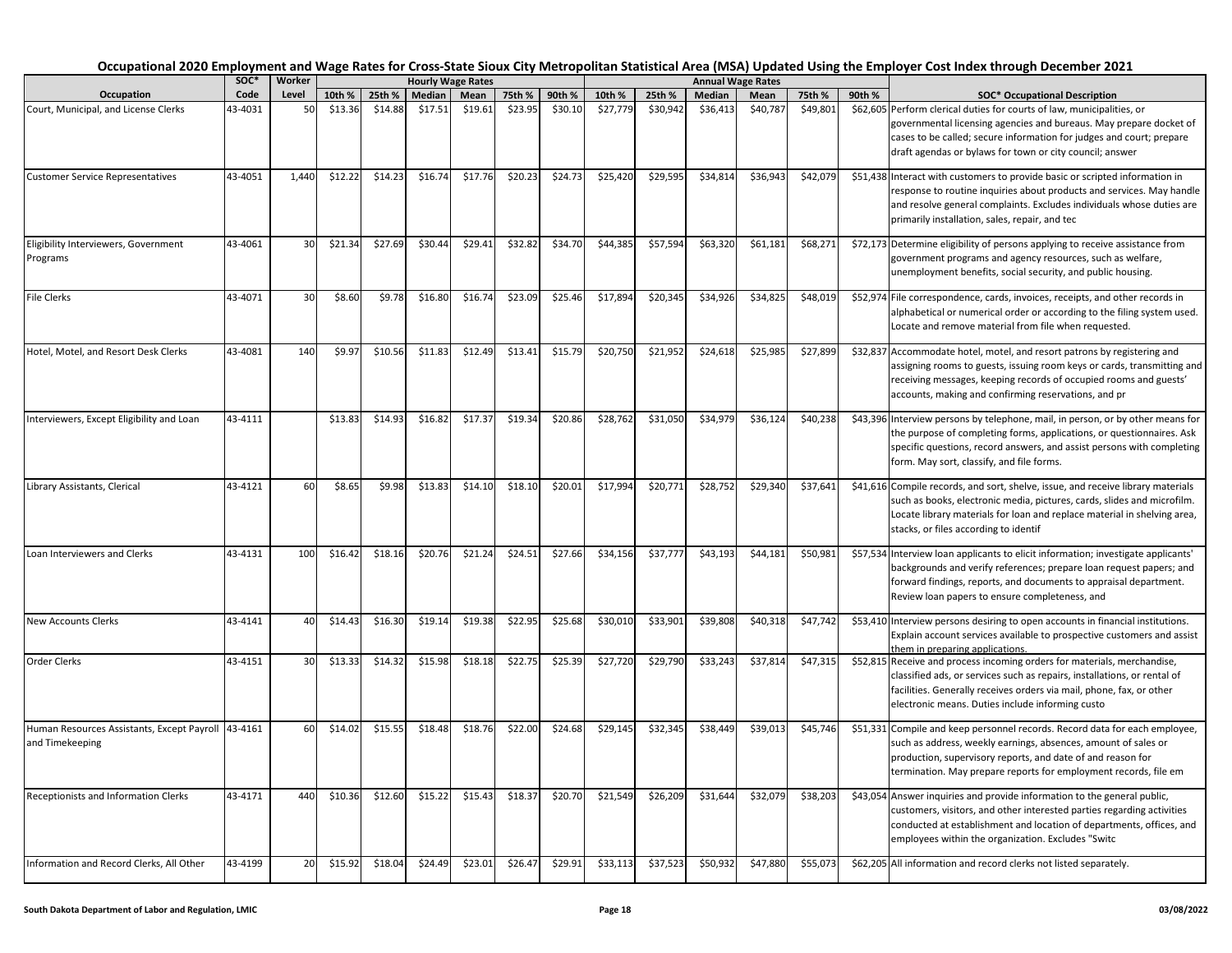|                                                                       |                 |             |                   |                   |                   |                          |                   |                   |                    |                    |                          |                  |          |        | Occupational 2020 Employment and Wage Rates for Cross-State Sioux City Metropolitan Statistical Area (MSA) Updated Using the Employer Cost Index through December 2021                                                                                                           |
|-----------------------------------------------------------------------|-----------------|-------------|-------------------|-------------------|-------------------|--------------------------|-------------------|-------------------|--------------------|--------------------|--------------------------|------------------|----------|--------|----------------------------------------------------------------------------------------------------------------------------------------------------------------------------------------------------------------------------------------------------------------------------------|
|                                                                       | SOC*            | Worker      |                   |                   |                   | <b>Hourly Wage Rates</b> |                   |                   |                    |                    | <b>Annual Wage Rates</b> |                  |          |        |                                                                                                                                                                                                                                                                                  |
| Occupation<br>Court, Municipal, and License Clerks                    | Code<br>43-4031 | Level<br>50 | 10th %<br>\$13.36 | 25th %<br>\$14.88 | Median<br>\$17.51 | Mean<br>\$19.61          | 75th %<br>\$23.95 | 90th %<br>\$30.10 | 10th %<br>\$27,779 | 25th %<br>\$30,942 | Median<br>\$36,413       | Mean<br>\$40,787 | 75th %   | 90th % | <b>SOC* Occupational Description</b><br>\$62,605 Perform clerical duties for courts of law, municipalities, or                                                                                                                                                                   |
|                                                                       |                 |             |                   |                   |                   |                          |                   |                   |                    |                    |                          |                  | \$49,801 |        | governmental licensing agencies and bureaus. May prepare docket of<br>cases to be called; secure information for judges and court; prepare<br>draft agendas or bylaws for town or city council; answer                                                                           |
| <b>Customer Service Representatives</b>                               | 43-4051         | 1,440       | \$12.22           | \$14.23           | \$16.74           | \$17.76                  | \$20.23           | \$24.73           | \$25,420           | \$29,595           | \$34,814                 | \$36,943         | \$42,079 |        | \$51,438 Interact with customers to provide basic or scripted information in<br>response to routine inquiries about products and services. May handle<br>and resolve general complaints. Excludes individuals whose duties are<br>primarily installation, sales, repair, and tec |
| Eligibility Interviewers, Government<br>Programs                      | 43-4061         | 30          | \$21.34           | \$27.69           | \$30.44           | \$29.41                  | \$32.82           | \$34.70           | \$44,385           | \$57,594           | \$63,320                 | \$61,181         | \$68,271 |        | \$72,173 Determine eligibility of persons applying to receive assistance from<br>government programs and agency resources, such as welfare,<br>unemployment benefits, social security, and public housing.                                                                       |
| File Clerks                                                           | 43-4071         | 30          | \$8.60            | \$9.78            | \$16.80           | \$16.74                  | \$23.09           | \$25.46           | \$17,894           | \$20,345           | \$34,926                 | \$34,825         | \$48,019 |        | \$52,974 File correspondence, cards, invoices, receipts, and other records in<br>alphabetical or numerical order or according to the filing system used.<br>Locate and remove material from file when requested.                                                                 |
| Hotel, Motel, and Resort Desk Clerks                                  | 43-4081         | 140         | \$9.97            | \$10.56           | \$11.83           | \$12.49                  | \$13.41           | \$15.79           | \$20,750           | \$21,952           | \$24,618                 | \$25,985         | \$27,899 |        | \$32,837 Accommodate hotel, motel, and resort patrons by registering and<br>assigning rooms to guests, issuing room keys or cards, transmitting and<br>receiving messages, keeping records of occupied rooms and guests'<br>accounts, making and confirming reservations, and pr |
| Interviewers, Except Eligibility and Loan                             | 43-4111         |             | \$13.83           | \$14.93           | \$16.82           | \$17.37                  | \$19.34           | \$20.86           | \$28,762           | \$31,050           | \$34,979                 | \$36,124         | \$40,238 |        | \$43,396 Interview persons by telephone, mail, in person, or by other means for<br>the purpose of completing forms, applications, or questionnaires. Ask<br>specific questions, record answers, and assist persons with completing<br>form. May sort, classify, and file forms.  |
| Library Assistants, Clerical                                          | 43-4121         | 60          | \$8.65            | \$9.98            | \$13.83           | \$14.10                  | \$18.10           | \$20.01           | \$17,994           | \$20,771           | \$28,752                 | \$29,340         | \$37,641 |        | \$41,616 Compile records, and sort, shelve, issue, and receive library materials<br>such as books, electronic media, pictures, cards, slides and microfilm.<br>Locate library materials for loan and replace material in shelving area,<br>stacks, or files according to identif |
| Loan Interviewers and Clerks                                          | 43-4131         | 100         | \$16.42           | \$18.16           | \$20.76           | \$21.24                  | \$24.51           | \$27.66           | \$34,156           | \$37,777           | \$43,193                 | \$44,181         | \$50,981 |        | \$57,534 Interview loan applicants to elicit information; investigate applicants'<br>backgrounds and verify references; prepare loan request papers; and<br>forward findings, reports, and documents to appraisal department.<br>Review loan papers to ensure completeness, and  |
| <b>New Accounts Clerks</b>                                            | 43-4141         | 40          | \$14.43           | \$16.30           | \$19.14           | \$19.38                  | \$22.95           | \$25.68           | \$30,010           | \$33,901           | \$39,808                 | \$40,318         | \$47,742 |        | \$53,410 Interview persons desiring to open accounts in financial institutions.<br>Explain account services available to prospective customers and assist<br>them in preparing applications.                                                                                     |
| Order Clerks                                                          | 43-4151         | 30          | \$13.33           | \$14.32           | \$15.98           | \$18.18                  | \$22.75           | \$25.39           | \$27,720           | \$29,790           | \$33,243                 | \$37,814         | \$47,315 |        | \$52,815 Receive and process incoming orders for materials, merchandise,<br>classified ads, or services such as repairs, installations, or rental of<br>facilities. Generally receives orders via mail, phone, fax, or other<br>electronic means. Duties include informing custo |
| Human Resources Assistants, Except Payroll 43-4161<br>and Timekeeping |                 | 60          | \$14.02           | \$15.55           | \$18.48           | \$18.76                  | \$22.00           | \$24.68           | \$29,145           | \$32,345           | \$38,449                 | \$39,013         | \$45,746 |        | \$51,331 Compile and keep personnel records. Record data for each employee,<br>such as address, weekly earnings, absences, amount of sales or<br>production, supervisory reports, and date of and reason for<br>termination. May prepare reports for employment records, file em |
| Receptionists and Information Clerks                                  | 43-4171         | 440         | \$10.36           | \$12.60           | \$15.22           | \$15.43                  | \$18.37           | \$20.70           | \$21,549           | \$26,209           | \$31,644                 | \$32,079         | \$38,203 |        | \$43,054 Answer inquiries and provide information to the general public,<br>customers, visitors, and other interested parties regarding activities<br>conducted at establishment and location of departments, offices, and<br>employees within the organization. Excludes "Switc |
| Information and Record Clerks, All Other                              | 43-4199         | 20          | \$15.92           | \$18.04           | \$24.49           | \$23.01                  | \$26.47           | \$29.91           | \$33,113           | \$37,523           | \$50,932                 | \$47,880         | \$55,073 |        | \$62,205 All information and record clerks not listed separately.                                                                                                                                                                                                                |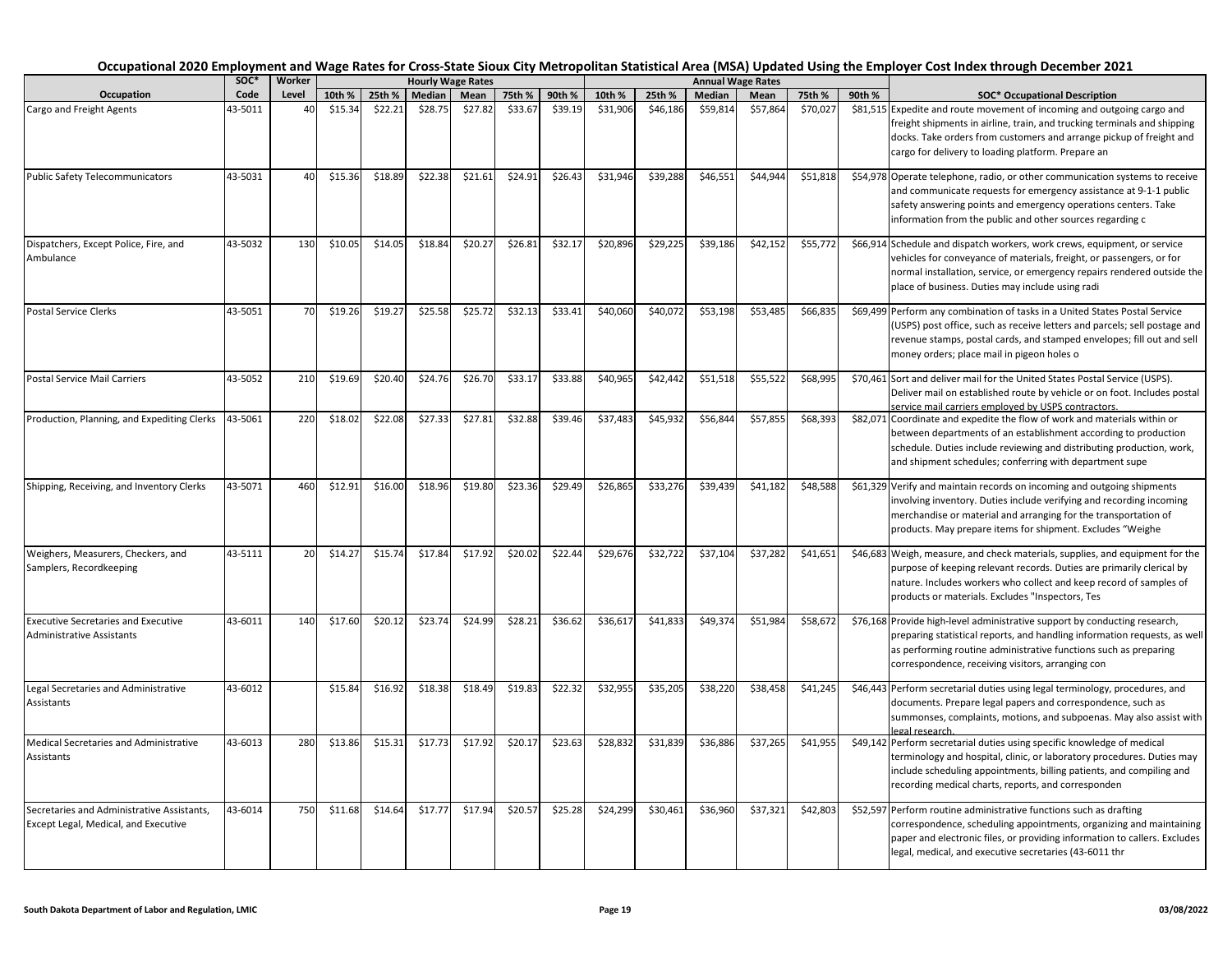|                                                                                    | soc*    | Worker |         |         |         | <b>Hourly Wage Rates</b> |         |         |          |          |          | <b>Annual Wage Rates</b> |          |        |                                                                                                                                                                                                                                                                                                   |
|------------------------------------------------------------------------------------|---------|--------|---------|---------|---------|--------------------------|---------|---------|----------|----------|----------|--------------------------|----------|--------|---------------------------------------------------------------------------------------------------------------------------------------------------------------------------------------------------------------------------------------------------------------------------------------------------|
| Occupation                                                                         | Code    | Level  | 10th %  | 25th %  | Median  | Mean                     | 75th %  | 90th %  | 10th %   | 25th %   | Median   | Mean                     | 75th %   | 90th % | <b>SOC* Occupational Description</b>                                                                                                                                                                                                                                                              |
| Cargo and Freight Agents                                                           | 43-5011 | 40     | \$15.34 | \$22.21 | \$28.75 | \$27.82                  | \$33.67 | \$39.19 | \$31,906 | \$46,186 | \$59,814 | \$57,864                 | \$70,027 |        | \$81,515 Expedite and route movement of incoming and outgoing cargo and<br>freight shipments in airline, train, and trucking terminals and shipping<br>docks. Take orders from customers and arrange pickup of freight and<br>cargo for delivery to loading platform. Prepare an                  |
| <b>Public Safety Telecommunicators</b>                                             | 43-5031 | 40     | \$15.36 | \$18.89 | \$22.38 | \$21.61                  | \$24.91 | \$26.43 | \$31,946 | \$39,288 | \$46,551 | \$44,944                 | \$51,818 |        | \$54,978 Operate telephone, radio, or other communication systems to receive<br>and communicate requests for emergency assistance at 9-1-1 public<br>safety answering points and emergency operations centers. Take<br>information from the public and other sources regarding c                  |
| Dispatchers, Except Police, Fire, and<br>Ambulance                                 | 43-5032 | 130    | \$10.05 | \$14.05 | \$18.84 | \$20.27                  | \$26.81 | \$32.17 | \$20,896 | \$29,225 | \$39,186 | \$42,152                 | \$55,772 |        | \$66,914 Schedule and dispatch workers, work crews, equipment, or service<br>vehicles for conveyance of materials, freight, or passengers, or for<br>normal installation, service, or emergency repairs rendered outside the<br>place of business. Duties may include using radi                  |
| <b>Postal Service Clerks</b>                                                       | 43-5051 | 70     | \$19.26 | \$19.27 | \$25.58 | \$25.72                  | \$32.13 | \$33.41 | \$40,060 | \$40,072 | \$53,198 | \$53,485                 | \$66,835 |        | \$69,499 Perform any combination of tasks in a United States Postal Service<br>(USPS) post office, such as receive letters and parcels; sell postage and<br>revenue stamps, postal cards, and stamped envelopes; fill out and sell<br>money orders; place mail in pigeon holes o                  |
| <b>Postal Service Mail Carriers</b>                                                | 43-5052 | 210    | \$19.69 | \$20.40 | \$24.76 | \$26.70                  | \$33.17 | \$33.88 | \$40,965 | \$42,442 | \$51,518 | \$55,522                 | \$68,995 |        | \$70,461 Sort and deliver mail for the United States Postal Service (USPS).<br>Deliver mail on established route by vehicle or on foot. Includes postal<br>service mail carriers employed by USPS contractors.                                                                                    |
| Production, Planning, and Expediting Clerks                                        | 43-5061 | 220    | \$18.02 | \$22.08 | \$27.33 | \$27.81                  | \$32.88 | \$39.46 | \$37,483 | \$45,932 | \$56,844 | \$57,855                 | \$68,393 |        | \$82,071 Coordinate and expedite the flow of work and materials within or<br>between departments of an establishment according to production<br>schedule. Duties include reviewing and distributing production, work,<br>and shipment schedules; conferring with department supe                  |
| Shipping, Receiving, and Inventory Clerks                                          | 43-5071 | 460    | \$12.91 | \$16.00 | \$18.96 | \$19.80                  | \$23.36 | \$29.49 | \$26,865 | \$33,276 | \$39,439 | \$41,18                  | \$48,588 |        | \$61,329 Verify and maintain records on incoming and outgoing shipments<br>involving inventory. Duties include verifying and recording incoming<br>merchandise or material and arranging for the transportation of<br>products. May prepare items for shipment. Excludes "Weighe                  |
| Weighers, Measurers, Checkers, and<br>Samplers, Recordkeeping                      | 43-5111 | 20     | \$14.27 | \$15.74 | \$17.84 | \$17.92                  | \$20.02 | \$22.44 | \$29,676 | \$32,722 | \$37,104 | \$37,282                 | \$41,651 |        | \$46,683 Weigh, measure, and check materials, supplies, and equipment for the<br>purpose of keeping relevant records. Duties are primarily clerical by<br>nature. Includes workers who collect and keep record of samples of<br>products or materials. Excludes "Inspectors, Tes                  |
| <b>Executive Secretaries and Executive</b><br><b>Administrative Assistants</b>     | 43-6011 | 140    | \$17.60 | \$20.12 | \$23.74 | \$24.99                  | \$28.21 | \$36.62 | \$36,617 | \$41,833 | \$49,374 | \$51,984                 | \$58,672 |        | \$76,168 Provide high-level administrative support by conducting research,<br>preparing statistical reports, and handling information requests, as well<br>as performing routine administrative functions such as preparing<br>correspondence, receiving visitors, arranging con                  |
| Legal Secretaries and Administrative<br>Assistants                                 | 43-6012 |        | \$15.84 | \$16.92 | \$18.38 | \$18.49                  | \$19.83 | \$22.32 | \$32,955 | \$35,205 | \$38,220 | \$38,458                 | \$41,245 |        | \$46,443 Perform secretarial duties using legal terminology, procedures, and<br>documents. Prepare legal papers and correspondence, such as<br>summonses, complaints, motions, and subpoenas. May also assist with                                                                                |
| Medical Secretaries and Administrative<br>Assistants                               | 43-6013 | 280    | \$13.86 | \$15.31 | \$17.73 | \$17.92                  | \$20.17 | \$23.63 | \$28,832 | \$31,839 | \$36,886 | \$37,265                 | \$41,955 |        | egal research<br>\$49,142 Perform secretarial duties using specific knowledge of medical<br>terminology and hospital, clinic, or laboratory procedures. Duties may<br>include scheduling appointments, billing patients, and compiling and<br>recording medical charts, reports, and corresponden |
| Secretaries and Administrative Assistants,<br>Except Legal, Medical, and Executive | 43-6014 | 750    | \$11.68 | \$14.64 | \$17.77 | \$17.94                  | \$20.57 | \$25.28 | \$24,299 | \$30,461 | \$36,960 | \$37,321                 | \$42,803 |        | \$52,597 Perform routine administrative functions such as drafting<br>correspondence, scheduling appointments, organizing and maintaining<br>paper and electronic files, or providing information to callers. Excludes<br>legal, medical, and executive secretaries (43-6011 thr                  |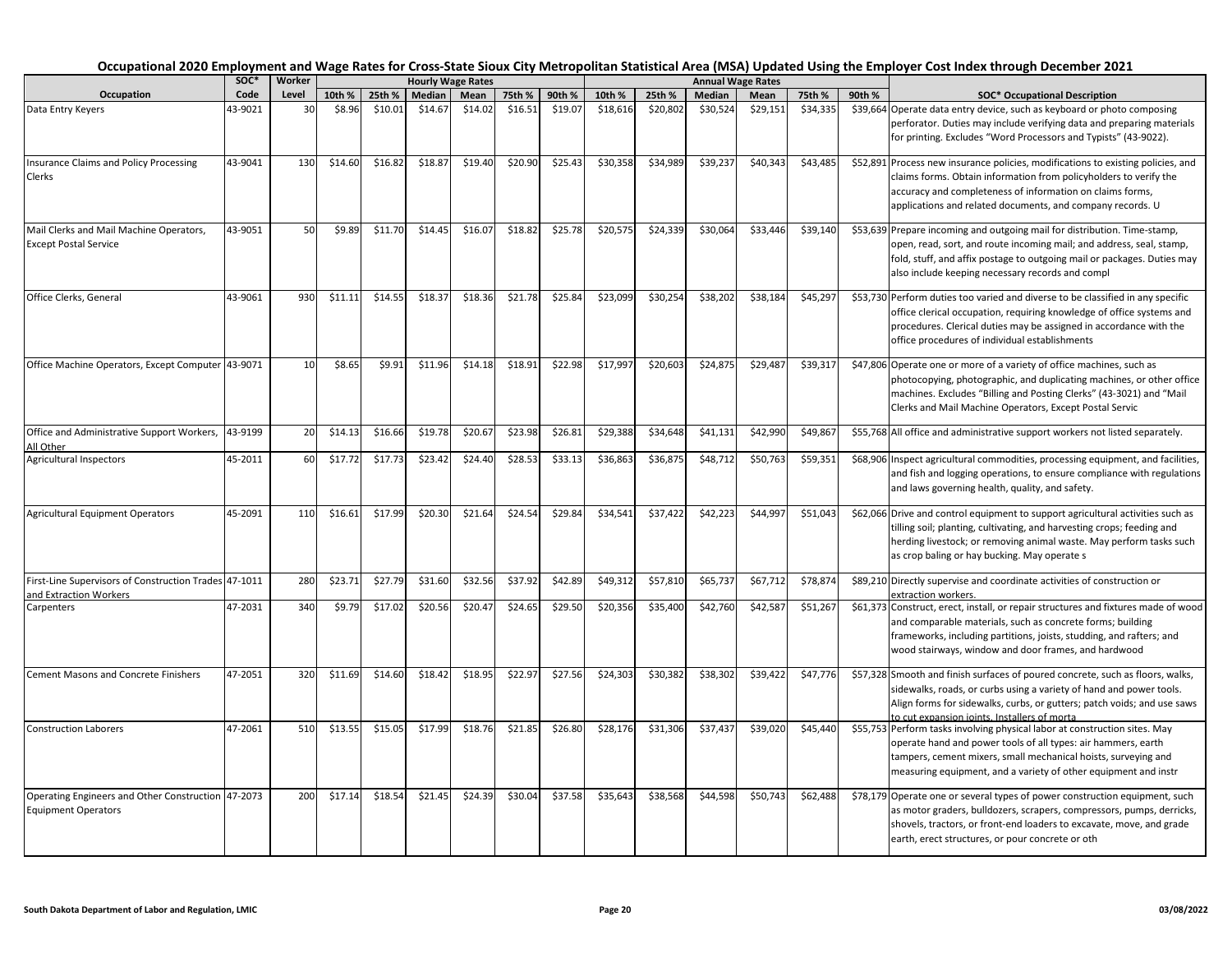|                                                                                 | soc*    | Worker |         |         | <b>Hourly Wage Rates</b> |         |         |         |          |          | <b>Annual Wage Rates</b> |          |          |        |                                                                                                                                                                                                                                                                                  |
|---------------------------------------------------------------------------------|---------|--------|---------|---------|--------------------------|---------|---------|---------|----------|----------|--------------------------|----------|----------|--------|----------------------------------------------------------------------------------------------------------------------------------------------------------------------------------------------------------------------------------------------------------------------------------|
| Occupation                                                                      | Code    | Level  | 10th %  | 25th %  | Median                   | Mean    | 75th %  | 90th %  | 10th %   | 25th %   | Median                   | Mean     | 75th %   | 90th % | <b>SOC* Occupational Description</b>                                                                                                                                                                                                                                             |
| Data Entry Keyers                                                               | 43-9021 | 30     | \$8.96  | \$10.01 | \$14.67                  | \$14.02 | \$16.51 | \$19.07 | \$18,616 | \$20,802 | \$30,524                 | \$29,151 | \$34,335 |        | \$39,664 Operate data entry device, such as keyboard or photo composing<br>perforator. Duties may include verifying data and preparing materials<br>for printing. Excludes "Word Processors and Typists" (43-9022).                                                              |
| <b>Insurance Claims and Policy Processing</b><br>Clerks                         | 43-9041 | 130    | \$14.60 | \$16.82 | \$18.87                  | \$19.40 | \$20.90 | \$25.43 | \$30,358 | \$34,989 | \$39,237                 | \$40,343 | \$43,485 |        | \$52,891 Process new insurance policies, modifications to existing policies, and<br>claims forms. Obtain information from policyholders to verify the<br>accuracy and completeness of information on claims forms,<br>applications and related documents, and company records. U |
| Mail Clerks and Mail Machine Operators,<br><b>Except Postal Service</b>         | 43-9051 | 50     | \$9.89  | \$11.70 | \$14.45                  | \$16.07 | \$18.82 | \$25.78 | \$20,575 | \$24,339 | \$30,064                 | \$33,446 | \$39,140 |        | \$53,639 Prepare incoming and outgoing mail for distribution. Time-stamp,<br>open, read, sort, and route incoming mail; and address, seal, stamp,<br>fold, stuff, and affix postage to outgoing mail or packages. Duties may<br>also include keeping necessary records and compl |
| Office Clerks, General                                                          | 43-9061 | 930    | \$11.11 | \$14.55 | \$18.37                  | \$18.36 | \$21.78 | \$25.84 | \$23,099 | \$30,254 | \$38,202                 | \$38,184 | \$45,297 |        | \$53,730 Perform duties too varied and diverse to be classified in any specific<br>office clerical occupation, requiring knowledge of office systems and<br>procedures. Clerical duties may be assigned in accordance with the<br>office procedures of individual establishments |
| Office Machine Operators, Except Computer                                       | 43-9071 | 10     | \$8.65  | \$9.91  | \$11.96                  | \$14.18 | \$18.91 | \$22.98 | \$17,997 | \$20,603 | \$24,875                 | \$29,487 | \$39,317 |        | \$47,806 Operate one or more of a variety of office machines, such as<br>photocopying, photographic, and duplicating machines, or other office<br>machines. Excludes "Billing and Posting Clerks" (43-3021) and "Mail<br>Clerks and Mail Machine Operators, Except Postal Servic |
| Office and Administrative Support Workers,<br>All Other                         | 43-9199 | 20     | \$14.13 | \$16.66 | \$19.78                  | \$20.67 | \$23.98 | \$26.81 | \$29,388 | \$34,648 | \$41,131                 | \$42,990 | \$49,867 |        | \$55,768 All office and administrative support workers not listed separately.                                                                                                                                                                                                    |
| <b>Agricultural Inspectors</b>                                                  | 45-2011 | 60     | \$17.72 | \$17.73 | \$23.42                  | \$24.40 | \$28.53 | \$33.13 | \$36,863 | \$36,875 | \$48,712                 | \$50,763 | \$59,351 |        | \$68,906 Inspect agricultural commodities, processing equipment, and facilities,<br>and fish and logging operations, to ensure compliance with regulations<br>and laws governing health, quality, and safety.                                                                    |
| <b>Agricultural Equipment Operators</b>                                         | 45-2091 | 110    | \$16.61 | \$17.99 | \$20.30                  | \$21.64 | \$24.54 | \$29.84 | \$34,541 | \$37,422 | \$42,223                 | \$44,997 | \$51,043 |        | \$62,066 Drive and control equipment to support agricultural activities such as<br>tilling soil; planting, cultivating, and harvesting crops; feeding and<br>herding livestock; or removing animal waste. May perform tasks such<br>as crop baling or hay bucking. May operate s |
| First-Line Supervisors of Construction Trades 47-1011<br>and Extraction Workers |         | 280    | \$23.71 | \$27.79 | \$31.60                  | \$32.56 | \$37.92 | \$42.89 | \$49,312 | \$57,810 | \$65,737                 | \$67,712 | \$78,874 |        | \$89,210 Directly supervise and coordinate activities of construction or<br>extraction workers.                                                                                                                                                                                  |
| Carpenters                                                                      | 47-2031 | 340    | \$9.79  | \$17.02 | \$20.56                  | \$20.47 | \$24.65 | \$29.50 | \$20,356 | \$35,400 | \$42,760                 | \$42,587 | \$51,267 |        | \$61,373 Construct, erect, install, or repair structures and fixtures made of wood<br>and comparable materials, such as concrete forms; building<br>frameworks, including partitions, joists, studding, and rafters; and<br>wood stairways, window and door frames, and hardwood |
| <b>Cement Masons and Concrete Finishers</b>                                     | 47-2051 | 320    | \$11.69 | \$14.60 | \$18.42                  | \$18.95 | \$22.97 | \$27.56 | \$24,303 | \$30,382 | \$38,302                 | \$39,422 | \$47,776 |        | \$57,328 Smooth and finish surfaces of poured concrete, such as floors, walks,<br>sidewalks, roads, or curbs using a variety of hand and power tools.<br>Align forms for sidewalks, curbs, or gutters; patch voids; and use saws<br>to cut expansion ioints. Installers of morta |
| <b>Construction Laborers</b>                                                    | 47-2061 | 510    | \$13.55 | \$15.05 | \$17.99                  | \$18.76 | \$21.85 | \$26.80 | \$28,176 | \$31,306 | \$37,437                 | \$39,020 | \$45,440 |        | \$55,753 Perform tasks involving physical labor at construction sites. May<br>operate hand and power tools of all types: air hammers, earth<br>tampers, cement mixers, small mechanical hoists, surveying and<br>measuring equipment, and a variety of other equipment and instr |
| Operating Engineers and Other Construction<br><b>Equipment Operators</b>        | 47-2073 | 200    | \$17.14 | \$18.54 | \$21.45                  | \$24.39 | \$30.04 | \$37.58 | \$35,643 | \$38,568 | \$44,598                 | \$50.743 | \$62,488 |        | \$78,179 Operate one or several types of power construction equipment, such<br>as motor graders, bulldozers, scrapers, compressors, pumps, derricks,<br>shovels, tractors, or front-end loaders to excavate, move, and grade<br>earth, erect structures, or pour concrete or oth |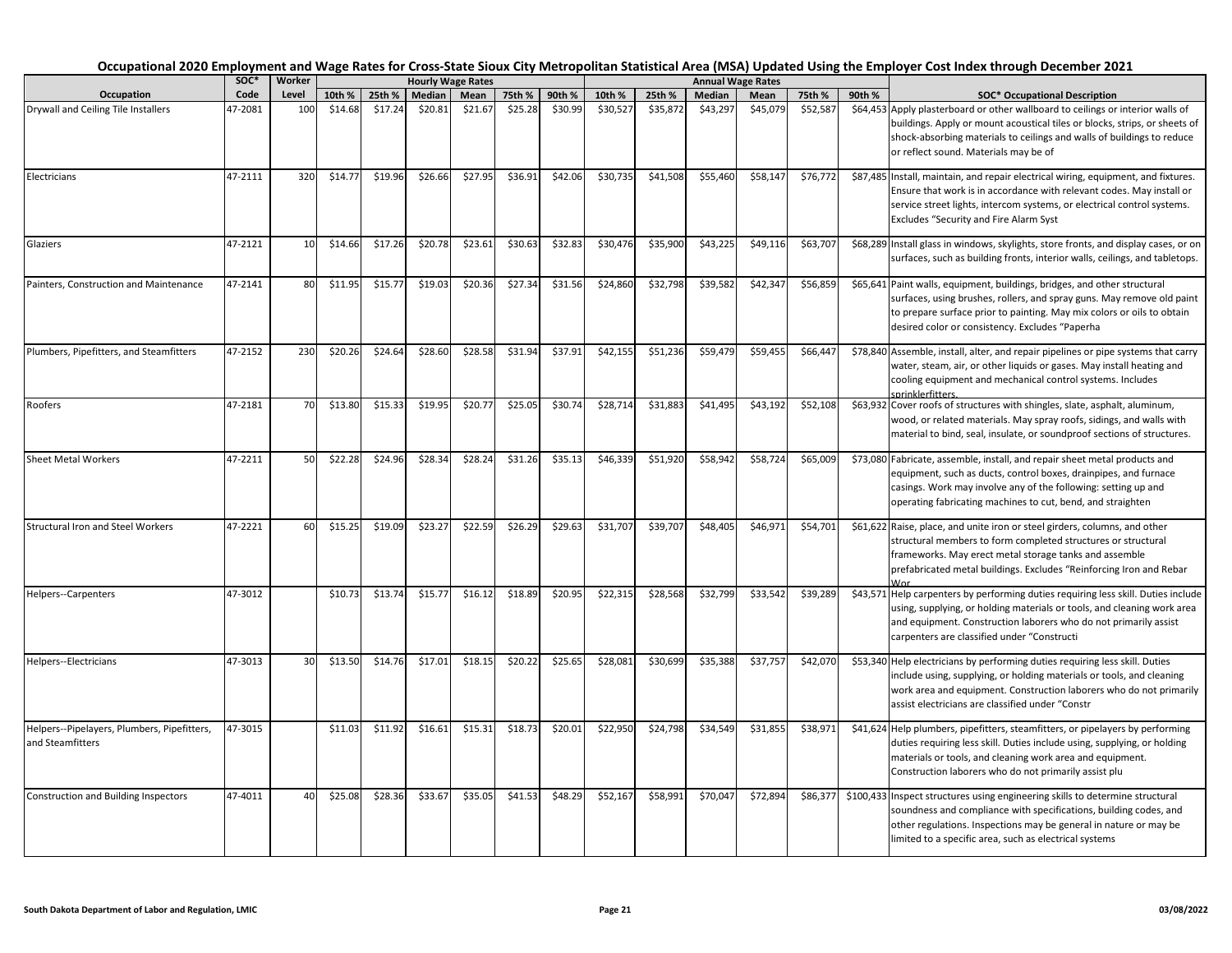|                                                                 |         |        |         |         |                          |         |         |         |          |          |                          |          |          |        | Occupational 2020 Employment and Wage Rates for Cross-State Sioux City Metropolitan Statistical Area (MSA) Updated Using the Employer Cost Index through December 2021                                                                                                            |
|-----------------------------------------------------------------|---------|--------|---------|---------|--------------------------|---------|---------|---------|----------|----------|--------------------------|----------|----------|--------|-----------------------------------------------------------------------------------------------------------------------------------------------------------------------------------------------------------------------------------------------------------------------------------|
|                                                                 | SOC*    | Worker |         |         | <b>Hourly Wage Rates</b> |         |         |         |          |          | <b>Annual Wage Rates</b> |          |          |        |                                                                                                                                                                                                                                                                                   |
| Occupation                                                      | Code    | Level  | 10th %  | 25th %  | Median                   | Mean    | 75th %  | 90th %  | 10th %   | 25th %   | Median                   | Mean     | 75th %   | 90th % | <b>SOC* Occupational Description</b>                                                                                                                                                                                                                                              |
| Drywall and Ceiling Tile Installers                             | 47-2081 | 100    | \$14.68 | \$17.24 | \$20.81                  | \$21.67 | \$25.28 | \$30.99 | \$30,527 | \$35,872 | \$43,297                 | \$45,079 | \$52,587 |        | \$64,453 Apply plasterboard or other wallboard to ceilings or interior walls of<br>buildings. Apply or mount acoustical tiles or blocks, strips, or sheets of<br>shock-absorbing materials to ceilings and walls of buildings to reduce<br>or reflect sound. Materials may be of  |
| Electricians                                                    | 47-2111 | 32C    | \$14.77 | \$19.96 | \$26.66                  | \$27.95 | \$36.91 | \$42.06 | \$30,735 | \$41,508 | \$55,460                 | \$58,147 | \$76,772 |        | \$87,485 Install, maintain, and repair electrical wiring, equipment, and fixtures.<br>Ensure that work is in accordance with relevant codes. May install or<br>service street lights, intercom systems, or electrical control systems.<br>Excludes "Security and Fire Alarm Syst  |
| Glaziers                                                        | 47-2121 | 10     | \$14.66 | \$17.26 | \$20.78                  | \$23.61 | \$30.63 | \$32.83 | \$30,476 | \$35,900 | \$43,225                 | \$49,116 | \$63,707 |        | \$68,289 Install glass in windows, skylights, store fronts, and display cases, or on<br>surfaces, such as building fronts, interior walls, ceilings, and tabletops.                                                                                                               |
| Painters, Construction and Maintenance                          | 47-2141 | 80     | \$11.95 | \$15.77 | \$19.03                  | \$20.36 | \$27.34 | \$31.56 | \$24,860 | \$32,798 | \$39,582                 | \$42,347 | \$56,859 |        | \$65,641 Paint walls, equipment, buildings, bridges, and other structural<br>surfaces, using brushes, rollers, and spray guns. May remove old paint<br>to prepare surface prior to painting. May mix colors or oils to obtain<br>desired color or consistency. Excludes "Paperha  |
| Plumbers, Pipefitters, and Steamfitters                         | 47-2152 | 230    | \$20.26 | \$24.64 | \$28.60                  | \$28.58 | \$31.94 | \$37.91 | \$42,155 | \$51,236 | \$59,479                 | \$59,455 | \$66,447 |        | \$78,840 Assemble, install, alter, and repair pipelines or pipe systems that carry<br>water, steam, air, or other liquids or gases. May install heating and<br>cooling equipment and mechanical control systems. Includes<br>sprinklerfitters                                     |
| Roofers                                                         | 47-2181 | 70     | \$13.80 | \$15.33 | \$19.95                  | \$20.77 | \$25.05 | \$30.74 | \$28,714 | \$31,883 | \$41,495                 | \$43,192 | \$52,108 |        | \$63,932 Cover roofs of structures with shingles, slate, asphalt, aluminum,<br>wood, or related materials. May spray roofs, sidings, and walls with<br>material to bind, seal, insulate, or soundproof sections of structures.                                                    |
| <b>Sheet Metal Workers</b>                                      | 47-2211 | 50     | \$22.28 | \$24.96 | \$28.34                  | \$28.24 | \$31.26 | \$35.13 | \$46,339 | \$51,920 | \$58,942                 | \$58,724 | \$65,009 |        | \$73,080 Fabricate, assemble, install, and repair sheet metal products and<br>equipment, such as ducts, control boxes, drainpipes, and furnace<br>casings. Work may involve any of the following: setting up and<br>operating fabricating machines to cut, bend, and straighten   |
| <b>Structural Iron and Steel Workers</b>                        | 47-2221 | 60     | \$15.25 | \$19.09 | \$23.27                  | \$22.59 | \$26.29 | \$29.63 | \$31,707 | \$39,707 | \$48,405                 | \$46,971 | \$54,701 |        | \$61,622 Raise, place, and unite iron or steel girders, columns, and other<br>structural members to form completed structures or structural<br>frameworks. May erect metal storage tanks and assemble<br>prefabricated metal buildings. Excludes "Reinforcing Iron and Rebar      |
| Helpers--Carpenters                                             | 47-3012 |        | \$10.73 | \$13.74 | \$15.77                  | \$16.12 | \$18.89 | \$20.95 | \$22,315 | \$28,568 | \$32,799                 | \$33,542 | \$39,289 |        | \$43,571 Help carpenters by performing duties requiring less skill. Duties include<br>using, supplying, or holding materials or tools, and cleaning work area<br>and equipment. Construction laborers who do not primarily assist<br>carpenters are classified under "Constructi  |
| Helpers--Electricians                                           | 47-3013 | 30     | \$13.50 | \$14.76 | \$17.01                  | \$18.15 | \$20.22 | \$25.65 | \$28,081 | \$30,699 | \$35,388                 | \$37,757 | \$42,070 |        | \$53,340 Help electricians by performing duties requiring less skill. Duties<br>include using, supplying, or holding materials or tools, and cleaning<br>work area and equipment. Construction laborers who do not primarily<br>assist electricians are classified under "Constr  |
| Helpers--Pipelayers, Plumbers, Pipefitters,<br>and Steamfitters | 47-3015 |        | \$11.03 | \$11.92 | \$16.61                  | \$15.31 | \$18.73 | \$20.01 | \$22,950 | \$24,798 | \$34,549                 | \$31,85  | \$38,971 |        | \$41,624 Help plumbers, pipefitters, steamfitters, or pipelayers by performing<br>duties requiring less skill. Duties include using, supplying, or holding<br>materials or tools, and cleaning work area and equipment.<br>Construction laborers who do not primarily assist plu  |
| <b>Construction and Building Inspectors</b>                     | 47-4011 | 40     | \$25.08 | \$28.36 | \$33.67                  | \$35.05 | \$41.53 | \$48.29 | \$52,167 | \$58,991 | \$70,047                 | \$72,894 | \$86,377 |        | \$100,433 Inspect structures using engineering skills to determine structural<br>soundness and compliance with specifications, building codes, and<br>other regulations. Inspections may be general in nature or may be<br>limited to a specific area, such as electrical systems |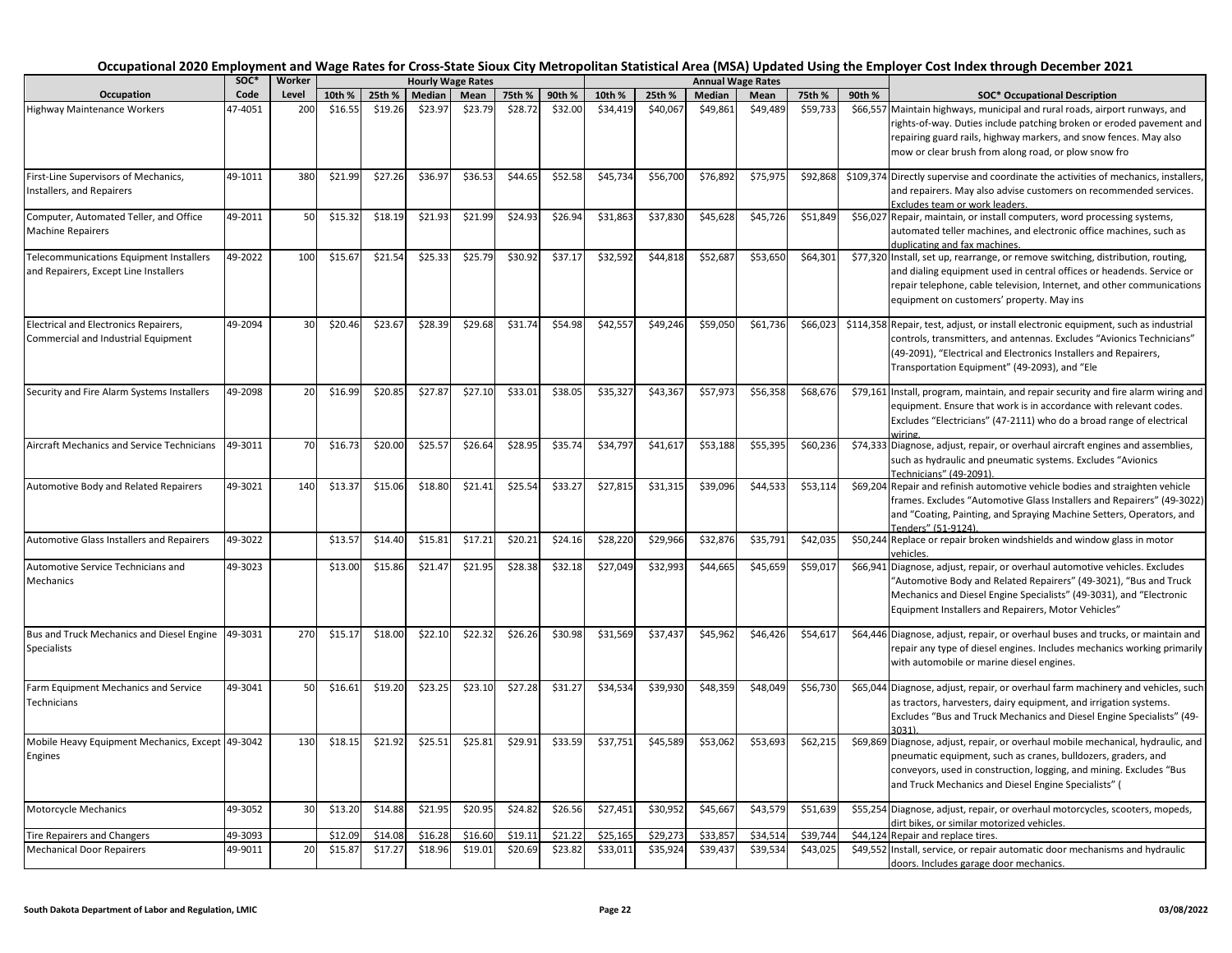|                                                                                  | SOC*               | Worker |                    |                    |                    | <b>Hourly Wage Rates</b> |                    |                    |                      |                      |                      | <b>Annual Wage Rates</b> |                      |          |                                                                                                                                                                                                                                                                                   |
|----------------------------------------------------------------------------------|--------------------|--------|--------------------|--------------------|--------------------|--------------------------|--------------------|--------------------|----------------------|----------------------|----------------------|--------------------------|----------------------|----------|-----------------------------------------------------------------------------------------------------------------------------------------------------------------------------------------------------------------------------------------------------------------------------------|
| Occupation                                                                       | Code               | Level  | 10th %             | 25th %             | Median             | Mean                     | 75th %             | 90th %             | 10th %               | 25th %               | Median               | Mean                     | 75th %               | 90th %   | <b>SOC* Occupational Description</b>                                                                                                                                                                                                                                              |
| <b>Highway Maintenance Workers</b>                                               | 47-4051            | 200    | \$16.55            | \$19.26            | \$23.97            | \$23.79                  | \$28.72            | \$32.00            | \$34,419             | \$40,067             | \$49,861             | \$49,489                 | \$59,733             |          | \$66,557 Maintain highways, municipal and rural roads, airport runways, and<br>rights-of-way. Duties include patching broken or eroded pavement and<br>repairing guard rails, highway markers, and snow fences. May also<br>mow or clear brush from along road, or plow snow fro  |
| First-Line Supervisors of Mechanics,<br>Installers, and Repairers                | 49-1011            | 380    | \$21.99            | \$27.26            | \$36.97            | \$36.53                  | \$44.65            | \$52.58            | \$45,734             | \$56,700             | \$76,892             | \$75,97                  | \$92,868             |          | \$109,374 Directly supervise and coordinate the activities of mechanics, installers,<br>and repairers. May also advise customers on recommended services.<br>Excludes team or work leaders.                                                                                       |
| Computer, Automated Teller, and Office<br><b>Machine Repairers</b>               | 49-2011            | 50     | \$15.32            | \$18.19            | \$21.93            | \$21.99                  | \$24.93            | \$26.94            | \$31,863             | \$37,830             | \$45,628             | \$45,726                 | \$51,849             |          | \$56,027 Repair, maintain, or install computers, word processing systems,<br>automated teller machines, and electronic office machines, such as<br>duplicating and fax machines.                                                                                                  |
| Telecommunications Equipment Installers<br>and Repairers, Except Line Installers | 49-2022            | 100    | \$15.67            | \$21.54            | \$25.33            | \$25.79                  | \$30.92            | \$37.17            | \$32,592             | \$44,818             | \$52,687             | \$53,650                 | \$64,301             |          | \$77,320 Install, set up, rearrange, or remove switching, distribution, routing,<br>and dialing equipment used in central offices or headends. Service or<br>repair telephone, cable television, Internet, and other communications<br>equipment on customers' property. May ins  |
| Electrical and Electronics Repairers,<br>Commercial and Industrial Equipment     | 49-2094            | 30     | \$20.46            | \$23.67            | \$28.39            | \$29.68                  | \$31.74            | \$54.98            | \$42,557             | \$49,246             | \$59,050             | \$61,736                 | \$66,023             |          | \$114,358 Repair, test, adjust, or install electronic equipment, such as industrial<br>controls, transmitters, and antennas. Excludes "Avionics Technicians"<br>(49-2091), "Electrical and Electronics Installers and Repairers,<br>Transportation Equipment" (49-2093), and "Ele |
| Security and Fire Alarm Systems Installers                                       | 49-2098            | 20     | \$16.99            | \$20.85            | \$27.87            | \$27.10                  | \$33.01            | \$38.05            | \$35,327             | \$43,367             | \$57,973             | \$56,358                 | \$68,676             |          | \$79,161 Install, program, maintain, and repair security and fire alarm wiring and<br>equipment. Ensure that work is in accordance with relevant codes.<br>Excludes "Electricians" (47-2111) who do a broad range of electrical<br>wirino                                         |
| Aircraft Mechanics and Service Technicians                                       | 49-3011            | 70     | \$16.73            | \$20.00            | \$25.57            | \$26.64                  | \$28.95            | \$35.74            | \$34,797             | \$41,617             | \$53,188             | \$55,395                 | \$60,236             |          | \$74,333 Diagnose, adjust, repair, or overhaul aircraft engines and assemblies,<br>such as hydraulic and pneumatic systems. Excludes "Avionics<br>Technicians" (49-2091).                                                                                                         |
| Automotive Body and Related Repairers                                            | 49-3021            | 140    | \$13.3             | \$15.06            | \$18.80            | \$21.41                  | \$25.54            | \$33.27            | \$27,815             | \$31,315             | \$39,096             | \$44,533                 | \$53,114             |          | \$69,204 Repair and refinish automotive vehicle bodies and straighten vehicle<br>frames. Excludes "Automotive Glass Installers and Repairers" (49-3022)<br>and "Coating, Painting, and Spraying Machine Setters, Operators, and<br>Tenders" (51-9124).                            |
| Automotive Glass Installers and Repairers                                        | 49-3022            |        | \$13.57            | \$14.40            | \$15.81            | \$17.21                  | \$20.21            | \$24.16            | \$28,220             | \$29,966             | \$32,876             | \$35,791                 | \$42,035             |          | \$50,244 Replace or repair broken windshields and window glass in motor<br>vehicles.                                                                                                                                                                                              |
| Automotive Service Technicians and<br>Mechanics                                  | 49-3023            |        | \$13.00            | \$15.86            | \$21.47            | \$21.95                  | \$28.38            | \$32.18            | \$27,049             | \$32,993             | \$44,665             | \$45,659                 | \$59,017             |          | \$66,941 Diagnose, adjust, repair, or overhaul automotive vehicles. Excludes<br>"Automotive Body and Related Repairers" (49-3021), "Bus and Truck<br>Mechanics and Diesel Engine Specialists" (49-3031), and "Electronic<br>Equipment Installers and Repairers, Motor Vehicles"   |
| Bus and Truck Mechanics and Diesel Engine<br>Specialists                         | 49-3031            | 270    | \$15.17            | \$18.00            | \$22.10            | \$22.32                  | \$26.26            | \$30.98            | \$31,569             | \$37,437             | \$45,962             | \$46,426                 | \$54,617             |          | \$64,446 Diagnose, adjust, repair, or overhaul buses and trucks, or maintain and<br>repair any type of diesel engines. Includes mechanics working primarily<br>with automobile or marine diesel engines.                                                                          |
| Farm Equipment Mechanics and Service<br>Technicians                              | 49-3041            | 50     | \$16.61            | \$19.20            | \$23.25            | \$23.10                  | \$27.28            | \$31.27            | \$34,534             | \$39,930             | \$48,359             | \$48,049                 | \$56,730             |          | \$65,044 Diagnose, adjust, repair, or overhaul farm machinery and vehicles, such<br>as tractors, harvesters, dairy equipment, and irrigation systems.<br>Excludes "Bus and Truck Mechanics and Diesel Engine Specialists" (49-<br>3031)                                           |
| Mobile Heavy Equipment Mechanics, Except 49-3042<br>Engines                      |                    | 130    | \$18.15            | \$21.92            | \$25.51            | \$25.81                  | \$29.91            | \$33.59            | \$37,751             | \$45,589             | \$53,062             | \$53,693                 | \$62,215             |          | \$69,869 Diagnose, adjust, repair, or overhaul mobile mechanical, hydraulic, and<br>pneumatic equipment, such as cranes, bulldozers, graders, and<br>conveyors, used in construction, logging, and mining. Excludes "Bus<br>and Truck Mechanics and Diesel Engine Specialists" (  |
| Motorcycle Mechanics                                                             | 49-3052            | 30     | \$13.20            | \$14.88            | \$21.95            | \$20.95                  | \$24.82            | \$26.56            | \$27,451             | \$30,952             | \$45,667             | \$43,579                 | \$51,639             |          | \$55,254 Diagnose, adjust, repair, or overhaul motorcycles, scooters, mopeds,<br>dirt bikes, or similar motorized vehicles.                                                                                                                                                       |
| <b>Tire Repairers and Changers</b><br><b>Mechanical Door Repairers</b>           | 49-3093<br>49-9011 | 20     | \$12.09<br>\$15.87 | \$14.08<br>\$17.27 | \$16.28<br>\$18.96 | \$16.60<br>\$19.01       | \$19.11<br>\$20.69 | \$21.22<br>\$23.82 | \$25.165<br>\$33,011 | \$29.273<br>\$35,924 | \$33.857<br>\$39,437 | \$34.51<br>\$39,534      | \$39.744<br>\$43,025 | \$44.124 | Repair and replace tires.<br>\$49,552 Install, service, or repair automatic door mechanisms and hydraulic                                                                                                                                                                         |
|                                                                                  |                    |        |                    |                    |                    |                          |                    |                    |                      |                      |                      |                          |                      |          | doors. Includes garage door mechanics.                                                                                                                                                                                                                                            |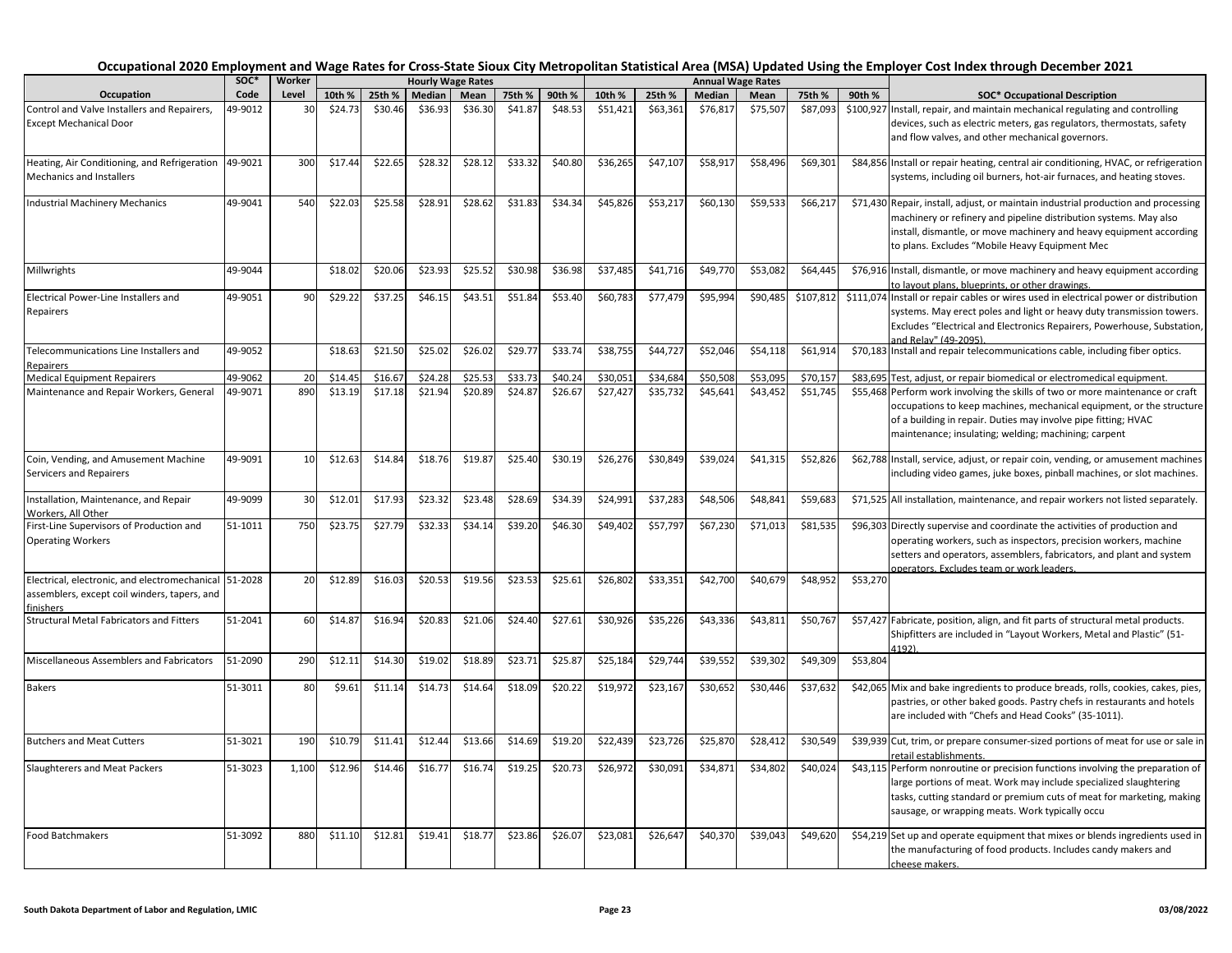|                                                                                                       | SOC*    | Worker |         |         |         | <b>Hourly Wage Rates</b> |         |         |          |          |          | <b>Annual Wage Rates</b> |           |          |                                                                                                                                                                                                                                                                                  |
|-------------------------------------------------------------------------------------------------------|---------|--------|---------|---------|---------|--------------------------|---------|---------|----------|----------|----------|--------------------------|-----------|----------|----------------------------------------------------------------------------------------------------------------------------------------------------------------------------------------------------------------------------------------------------------------------------------|
| Occupation                                                                                            | Code    | Level  | 10th %  | 25th %  | Median  | Mean                     | 75th %  | 90th %  | 10th %   | 25th %   | Median   | Mean                     | 75th %    | 90th %   | <b>SOC* Occupational Description</b>                                                                                                                                                                                                                                             |
| Control and Valve Installers and Repairers,<br><b>Except Mechanical Door</b>                          | 49-9012 | 30     | \$24.73 | \$30.46 | \$36.93 | \$36.30                  | \$41.87 | \$48.53 | \$51,421 | \$63,361 | \$76,817 | \$75,507                 | \$87,093  |          | \$100,927 Install, repair, and maintain mechanical regulating and controlling<br>devices, such as electric meters, gas regulators, thermostats, safety<br>and flow valves, and other mechanical governors.                                                                       |
| Heating, Air Conditioning, and Refrigeration<br><b>Mechanics and Installers</b>                       | 49-9021 | 300    | \$17.44 | \$22.65 | \$28.32 | \$28.12                  | \$33.32 | \$40.80 | \$36,265 | \$47,107 | \$58,917 | \$58,496                 | \$69,301  |          | \$84,856 Install or repair heating, central air conditioning, HVAC, or refrigeration<br>systems, including oil burners, hot-air furnaces, and heating stoves.                                                                                                                    |
| <b>Industrial Machinery Mechanics</b>                                                                 | 49-9041 | 540    | \$22.03 | \$25.58 | \$28.91 | \$28.62                  | \$31.83 | \$34.34 | \$45,826 | \$53,217 | \$60,130 | \$59,533                 | \$66,217  |          | \$71,430 Repair, install, adjust, or maintain industrial production and processing<br>machinery or refinery and pipeline distribution systems. May also<br>install, dismantle, or move machinery and heavy equipment according<br>to plans. Excludes "Mobile Heavy Equipment Mec |
| Millwrights                                                                                           | 49-9044 |        | \$18.02 | \$20.06 | \$23.93 | \$25.52                  | \$30.98 | \$36.98 | \$37,485 | \$41,716 | \$49,770 | \$53,082                 | \$64,445  |          | \$76,916 Install, dismantle, or move machinery and heavy equipment according<br>to layout plans, blueprints, or other drawings.                                                                                                                                                  |
| Electrical Power-Line Installers and<br>Repairers                                                     | 49-9051 | 90     | \$29.2  | \$37.25 | \$46.15 | \$43.51                  | \$51.84 | \$53.40 | \$60,783 | \$77,479 | \$95,994 | \$90,485                 | \$107,812 |          | \$111,074 Install or repair cables or wires used in electrical power or distribution<br>systems. May erect poles and light or heavy duty transmission towers.<br>Excludes "Electrical and Electronics Repairers, Powerhouse, Substation,<br>and Relay" (49-2095)                 |
| Telecommunications Line Installers and<br>Repairers                                                   | 49-9052 |        | \$18.63 | \$21.50 | \$25.02 | \$26.02                  | \$29.77 | \$33.74 | \$38,755 | \$44,727 | \$52,046 | \$54,118                 | \$61,914  |          | \$70,183 Install and repair telecommunications cable, including fiber optics.                                                                                                                                                                                                    |
| <b>Medical Equipment Repairers</b>                                                                    | 49-9062 | 20     | \$14.45 | \$16.67 | \$24.28 | \$25.53                  | \$33.73 | \$40.24 | \$30,051 | \$34,684 | \$50,508 | \$53,095                 | \$70,157  |          | \$83,695 Test, adjust, or repair biomedical or electromedical equipment.                                                                                                                                                                                                         |
| Maintenance and Repair Workers, General                                                               | 49-9071 | 890    | \$13.19 | \$17.18 | \$21.94 | \$20.89                  | \$24.87 | \$26.67 | \$27,427 | \$35,732 | \$45,641 | \$43,452                 | \$51,745  |          | \$55,468 Perform work involving the skills of two or more maintenance or craft<br>occupations to keep machines, mechanical equipment, or the structure<br>of a building in repair. Duties may involve pipe fitting; HVAC<br>maintenance; insulating; welding; machining; carpent |
| Coin, Vending, and Amusement Machine<br>Servicers and Repairers                                       | 49-9091 | 10     | \$12.63 | \$14.84 | \$18.76 | \$19.87                  | \$25.40 | \$30.19 | \$26,276 | \$30,849 | \$39,024 | \$41,315                 | \$52,826  |          | \$62,788 Install, service, adjust, or repair coin, vending, or amusement machines<br>including video games, juke boxes, pinball machines, or slot machines.                                                                                                                      |
| Installation, Maintenance, and Repair<br>Workers, All Other                                           | 49-9099 | 30     | \$12.01 | \$17.93 | \$23.32 | \$23.48                  | \$28.69 | \$34.39 | \$24,991 | \$37,283 | \$48,506 | \$48,841                 | \$59,683  |          | \$71,525 All installation, maintenance, and repair workers not listed separately.                                                                                                                                                                                                |
| First-Line Supervisors of Production and<br><b>Operating Workers</b>                                  | 51-1011 | 750    | \$23.75 | \$27.79 | \$32.33 | \$34.14                  | \$39.20 | \$46.30 | \$49,402 | \$57,797 | \$67,230 | \$71,013                 | \$81,535  |          | \$96,303 Directly supervise and coordinate the activities of production and<br>operating workers, such as inspectors, precision workers, machine<br>setters and operators, assemblers, fabricators, and plant and system<br>pperators. Excludes team or work leaders.            |
| Electrical, electronic, and electromechanical 51-2028<br>assemblers, except coil winders, tapers, and |         | 20     | \$12.89 | \$16.03 | \$20.53 | \$19.56                  | \$23.53 | \$25.61 | \$26,802 | \$33,351 | \$42,700 | \$40,679                 | \$48,952  | \$53,270 |                                                                                                                                                                                                                                                                                  |
| finishers<br><b>Structural Metal Fabricators and Fitters</b>                                          | 51-2041 | 60     | \$14.8  | \$16.94 | \$20.83 | \$21.06                  | \$24.40 | \$27.61 | \$30,926 | \$35,226 | \$43,336 | \$43,811                 | \$50,767  |          | \$57,427 Fabricate, position, align, and fit parts of structural metal products.<br>Shipfitters are included in "Layout Workers, Metal and Plastic" (51-<br>1192).                                                                                                               |
| Miscellaneous Assemblers and Fabricators                                                              | 51-2090 | 290    | \$12.11 | \$14.30 | \$19.02 | \$18.89                  | \$23.71 | \$25.87 | \$25,184 | \$29,744 | \$39,552 | \$39,302                 | \$49,309  | \$53,804 |                                                                                                                                                                                                                                                                                  |
| <b>Bakers</b>                                                                                         | 51-3011 | 80     | \$9.61  | \$11.14 | \$14.73 | \$14.64                  | \$18.09 | \$20.22 | \$19,972 | \$23,167 | \$30,652 | \$30,446                 | \$37,632  |          | \$42,065 Mix and bake ingredients to produce breads, rolls, cookies, cakes, pies,<br>pastries, or other baked goods. Pastry chefs in restaurants and hotels<br>are included with "Chefs and Head Cooks" (35-1011).                                                               |
| <b>Butchers and Meat Cutters</b>                                                                      | 51-3021 | 190    | \$10.79 | \$11.41 | \$12.44 | \$13.66                  | \$14.69 | \$19.20 | 522,439  | \$23,726 | \$25,870 | \$28,412                 | \$30,549  |          | \$39,939 Cut, trim, or prepare consumer-sized portions of meat for use or sale in<br>etail establishments.                                                                                                                                                                       |
| Slaughterers and Meat Packers                                                                         | 51-3023 | 1,100  | \$12.96 | \$14.46 | \$16.77 | \$16.74                  | \$19.25 | \$20.73 | \$26,972 | \$30,091 | \$34,87  | \$34,802                 | \$40,024  |          | \$43,115 Perform nonroutine or precision functions involving the preparation of<br>large portions of meat. Work may include specialized slaughtering<br>tasks, cutting standard or premium cuts of meat for marketing, making<br>sausage, or wrapping meats. Work typically occu |
| <b>Food Batchmakers</b>                                                                               | 51-3092 | 880    | \$11.10 | \$12.81 | \$19.41 | \$18.77                  | \$23.86 | \$26.07 | \$23,081 | \$26,647 | \$40,370 | \$39,043                 | \$49,620  |          | \$54,219 Set up and operate equipment that mixes or blends ingredients used in<br>the manufacturing of food products. Includes candy makers and<br>cheese makers.                                                                                                                |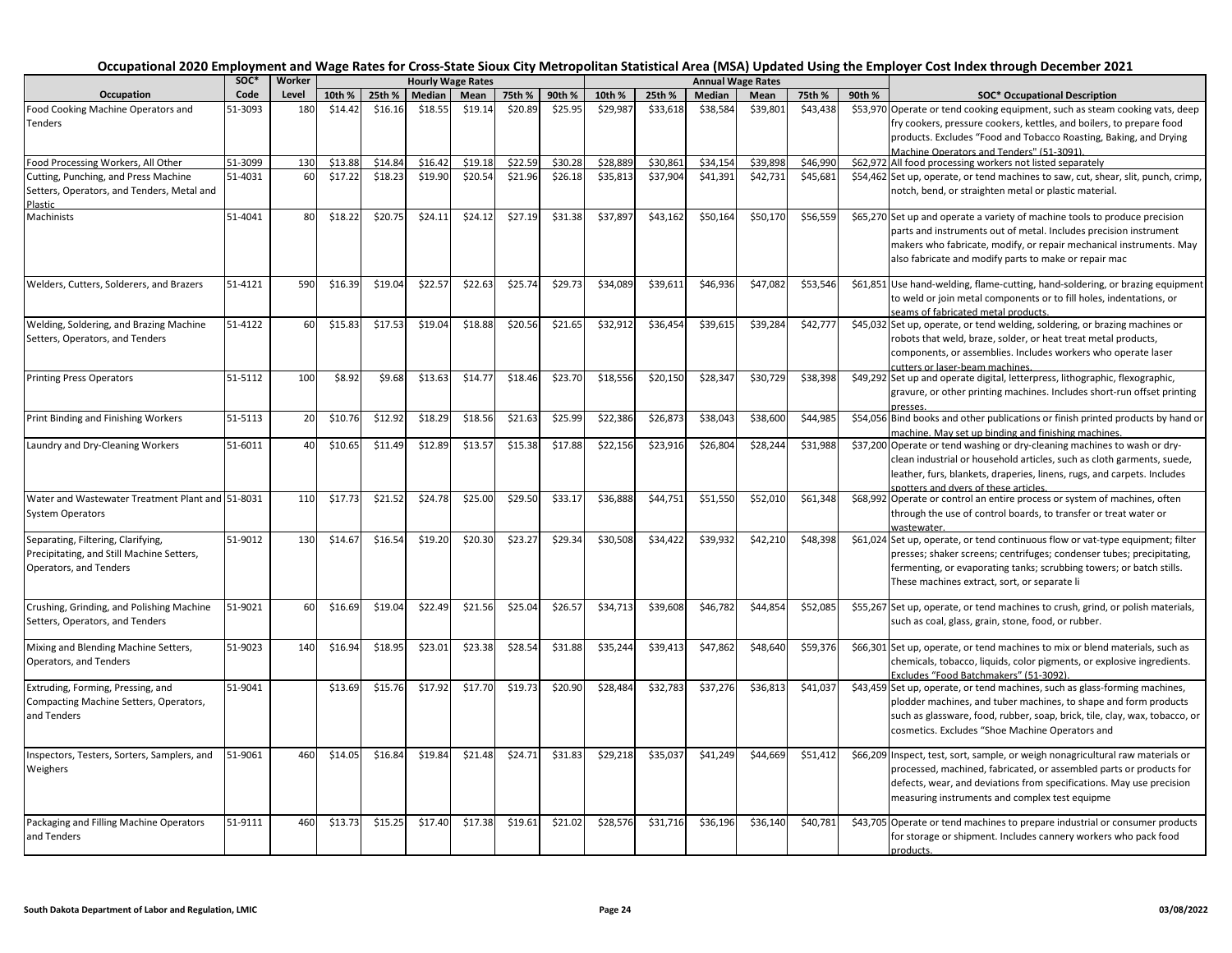|                                                                              | soc*    | Worker |         |         |         | <b>Hourly Wage Rates</b> |         |         |          |          |          | <b>Annual Wage Rates</b> |          |        |                                                                                                                                                                                                                         |
|------------------------------------------------------------------------------|---------|--------|---------|---------|---------|--------------------------|---------|---------|----------|----------|----------|--------------------------|----------|--------|-------------------------------------------------------------------------------------------------------------------------------------------------------------------------------------------------------------------------|
| Occupation                                                                   | Code    | Level  | 10th %  | 25th %  | Median  | Mean                     | 75th %  | 90th %  | 10th %   | 25th %   | Median   | Mean                     | 75th %   | 90th % | <b>SOC* Occupational Description</b>                                                                                                                                                                                    |
| Food Cooking Machine Operators and                                           | 51-3093 | 180    | \$14.42 | \$16.16 | \$18.55 | \$19.14                  | \$20.89 | \$25.95 | \$29,987 | \$33,618 | \$38,584 | \$39,801                 | \$43,438 |        | \$53,970 Operate or tend cooking equipment, such as steam cooking vats, deep                                                                                                                                            |
| Tenders                                                                      |         |        |         |         |         |                          |         |         |          |          |          |                          |          |        | fry cookers, pressure cookers, kettles, and boilers, to prepare food                                                                                                                                                    |
|                                                                              |         |        |         |         |         |                          |         |         |          |          |          |                          |          |        | products. Excludes "Food and Tobacco Roasting, Baking, and Drying                                                                                                                                                       |
|                                                                              |         |        |         |         |         |                          |         |         |          |          |          |                          |          |        | Machine Operators and Tenders" (51-3091).                                                                                                                                                                               |
| Food Processing Workers, All Other                                           | 51-3099 | 130    | \$13.88 | \$14.84 | \$16.42 | \$19.18                  | \$22.59 | \$30.28 | \$28,889 | \$30,861 | \$34,154 | \$39,898                 | \$46,990 |        | \$62,972 All food processing workers not listed separately                                                                                                                                                              |
| Cutting, Punching, and Press Machine                                         | 51-4031 | 60     | \$17.22 | \$18.23 | \$19.90 | \$20.54                  | \$21.96 | \$26.18 | \$35,813 | \$37,904 | \$41,391 | \$42,731                 | \$45,681 |        | \$54,462 Set up, operate, or tend machines to saw, cut, shear, slit, punch, crimp,                                                                                                                                      |
| Setters, Operators, and Tenders, Metal and<br>Plastic                        |         |        |         |         |         |                          |         |         |          |          |          |                          |          |        | notch, bend, or straighten metal or plastic material.                                                                                                                                                                   |
| Machinists                                                                   | 51-4041 | 80     | \$18.22 | \$20.75 | \$24.11 | \$24.12                  | \$27.19 | \$31.38 | \$37,897 | \$43,162 | \$50,164 | \$50,170                 | \$56,559 |        | \$65,270 Set up and operate a variety of machine tools to produce precision<br>parts and instruments out of metal. Includes precision instrument<br>makers who fabricate, modify, or repair mechanical instruments. May |
|                                                                              |         |        |         |         |         |                          |         |         |          |          |          |                          |          |        | also fabricate and modify parts to make or repair mac                                                                                                                                                                   |
| Welders, Cutters, Solderers, and Brazers                                     | 51-4121 | 590    | \$16.39 | \$19.04 | \$22.57 | \$22.63                  | \$25.74 | \$29.73 | \$34,089 | \$39,611 | \$46,936 | \$47,082                 | \$53,546 |        | \$61,851 Use hand-welding, flame-cutting, hand-soldering, or brazing equipment<br>to weld or join metal components or to fill holes, indentations, or<br>seams of fabricated metal products.                            |
| Welding, Soldering, and Brazing Machine                                      | 51-4122 | 60     | \$15.83 | \$17.53 | \$19.04 | \$18.88                  | \$20.56 | \$21.65 | \$32,912 | \$36,454 | \$39,615 | \$39,284                 | \$42,777 |        | \$45,032 Set up, operate, or tend welding, soldering, or brazing machines or                                                                                                                                            |
| Setters, Operators, and Tenders                                              |         |        |         |         |         |                          |         |         |          |          |          |                          |          |        | robots that weld, braze, solder, or heat treat metal products,<br>components, or assemblies. Includes workers who operate laser                                                                                         |
|                                                                              |         |        |         |         |         |                          |         |         |          |          |          |                          |          |        | cutters or laser-beam machines.                                                                                                                                                                                         |
| <b>Printing Press Operators</b>                                              | 51-5112 | 100    | \$8.92  | \$9.68  | \$13.63 | \$14.77                  | \$18.46 | \$23.70 | \$18,556 | \$20,150 | \$28,347 | \$30,729                 | \$38,398 |        | \$49,292 Set up and operate digital, letterpress, lithographic, flexographic,<br>gravure, or other printing machines. Includes short-run offset printing<br>presses.                                                    |
| Print Binding and Finishing Workers                                          | 51-5113 | 20     | \$10.76 | \$12.92 | \$18.29 | \$18.56                  | \$21.63 | \$25.99 | \$22,386 | \$26,873 | \$38,043 | \$38,600                 | \$44,985 |        | \$54,056 Bind books and other publications or finish printed products by hand or                                                                                                                                        |
|                                                                              |         |        |         |         |         |                          |         |         |          |          |          |                          |          |        | machine. May set up binding and finishing machines.                                                                                                                                                                     |
| Laundry and Dry-Cleaning Workers                                             | 51-6011 | 40     | \$10.65 | \$11.49 | \$12.89 | \$13.57                  | \$15.38 | \$17.88 | \$22,156 | \$23,916 | \$26,804 | \$28,244                 | \$31,988 |        | \$37,200 Operate or tend washing or dry-cleaning machines to wash or dry-<br>clean industrial or household articles, such as cloth garments, suede,                                                                     |
|                                                                              |         |        |         |         |         |                          |         |         |          |          |          |                          |          |        | leather, furs, blankets, draperies, linens, rugs, and carpets. Includes                                                                                                                                                 |
|                                                                              |         | 110    |         |         |         |                          |         |         |          |          |          |                          |          |        | spotters and dvers of these articles.                                                                                                                                                                                   |
| Water and Wastewater Treatment Plant and 51-8031                             |         |        | \$17.73 | \$21.52 | \$24.78 | \$25.00                  | \$29.50 | \$33.17 | \$36,888 | \$44,751 | \$51,550 | \$52,010                 | \$61,348 |        | \$68,992 Operate or control an entire process or system of machines, often                                                                                                                                              |
| <b>System Operators</b>                                                      |         |        |         |         |         |                          |         |         |          |          |          |                          |          |        | through the use of control boards, to transfer or treat water or                                                                                                                                                        |
| Separating, Filtering, Clarifying,                                           | 51-9012 | 130    | \$14.67 | \$16.54 | \$19.20 | \$20.30                  | \$23.27 | \$29.34 | \$30,508 | \$34,422 | \$39,932 | \$42,210                 | \$48,398 |        | \$61,024 Set up, operate, or tend continuous flow or vat-type equipment; filter                                                                                                                                         |
| Precipitating, and Still Machine Setters,<br>Operators, and Tenders          |         |        |         |         |         |                          |         |         |          |          |          |                          |          |        | presses; shaker screens; centrifuges; condenser tubes; precipitating,<br>fermenting, or evaporating tanks; scrubbing towers; or batch stills.<br>These machines extract, sort, or separate li                           |
| Crushing, Grinding, and Polishing Machine<br>Setters, Operators, and Tenders | 51-9021 | 60     | \$16.69 | \$19.04 | \$22.49 | \$21.56                  | \$25.04 | \$26.57 | \$34,713 | \$39,608 | \$46,782 | \$44,854                 | \$52,085 |        | \$55,267 Set up, operate, or tend machines to crush, grind, or polish materials,<br>such as coal, glass, grain, stone, food, or rubber.                                                                                 |
| Mixing and Blending Machine Setters,                                         | 51-9023 | 140    | \$16.94 | \$18.95 | \$23.01 | \$23.38                  | \$28.54 | \$31.88 | \$35,244 | \$39,413 | \$47,862 | \$48,640                 | \$59,376 |        | \$66,301 Set up, operate, or tend machines to mix or blend materials, such as                                                                                                                                           |
| Operators, and Tenders                                                       |         |        |         |         |         |                          |         |         |          |          |          |                          |          |        | chemicals, tobacco, liquids, color pigments, or explosive ingredients.<br>Excludes "Food Batchmakers" (51-3092)                                                                                                         |
| Extruding, Forming, Pressing, and                                            | 51-9041 |        | \$13.69 | \$15.76 | \$17.92 | \$17.70                  | \$19.73 | \$20.90 | \$28,484 | \$32,783 | \$37,276 | \$36,813                 | \$41,037 |        | \$43,459 Set up, operate, or tend machines, such as glass-forming machines,                                                                                                                                             |
| Compacting Machine Setters, Operators,<br>and Tenders                        |         |        |         |         |         |                          |         |         |          |          |          |                          |          |        | plodder machines, and tuber machines, to shape and form products<br>such as glassware, food, rubber, soap, brick, tile, clay, wax, tobacco, or<br>cosmetics. Excludes "Shoe Machine Operators and                       |
| Inspectors, Testers, Sorters, Samplers, and                                  | 51-9061 | 460    | \$14.05 | \$16.84 | \$19.84 | \$21.48                  | \$24.71 | \$31.83 | \$29,218 | \$35,037 | \$41,249 | \$44,669                 | \$51,412 |        | \$66,209 Inspect, test, sort, sample, or weigh nonagricultural raw materials or                                                                                                                                         |
| Weighers                                                                     |         |        |         |         |         |                          |         |         |          |          |          |                          |          |        | processed, machined, fabricated, or assembled parts or products for<br>defects, wear, and deviations from specifications. May use precision<br>measuring instruments and complex test equipme                           |
| Packaging and Filling Machine Operators                                      | 51-9111 | 460    | \$13.73 | \$15.25 | \$17.40 | \$17.38                  | \$19.61 | \$21.02 | \$28,576 | \$31,716 | \$36,196 | \$36,140                 | \$40,781 |        | \$43,705 Operate or tend machines to prepare industrial or consumer products                                                                                                                                            |
| and Tenders                                                                  |         |        |         |         |         |                          |         |         |          |          |          |                          |          |        | for storage or shipment. Includes cannery workers who pack food<br>products.                                                                                                                                            |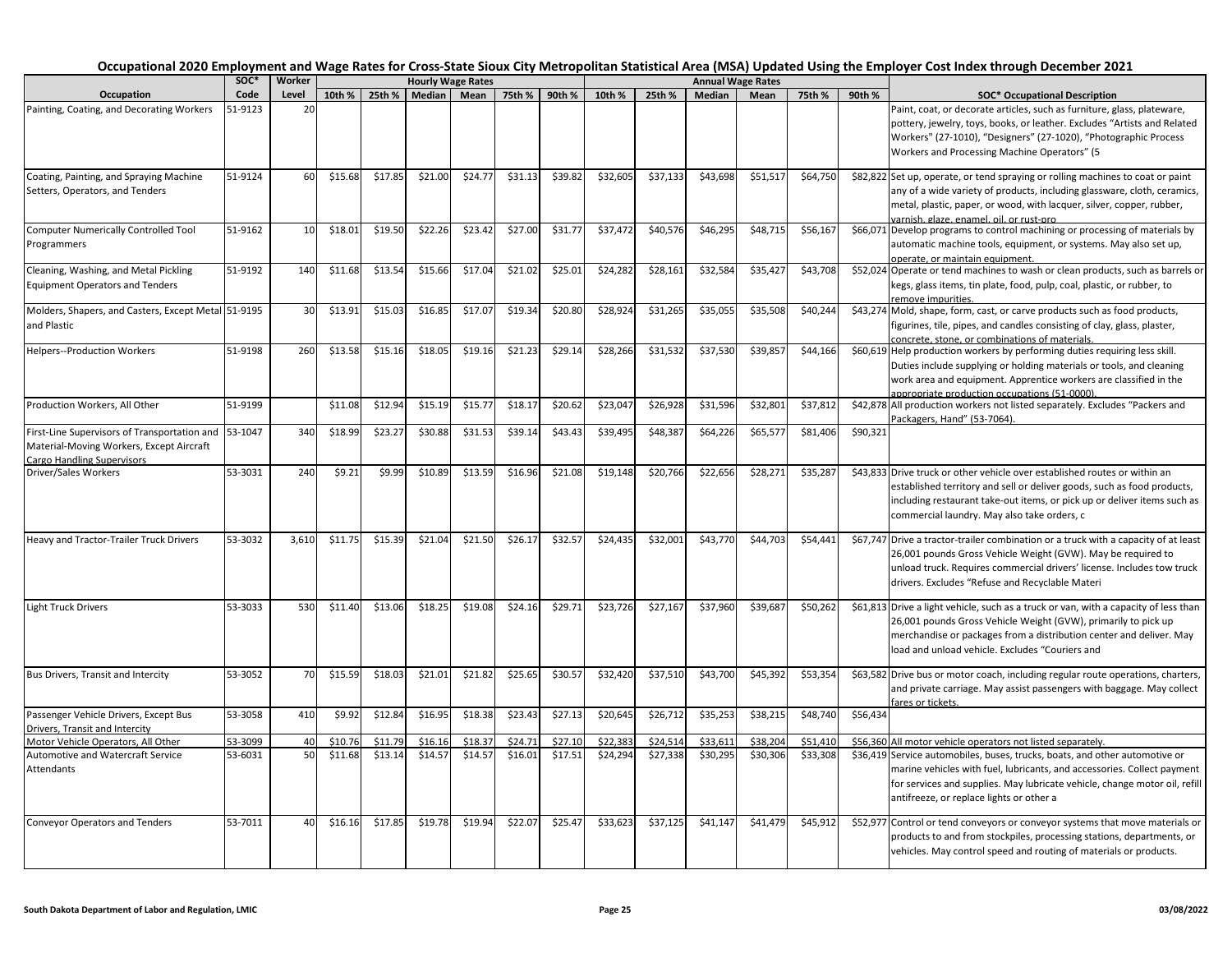|                                                                                                                        |              |                 |         |         |         |                                  |               |         |          |          |          |                                  |          |          | Occupational 2020 Employment and Wage Rates for Cross-State Sioux City Metropolitan Statistical Area (MSA) Updated Using the Employer Cost Index through December 2021                                                                                                           |
|------------------------------------------------------------------------------------------------------------------------|--------------|-----------------|---------|---------|---------|----------------------------------|---------------|---------|----------|----------|----------|----------------------------------|----------|----------|----------------------------------------------------------------------------------------------------------------------------------------------------------------------------------------------------------------------------------------------------------------------------------|
| Occupation                                                                                                             | SOC*<br>Code | Worker<br>Level | 10th %  | 25th %  | Median  | <b>Hourly Wage Rates</b><br>Mean | 75th % 90th % |         | 10th %   | 25th %   | Median   | <b>Annual Wage Rates</b><br>Mean | 75th %   | 90th %   | <b>SOC* Occupational Description</b>                                                                                                                                                                                                                                             |
| Painting, Coating, and Decorating Workers                                                                              | 51-9123      | 20              |         |         |         |                                  |               |         |          |          |          |                                  |          |          | Paint, coat, or decorate articles, such as furniture, glass, plateware,                                                                                                                                                                                                          |
|                                                                                                                        |              |                 |         |         |         |                                  |               |         |          |          |          |                                  |          |          | pottery, jewelry, toys, books, or leather. Excludes "Artists and Related<br>Workers" (27-1010), "Designers" (27-1020), "Photographic Process<br>Workers and Processing Machine Operators" (5                                                                                     |
| Coating, Painting, and Spraying Machine<br>Setters, Operators, and Tenders                                             | 51-9124      | 60              | \$15.68 | \$17.85 | \$21.00 | \$24.77                          | \$31.13       | \$39.82 | \$32,605 | \$37,133 | \$43,698 | \$51,517                         | \$64,750 |          | \$82,822 Set up, operate, or tend spraying or rolling machines to coat or paint<br>any of a wide variety of products, including glassware, cloth, ceramics,<br>metal, plastic, paper, or wood, with lacquer, silver, copper, rubber,<br>varnish, glaze, enamel, oil, or rust-pro |
| <b>Computer Numerically Controlled Tool</b><br>Programmers                                                             | 51-9162      | 10              | \$18.01 | \$19.50 | \$22.26 | \$23.42                          | \$27.00       | \$31.77 | \$37,472 | \$40,576 | \$46,295 | \$48,715                         | \$56,167 |          | \$66,071 Develop programs to control machining or processing of materials by<br>automatic machine tools, equipment, or systems. May also set up,<br>operate, or maintain equipment.                                                                                              |
| Cleaning, Washing, and Metal Pickling<br><b>Equipment Operators and Tenders</b>                                        | 51-9192      | 140             | \$11.68 | \$13.54 | \$15.66 | \$17.04                          | \$21.02       | \$25.01 | \$24,282 | \$28,161 | \$32,584 | \$35,42                          | \$43,708 |          | \$52,024 Operate or tend machines to wash or clean products, such as barrels or<br>kegs, glass items, tin plate, food, pulp, coal, plastic, or rubber, to<br>emove impurities.                                                                                                   |
| Molders, Shapers, and Casters, Except Metal 51-9195<br>and Plastic                                                     |              | 30              | \$13.91 | \$15.03 | \$16.85 | \$17.07                          | \$19.34       | \$20.80 | \$28,924 | \$31,265 | \$35,055 | \$35,508                         | \$40,244 |          | \$43,274 Mold, shape, form, cast, or carve products such as food products,<br>figurines, tile, pipes, and candles consisting of clay, glass, plaster,<br>concrete, stone, or combinations of materials.                                                                          |
| <b>Helpers--Production Workers</b>                                                                                     | 51-9198      | 260             | \$13.58 | \$15.16 | \$18.05 | \$19.16                          | \$21.23       | \$29.14 | \$28,266 | \$31,532 | \$37,530 | \$39,85                          | \$44,166 |          | \$60,619 Help production workers by performing duties requiring less skill.<br>Duties include supplying or holding materials or tools, and cleaning<br>work area and equipment. Apprentice workers are classified in the<br>appropriate production occupations (51-0000).        |
| Production Workers, All Other                                                                                          | 51-9199      |                 | \$11.08 | \$12.94 | \$15.19 | \$15.77                          | \$18.1        | \$20.62 | \$23,047 | \$26,928 | \$31,596 | \$32,80                          | \$37,812 |          | \$42,878 All production workers not listed separately. Excludes "Packers and<br>Packagers, Hand" (53-7064).                                                                                                                                                                      |
| First-Line Supervisors of Transportation and<br>Material-Moving Workers, Except Aircraft<br>Cargo Handling Supervisors | 53-1047      | 340             | \$18.99 | \$23.2  | \$30.88 | \$31.53                          | \$39.1        | \$43.43 | \$39,495 | \$48,387 | \$64,226 | \$65,57                          | \$81,406 | \$90,321 |                                                                                                                                                                                                                                                                                  |
| Driver/Sales Workers                                                                                                   | 53-3031      | 240             | \$9.21  | \$9.99  | \$10.89 | \$13.59                          | \$16.96       | \$21.08 | \$19,148 | \$20,766 | \$22,656 | \$28,271                         | \$35,287 |          | \$43,833 Drive truck or other vehicle over established routes or within an<br>established territory and sell or deliver goods, such as food products,<br>including restaurant take-out items, or pick up or deliver items such as<br>commercial laundry. May also take orders, c |
| Heavy and Tractor-Trailer Truck Drivers                                                                                | 53-3032      | 3,610           | \$11.75 | \$15.39 | \$21.04 | \$21.50                          | \$26.1        | \$32.57 | \$24,435 | \$32,001 | \$43,770 | \$44.70                          | \$54,441 |          | \$67,747 Drive a tractor-trailer combination or a truck with a capacity of at least<br>26,001 pounds Gross Vehicle Weight (GVW). May be required to<br>unload truck. Requires commercial drivers' license. Includes tow truck<br>drivers. Excludes "Refuse and Recyclable Materi |
| <b>Light Truck Drivers</b>                                                                                             | 53-3033      | 530             | \$11.40 | \$13.06 | \$18.25 | \$19.08                          | \$24.16       | \$29.71 | \$23,726 | \$27,167 | \$37,960 | \$39,687                         | \$50,262 |          | \$61,813 Drive a light vehicle, such as a truck or van, with a capacity of less than<br>26,001 pounds Gross Vehicle Weight (GVW), primarily to pick up<br>merchandise or packages from a distribution center and deliver. May<br>load and unload vehicle. Excludes "Couriers and |
| Bus Drivers, Transit and Intercity                                                                                     | 53-3052      | 70              | \$15.59 | \$18.03 | \$21.01 | \$21.82                          | \$25.65       | \$30.57 | \$32,420 | \$37,510 | \$43,700 | \$45,392                         | \$53,354 |          | \$63,582 Drive bus or motor coach, including regular route operations, charters,<br>and private carriage. May assist passengers with baggage. May collect<br>ares or tickets.                                                                                                    |
| Passenger Vehicle Drivers, Except Bus                                                                                  | 53-3058      | 410             | \$9.92  | \$12.84 | \$16.95 | \$18.38                          | \$23.43       | \$27.13 | \$20,645 | \$26,712 | \$35,253 | \$38,215                         | \$48,740 | \$56,434 |                                                                                                                                                                                                                                                                                  |
| Drivers, Transit and Intercity                                                                                         |              |                 |         |         |         |                                  |               |         |          |          |          |                                  |          |          |                                                                                                                                                                                                                                                                                  |
| Motor Vehicle Operators, All Other                                                                                     | 53-3099      | 40              | \$10.7  | \$11.79 | \$16.16 | \$18.3                           | \$24.7        | \$27.1  | \$22,383 | \$24,514 | \$33,611 | \$38,204                         | \$51,410 |          | \$56,360 All motor vehicle operators not listed separately.                                                                                                                                                                                                                      |
| Automotive and Watercraft Service<br>Attendants                                                                        | 53-6031      | 50              | \$11.68 | \$13.14 | \$14.57 | \$14.57                          | \$16.01       | \$17.51 | \$24,294 | \$27,338 | \$30,295 | \$30,306                         | \$33,308 |          | \$36,419 Service automobiles, buses, trucks, boats, and other automotive or<br>marine vehicles with fuel, lubricants, and accessories. Collect payment<br>for services and supplies. May lubricate vehicle, change motor oil, refill<br>antifreeze, or replace lights or other a |
| <b>Conveyor Operators and Tenders</b>                                                                                  | 53-7011      | 40              | \$16.16 | \$17.85 | \$19.78 | \$19.94                          | \$22.07       | \$25.47 | \$33,623 | \$37,125 | \$41,147 | \$41,479                         | \$45,912 |          | \$52,977 Control or tend conveyors or conveyor systems that move materials or<br>products to and from stockpiles, processing stations, departments, or<br>vehicles. May control speed and routing of materials or products.                                                      |